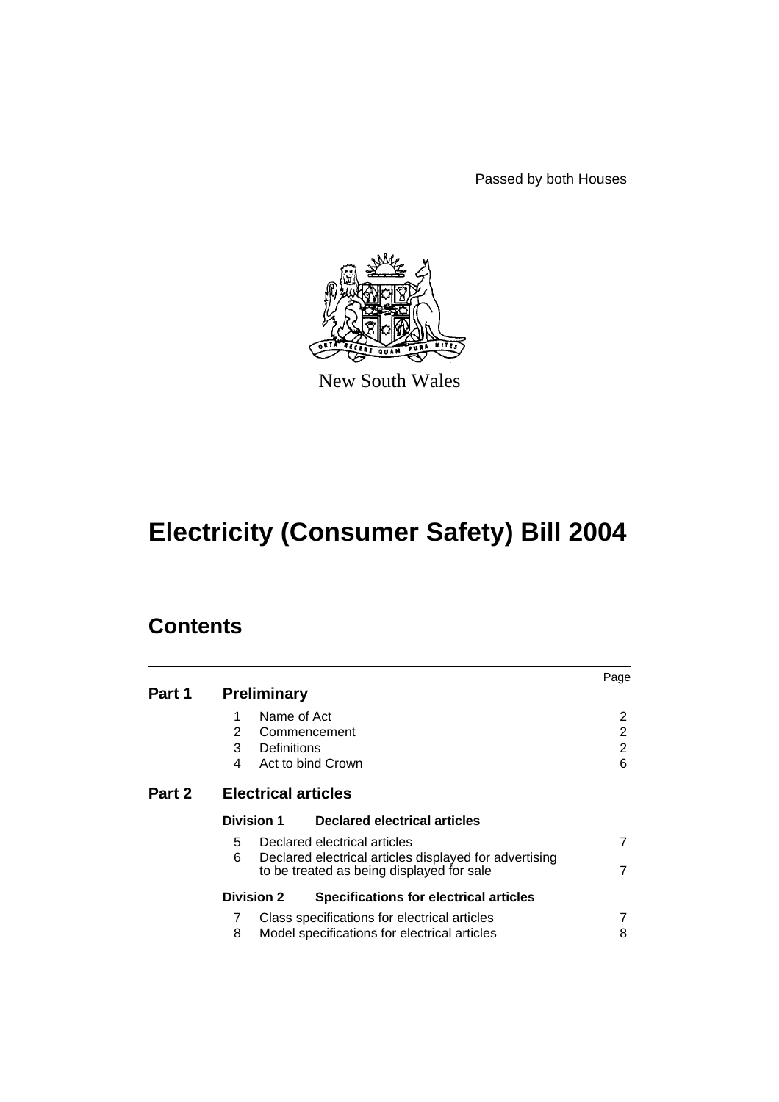Passed by both Houses



New South Wales

# **Electricity (Consumer Safety) Bill 2004**

|        |                                                                                                          | Page |  |
|--------|----------------------------------------------------------------------------------------------------------|------|--|
| Part 1 | <b>Preliminary</b>                                                                                       |      |  |
|        | Name of Act<br>1                                                                                         | 2    |  |
|        | $\mathbf{2}^{\prime}$<br>Commencement                                                                    | 2    |  |
|        | 3<br>Definitions                                                                                         | 2    |  |
|        | 4<br>Act to bind Crown                                                                                   | 6    |  |
| Part 2 | <b>Electrical articles</b>                                                                               |      |  |
|        | <b>Division 1</b><br>Declared electrical articles                                                        |      |  |
|        | Declared electrical articles<br>5.                                                                       |      |  |
|        | 6<br>Declared electrical articles displayed for advertising<br>to be treated as being displayed for sale | 7    |  |
|        | <b>Division 2</b><br><b>Specifications for electrical articles</b>                                       |      |  |
|        | 7<br>Class specifications for electrical articles                                                        |      |  |
|        | 8<br>Model specifications for electrical articles                                                        | 8    |  |
|        |                                                                                                          |      |  |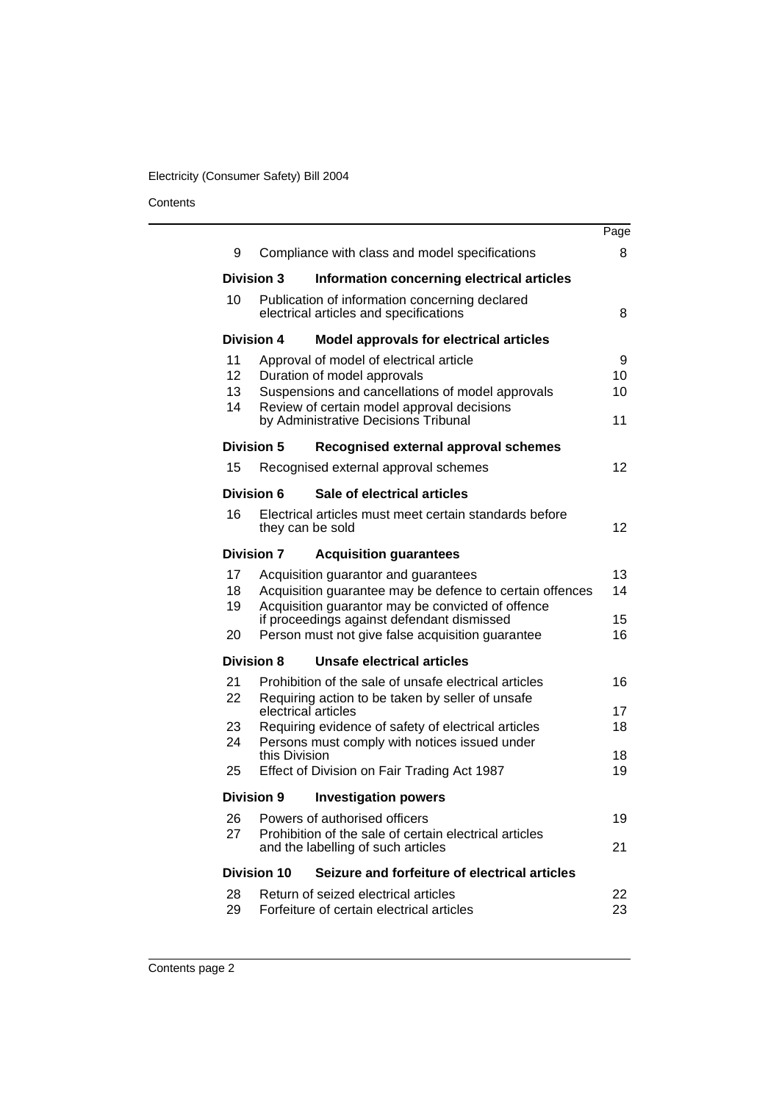# Electricity (Consumer Safety) Bill 2004

|                   |                    |                                                                                                 | Page              |
|-------------------|--------------------|-------------------------------------------------------------------------------------------------|-------------------|
| 9                 |                    | Compliance with class and model specifications                                                  | 8                 |
| <b>Division 3</b> |                    | Information concerning electrical articles                                                      |                   |
| 10                |                    | Publication of information concerning declared<br>electrical articles and specifications        | 8                 |
| <b>Division 4</b> |                    | <b>Model approvals for electrical articles</b>                                                  |                   |
| 11                |                    | Approval of model of electrical article                                                         | 9                 |
| 12<br>13          |                    | Duration of model approvals<br>Suspensions and cancellations of model approvals                 | 10<br>10          |
| 14                |                    | Review of certain model approval decisions                                                      |                   |
|                   |                    | by Administrative Decisions Tribunal                                                            | 11                |
| Division 5        |                    | Recognised external approval schemes                                                            |                   |
| 15                |                    | Recognised external approval schemes                                                            | $12 \overline{ }$ |
| <b>Division 6</b> |                    | Sale of electrical articles                                                                     |                   |
| 16                |                    | Electrical articles must meet certain standards before<br>they can be sold                      | 12                |
| <b>Division 7</b> |                    | <b>Acquisition guarantees</b>                                                                   |                   |
| 17                |                    | Acquisition guarantor and guarantees                                                            | 13                |
| 18<br>19          |                    | Acquisition guarantee may be defence to certain offences                                        | 14                |
|                   |                    | Acquisition guarantor may be convicted of offence<br>if proceedings against defendant dismissed | 15                |
| 20                |                    | Person must not give false acquisition guarantee                                                | 16                |
| <b>Division 8</b> |                    | <b>Unsafe electrical articles</b>                                                               |                   |
| 21                |                    | Prohibition of the sale of unsafe electrical articles                                           | 16                |
| 22                |                    | Requiring action to be taken by seller of unsafe<br>electrical articles                         | 17                |
| 23                |                    | Requiring evidence of safety of electrical articles                                             | 18                |
| 24                |                    | Persons must comply with notices issued under                                                   |                   |
| 25                | this Division      | Effect of Division on Fair Trading Act 1987                                                     | 18<br>19          |
| <b>Division 9</b> |                    | <b>Investigation powers</b>                                                                     |                   |
| 26                |                    | Powers of authorised officers                                                                   | 19                |
| 27                |                    | Prohibition of the sale of certain electrical articles                                          |                   |
|                   |                    | and the labelling of such articles                                                              | 21                |
|                   | <b>Division 10</b> | Seizure and forfeiture of electrical articles                                                   |                   |
| 28                |                    | Return of seized electrical articles                                                            | 22                |
| 29                |                    | Forfeiture of certain electrical articles                                                       | 23                |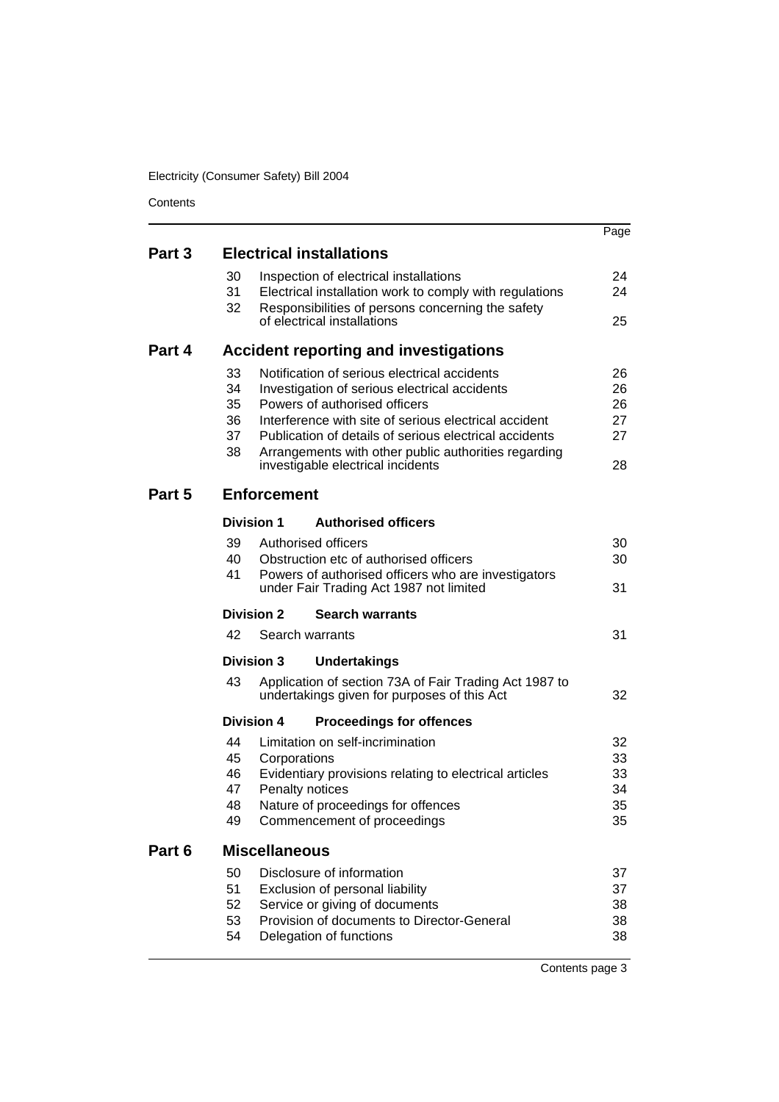Electricity (Consumer Safety) Bill 2004

|        |                                                                                                                             | Page            |  |  |  |
|--------|-----------------------------------------------------------------------------------------------------------------------------|-----------------|--|--|--|
| Part 3 | <b>Electrical installations</b>                                                                                             |                 |  |  |  |
|        | 30<br>Inspection of electrical installations                                                                                | 24              |  |  |  |
|        | 31<br>Electrical installation work to comply with regulations                                                               | 24              |  |  |  |
|        | 32<br>Responsibilities of persons concerning the safety<br>of electrical installations                                      | 25              |  |  |  |
| Part 4 | <b>Accident reporting and investigations</b>                                                                                |                 |  |  |  |
|        | 33<br>Notification of serious electrical accidents                                                                          | 26              |  |  |  |
|        | 34<br>Investigation of serious electrical accidents                                                                         | 26              |  |  |  |
|        | 35<br>Powers of authorised officers                                                                                         | 26              |  |  |  |
|        | 36<br>Interference with site of serious electrical accident<br>37<br>Publication of details of serious electrical accidents | 27<br>27        |  |  |  |
|        | 38<br>Arrangements with other public authorities regarding                                                                  |                 |  |  |  |
|        | investigable electrical incidents                                                                                           | 28              |  |  |  |
| Part 5 | <b>Enforcement</b>                                                                                                          |                 |  |  |  |
|        | <b>Division 1</b><br><b>Authorised officers</b>                                                                             |                 |  |  |  |
|        | 39<br>Authorised officers                                                                                                   | 30              |  |  |  |
|        | 40<br>Obstruction etc of authorised officers                                                                                | 30              |  |  |  |
|        | 41<br>Powers of authorised officers who are investigators<br>under Fair Trading Act 1987 not limited                        | 31              |  |  |  |
|        | <b>Division 2</b><br><b>Search warrants</b>                                                                                 |                 |  |  |  |
|        | 42<br>Search warrants                                                                                                       | 31              |  |  |  |
|        | <b>Division 3</b><br><b>Undertakings</b>                                                                                    |                 |  |  |  |
|        | 43<br>Application of section 73A of Fair Trading Act 1987 to<br>undertakings given for purposes of this Act                 | 32              |  |  |  |
|        | <b>Division 4</b><br><b>Proceedings for offences</b>                                                                        |                 |  |  |  |
|        | 44<br>Limitation on self-incrimination                                                                                      | 32              |  |  |  |
|        | 45<br>Corporations                                                                                                          | 33              |  |  |  |
|        | 46<br>Evidentiary provisions relating to electrical articles<br>47<br>Penalty notices                                       | 33<br>34        |  |  |  |
|        | Nature of proceedings for offences<br>48                                                                                    | 35              |  |  |  |
|        | 49<br>Commencement of proceedings                                                                                           | 35              |  |  |  |
| Part 6 | <b>Miscellaneous</b>                                                                                                        |                 |  |  |  |
|        | 50<br>Disclosure of information                                                                                             | 37              |  |  |  |
|        | 51<br>Exclusion of personal liability                                                                                       | 37              |  |  |  |
|        | 52<br>Service or giving of documents                                                                                        | 38              |  |  |  |
|        | 53<br>Provision of documents to Director-General<br>54<br>Delegation of functions                                           | 38<br>38        |  |  |  |
|        |                                                                                                                             |                 |  |  |  |
|        |                                                                                                                             | Contents page 3 |  |  |  |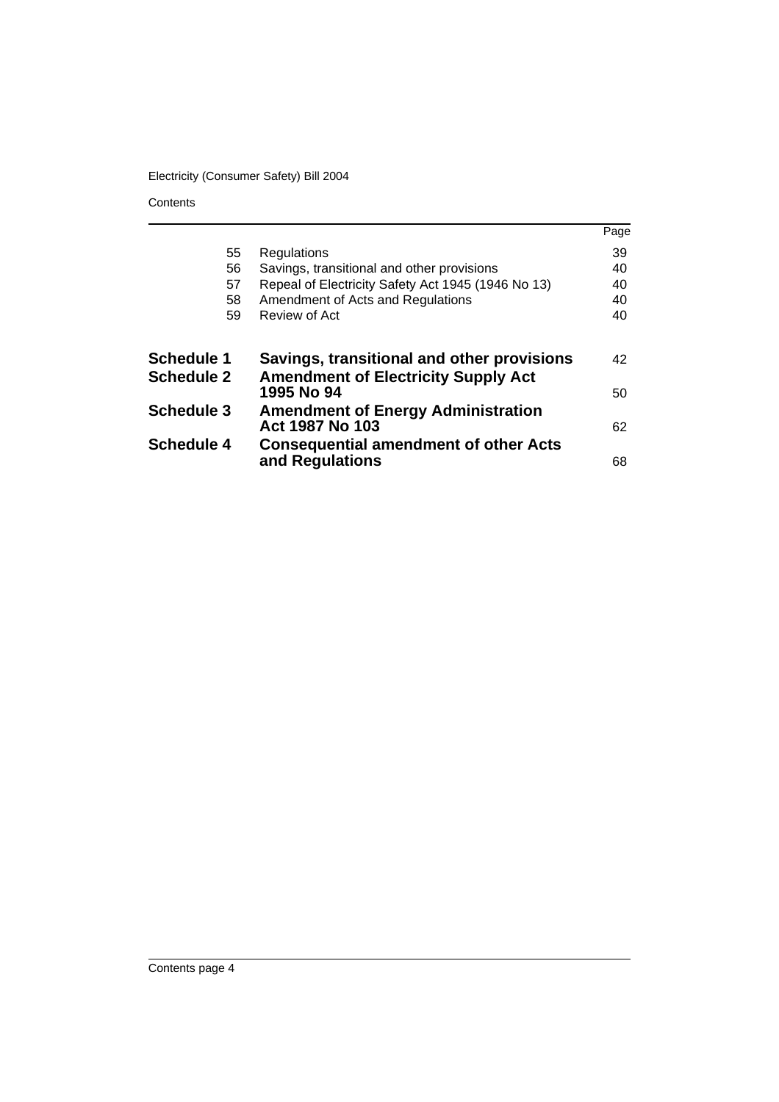# Electricity (Consumer Safety) Bill 2004

|                   |                                                                 | Page |
|-------------------|-----------------------------------------------------------------|------|
| 55                | Regulations                                                     | 39   |
| 56                | Savings, transitional and other provisions                      | 40   |
| 57                | Repeal of Electricity Safety Act 1945 (1946 No 13)              | 40   |
| 58                | Amendment of Acts and Regulations                               | 40   |
| 59                | Review of Act                                                   | 40   |
| <b>Schedule 1</b> | Savings, transitional and other provisions                      | 42   |
| <b>Schedule 2</b> | <b>Amendment of Electricity Supply Act</b><br>1995 No 94        | 50   |
| <b>Schedule 3</b> | <b>Amendment of Energy Administration</b><br>Act 1987 No 103    | 62   |
| <b>Schedule 4</b> | <b>Consequential amendment of other Acts</b><br>and Regulations | 68   |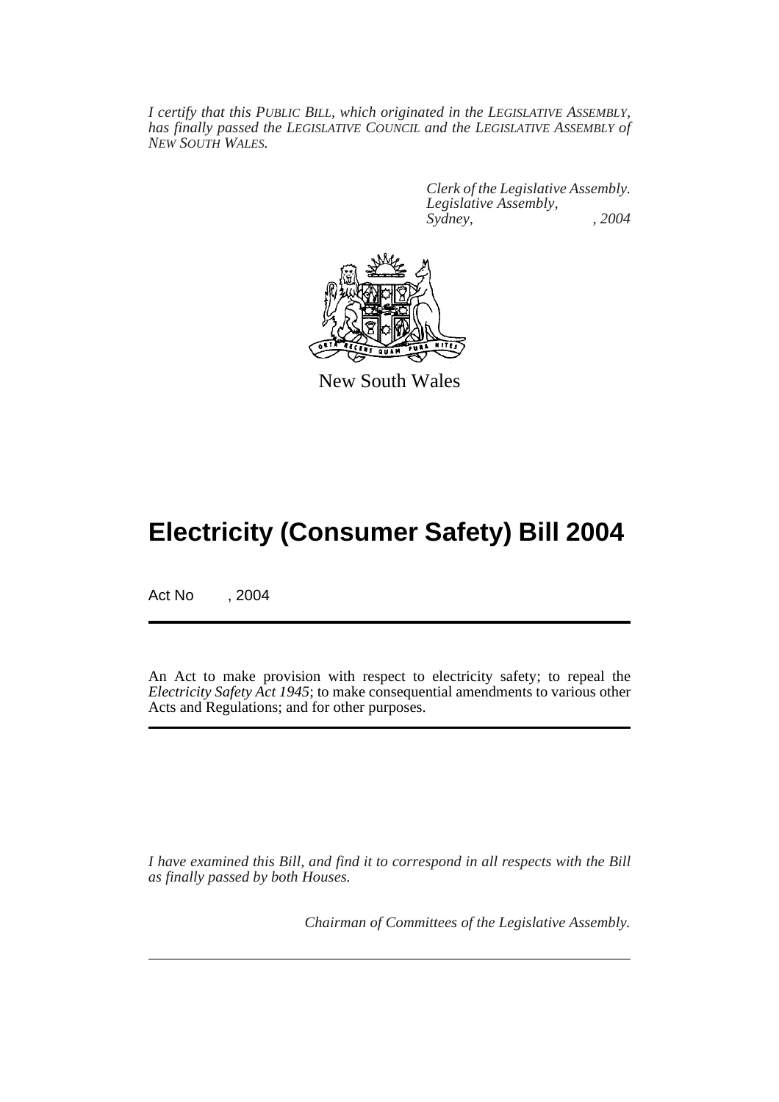*I certify that this PUBLIC BILL, which originated in the LEGISLATIVE ASSEMBLY, has finally passed the LEGISLATIVE COUNCIL and the LEGISLATIVE ASSEMBLY of NEW SOUTH WALES.*

> *Clerk of the Legislative Assembly. Legislative Assembly, Sydney, , 2004*



New South Wales

# **Electricity (Consumer Safety) Bill 2004**

Act No , 2004

An Act to make provision with respect to electricity safety; to repeal the *Electricity Safety Act 1945*; to make consequential amendments to various other Acts and Regulations; and for other purposes.

*I have examined this Bill, and find it to correspond in all respects with the Bill as finally passed by both Houses.*

*Chairman of Committees of the Legislative Assembly.*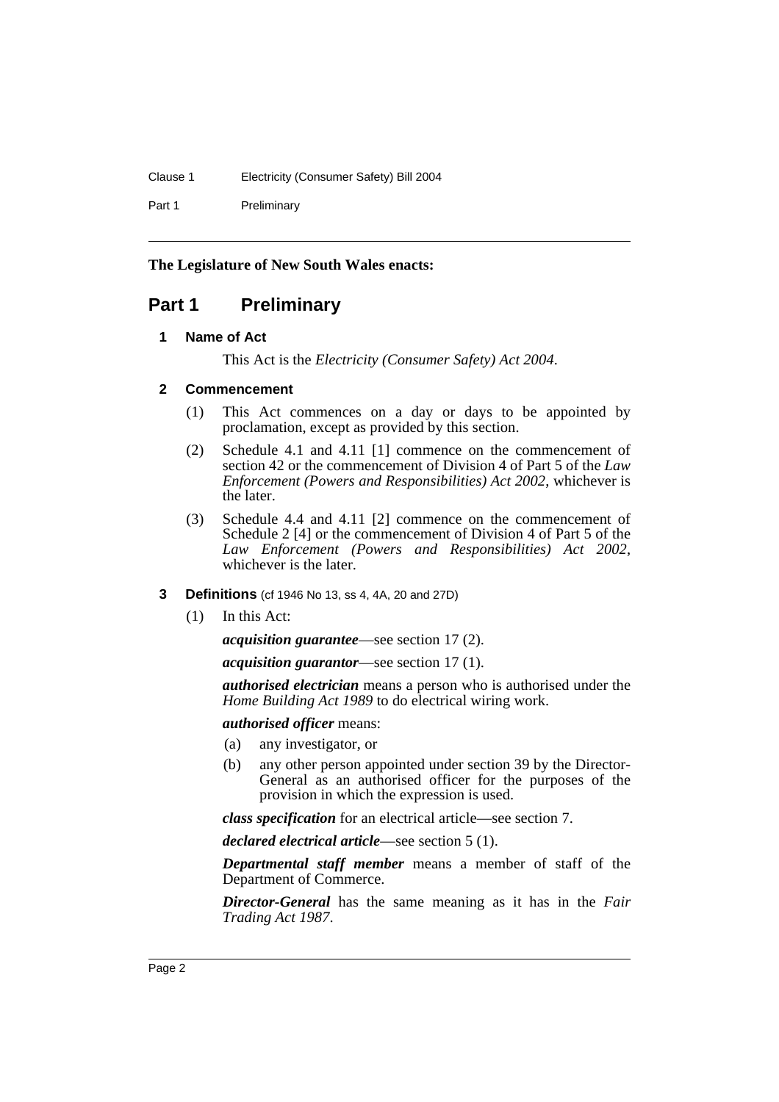## Clause 1 Electricity (Consumer Safety) Bill 2004

Part 1 Preliminary

### **The Legislature of New South Wales enacts:**

# **Part 1 Preliminary**

## **1 Name of Act**

This Act is the *Electricity (Consumer Safety) Act 2004*.

## **2 Commencement**

- (1) This Act commences on a day or days to be appointed by proclamation, except as provided by this section.
- (2) Schedule 4.1 and 4.11 [1] commence on the commencement of section 42 or the commencement of Division 4 of Part 5 of the *Law Enforcement (Powers and Responsibilities) Act 2002*, whichever is the later.
- (3) Schedule 4.4 and 4.11 [2] commence on the commencement of Schedule 2 [4] or the commencement of Division 4 of Part 5 of the *Law Enforcement (Powers and Responsibilities) Act 2002*, whichever is the later.

#### **3 Definitions** (cf 1946 No 13, ss 4, 4A, 20 and 27D)

(1) In this Act:

*acquisition guarantee*—see section 17 (2).

*acquisition guarantor*—see section 17 (1).

*authorised electrician* means a person who is authorised under the *Home Building Act 1989* to do electrical wiring work.

*authorised officer* means:

- (a) any investigator, or
- (b) any other person appointed under section 39 by the Director-General as an authorised officer for the purposes of the provision in which the expression is used.

*class specification* for an electrical article—see section 7.

*declared electrical article*—see section 5 (1).

*Departmental staff member* means a member of staff of the Department of Commerce.

*Director-General* has the same meaning as it has in the *Fair Trading Act 1987*.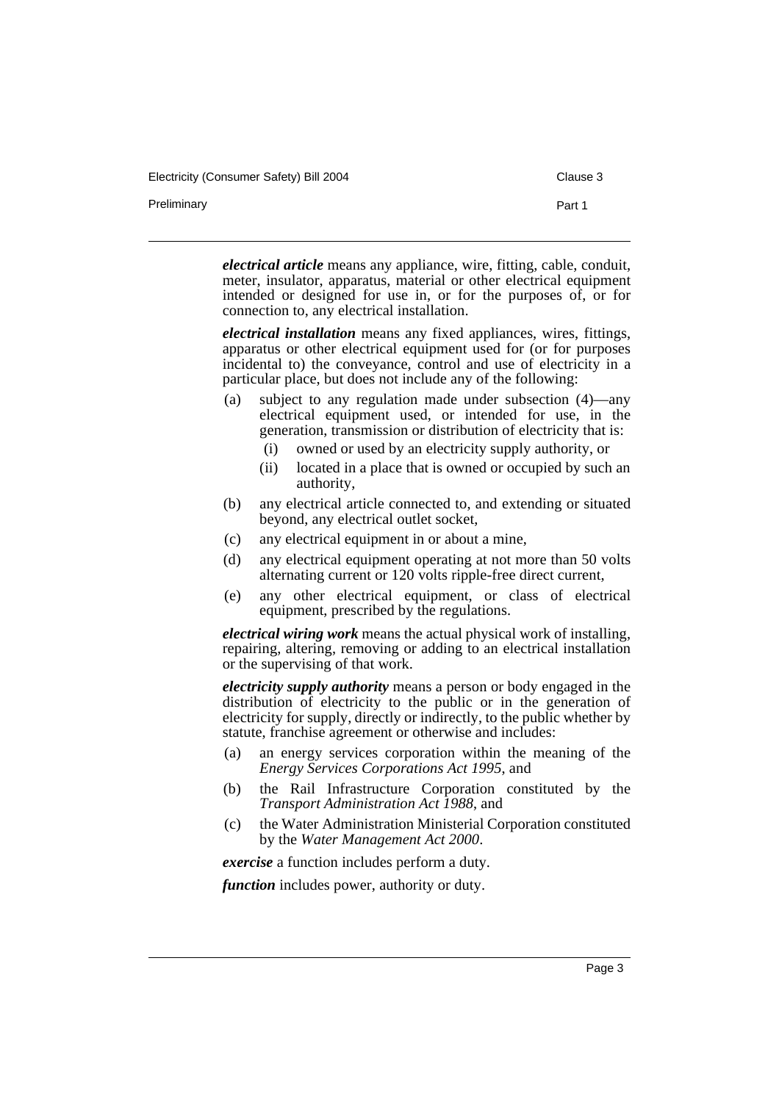Electricity (Consumer Safety) Bill 2004 Clause 3

Preliminary **Preliminary** Part 1

*electrical article* means any appliance, wire, fitting, cable, conduit, meter, insulator, apparatus, material or other electrical equipment intended or designed for use in, or for the purposes of, or for connection to, any electrical installation.

*electrical installation* means any fixed appliances, wires, fittings, apparatus or other electrical equipment used for (or for purposes incidental to) the conveyance, control and use of electricity in a particular place, but does not include any of the following:

- (a) subject to any regulation made under subsection (4)—any electrical equipment used, or intended for use, in the generation, transmission or distribution of electricity that is:
	- (i) owned or used by an electricity supply authority, or
	- (ii) located in a place that is owned or occupied by such an authority,
- (b) any electrical article connected to, and extending or situated beyond, any electrical outlet socket,
- (c) any electrical equipment in or about a mine,
- (d) any electrical equipment operating at not more than 50 volts alternating current or 120 volts ripple-free direct current,
- (e) any other electrical equipment, or class of electrical equipment, prescribed by the regulations.

*electrical wiring work* means the actual physical work of installing, repairing, altering, removing or adding to an electrical installation or the supervising of that work.

*electricity supply authority* means a person or body engaged in the distribution of electricity to the public or in the generation of electricity for supply, directly or indirectly, to the public whether by statute, franchise agreement or otherwise and includes:

- (a) an energy services corporation within the meaning of the *Energy Services Corporations Act 1995*, and
- (b) the Rail Infrastructure Corporation constituted by the *Transport Administration Act 1988*, and
- (c) the Water Administration Ministerial Corporation constituted by the *Water Management Act 2000*.

*exercise* a function includes perform a duty.

*function* includes power, authority or duty.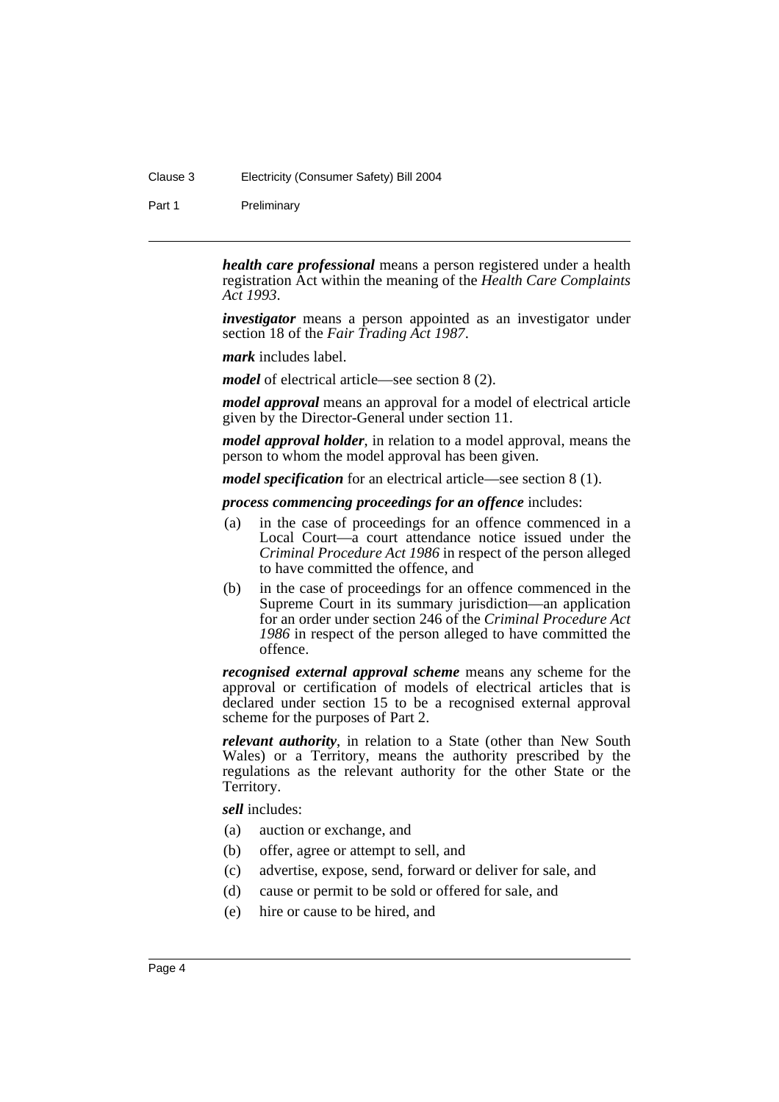#### Clause 3 Electricity (Consumer Safety) Bill 2004

Part 1 Preliminary

*health care professional* means a person registered under a health registration Act within the meaning of the *Health Care Complaints Act 1993*.

*investigator* means a person appointed as an investigator under section 18 of the *Fair Trading Act 1987*.

*mark* includes label.

*model* of electrical article—see section 8 (2).

*model approval* means an approval for a model of electrical article given by the Director-General under section 11.

*model approval holder*, in relation to a model approval, means the person to whom the model approval has been given.

*model specification* for an electrical article—see section 8 (1).

*process commencing proceedings for an offence* includes:

- (a) in the case of proceedings for an offence commenced in a Local Court—a court attendance notice issued under the *Criminal Procedure Act 1986* in respect of the person alleged to have committed the offence, and
- (b) in the case of proceedings for an offence commenced in the Supreme Court in its summary jurisdiction—an application for an order under section 246 of the *Criminal Procedure Act 1986* in respect of the person alleged to have committed the offence.

*recognised external approval scheme* means any scheme for the approval or certification of models of electrical articles that is declared under section 15 to be a recognised external approval scheme for the purposes of Part 2.

*relevant authority*, in relation to a State (other than New South Wales) or a Territory, means the authority prescribed by the regulations as the relevant authority for the other State or the Territory.

*sell* includes:

- (a) auction or exchange, and
- (b) offer, agree or attempt to sell, and
- (c) advertise, expose, send, forward or deliver for sale, and
- (d) cause or permit to be sold or offered for sale, and
- (e) hire or cause to be hired, and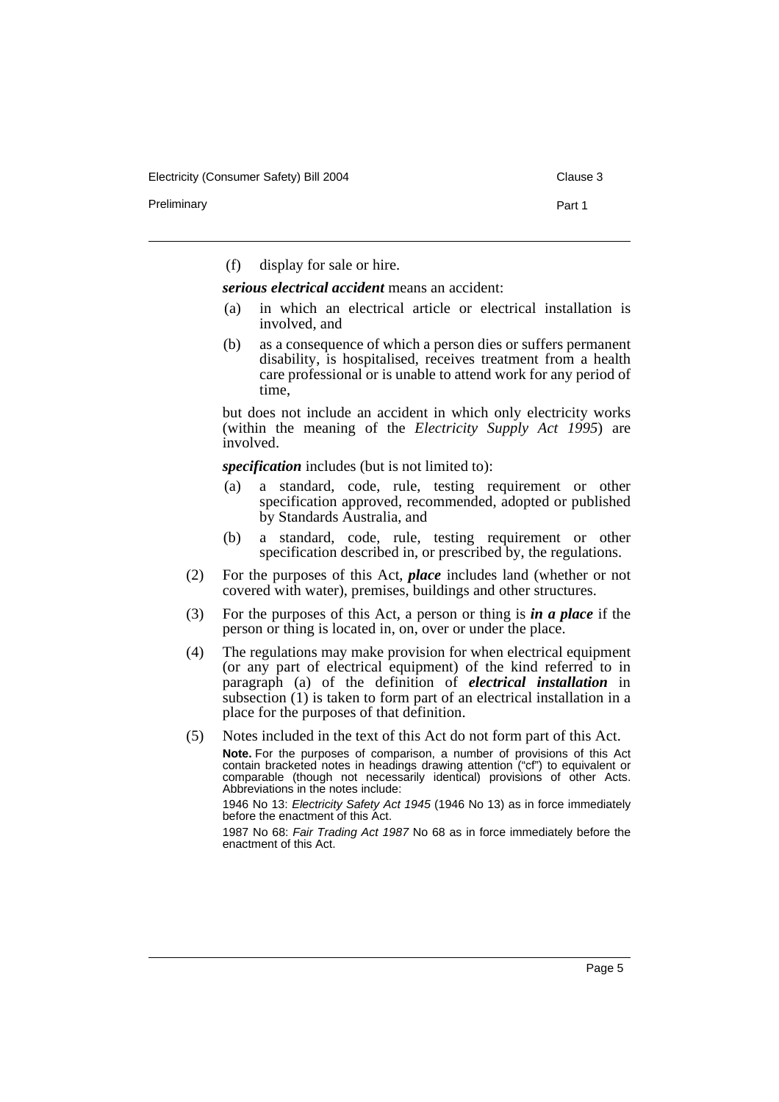Preliminary **Preliminary** Part 1

(f) display for sale or hire.

*serious electrical accident* means an accident:

- (a) in which an electrical article or electrical installation is involved, and
- (b) as a consequence of which a person dies or suffers permanent disability, is hospitalised, receives treatment from a health care professional or is unable to attend work for any period of time,

but does not include an accident in which only electricity works (within the meaning of the *Electricity Supply Act 1995*) are involved.

*specification* includes (but is not limited to):

- (a) a standard, code, rule, testing requirement or other specification approved, recommended, adopted or published by Standards Australia, and
- (b) a standard, code, rule, testing requirement or other specification described in, or prescribed by, the regulations.
- (2) For the purposes of this Act, *place* includes land (whether or not covered with water), premises, buildings and other structures.
- (3) For the purposes of this Act, a person or thing is *in a place* if the person or thing is located in, on, over or under the place.
- (4) The regulations may make provision for when electrical equipment (or any part of electrical equipment) of the kind referred to in paragraph (a) of the definition of *electrical installation* in subsection (1) is taken to form part of an electrical installation in a place for the purposes of that definition.
- (5) Notes included in the text of this Act do not form part of this Act.

**Note.** For the purposes of comparison, a number of provisions of this Act contain bracketed notes in headings drawing attention ("cf") to equivalent or comparable (though not necessarily identical) provisions of other Acts. Abbreviations in the notes include:

1946 No 13: Electricity Safety Act 1945 (1946 No 13) as in force immediately before the enactment of this Act.

1987 No 68: Fair Trading Act 1987 No 68 as in force immediately before the enactment of this Act.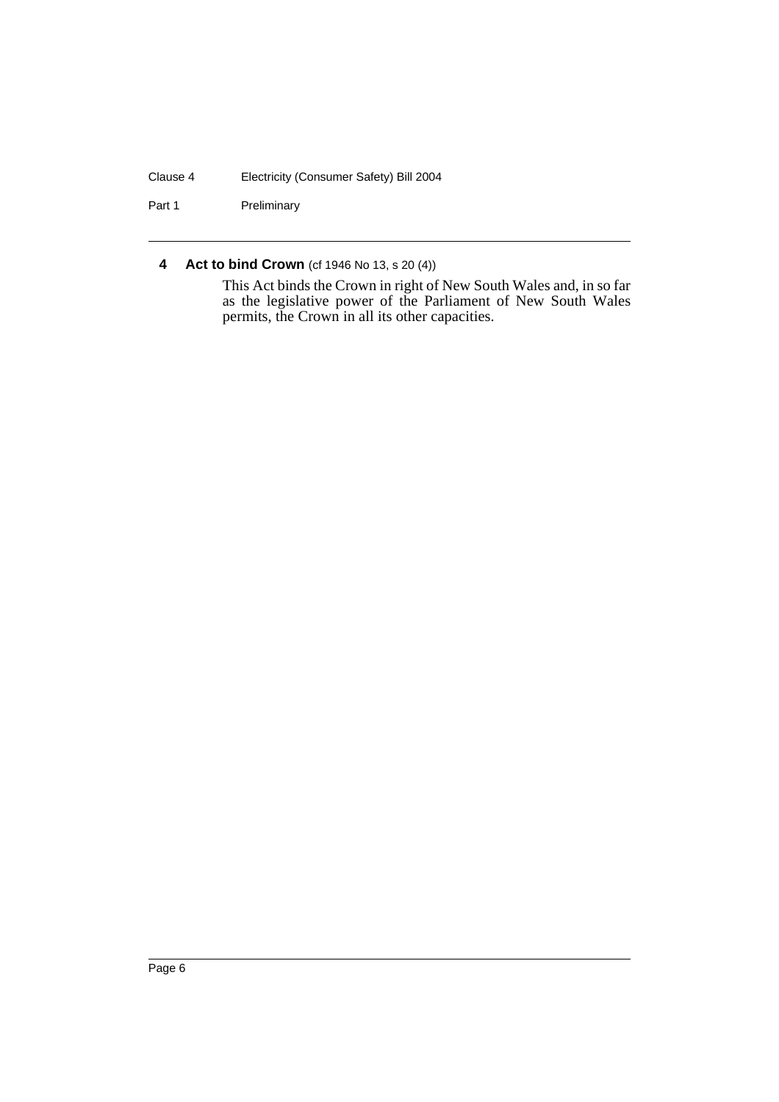## Clause 4 Electricity (Consumer Safety) Bill 2004

Part 1 Preliminary

## **4 Act to bind Crown** (cf 1946 No 13, s 20 (4))

This Act binds the Crown in right of New South Wales and, in so far as the legislative power of the Parliament of New South Wales permits, the Crown in all its other capacities.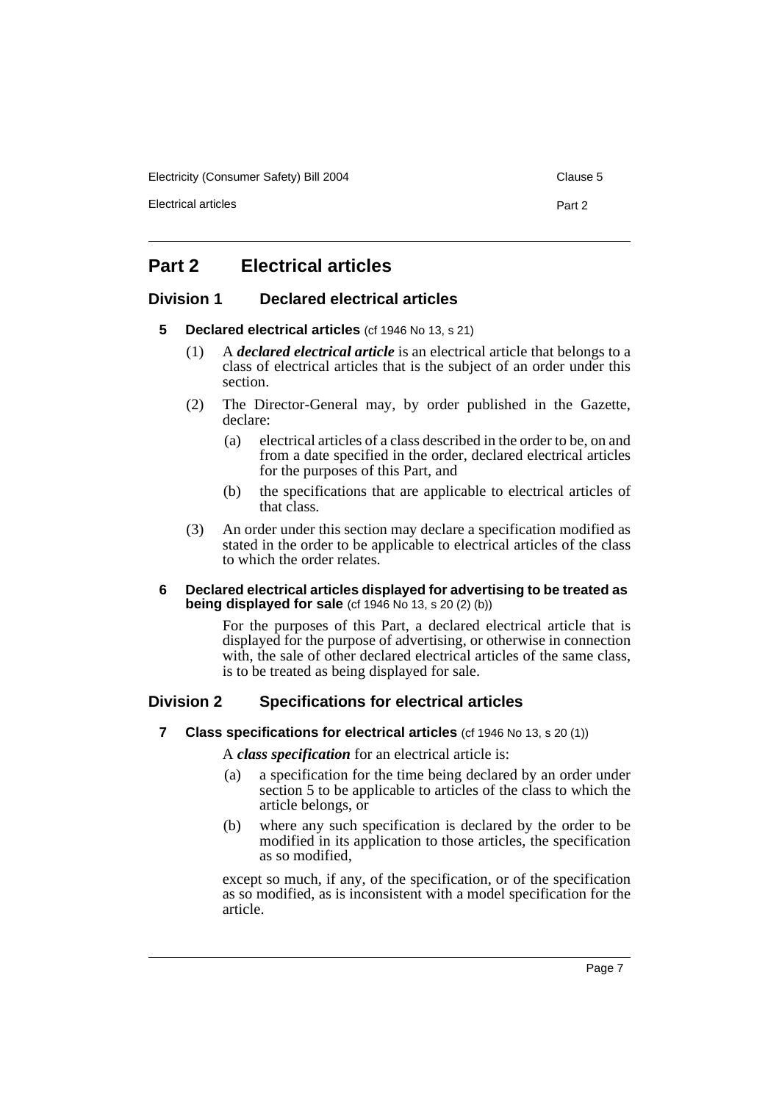Electricity (Consumer Safety) Bill 2004 Clause 5

Electrical articles **Part 2** 

# **Part 2 Electrical articles**

## **Division 1 Declared electrical articles**

#### **5 Declared electrical articles** (cf 1946 No 13, s 21)

- (1) A *declared electrical article* is an electrical article that belongs to a class of electrical articles that is the subject of an order under this section.
- (2) The Director-General may, by order published in the Gazette, declare:
	- (a) electrical articles of a class described in the order to be, on and from a date specified in the order, declared electrical articles for the purposes of this Part, and
	- (b) the specifications that are applicable to electrical articles of that class.
- (3) An order under this section may declare a specification modified as stated in the order to be applicable to electrical articles of the class to which the order relates.

#### **6 Declared electrical articles displayed for advertising to be treated as being displayed for sale** (cf 1946 No 13, s 20 (2) (b))

For the purposes of this Part, a declared electrical article that is displayed for the purpose of advertising, or otherwise in connection with, the sale of other declared electrical articles of the same class, is to be treated as being displayed for sale.

## **Division 2 Specifications for electrical articles**

**7** Class specifications for electrical articles (cf 1946 No 13, s 20 (1))

A *class specification* for an electrical article is:

- (a) a specification for the time being declared by an order under section 5 to be applicable to articles of the class to which the article belongs, or
- (b) where any such specification is declared by the order to be modified in its application to those articles, the specification as so modified,

except so much, if any, of the specification, or of the specification as so modified, as is inconsistent with a model specification for the article.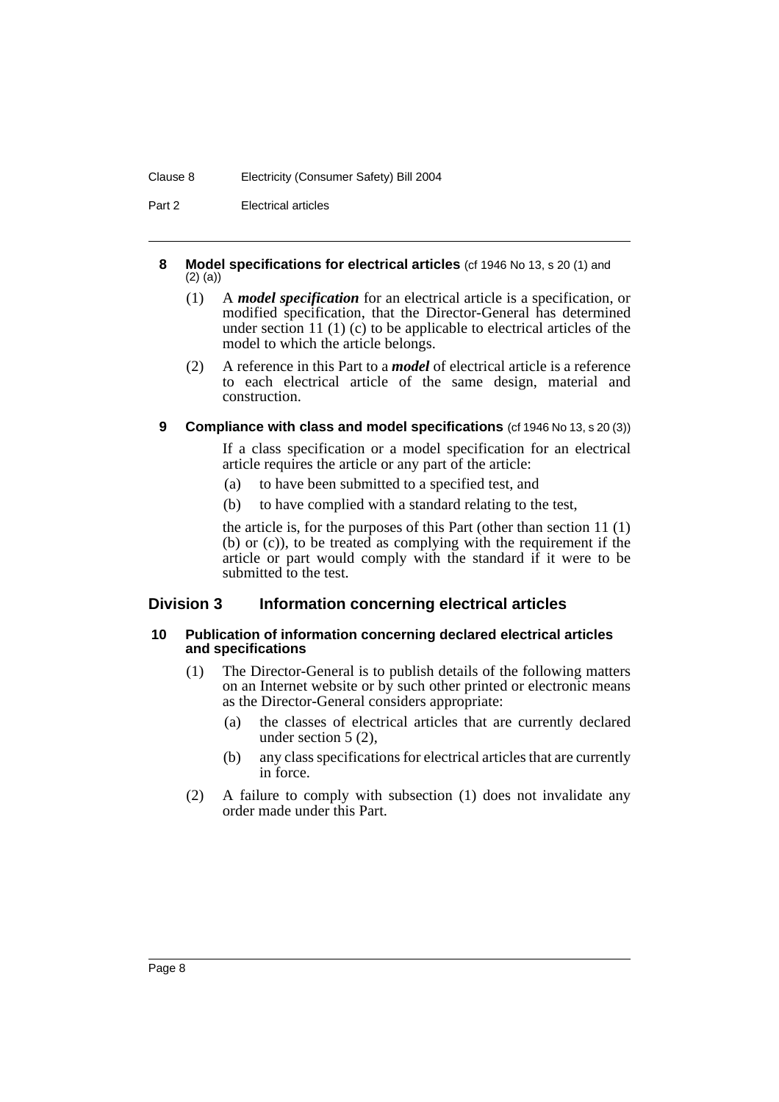#### Clause 8 Electricity (Consumer Safety) Bill 2004

Part 2 Electrical articles

#### **8 Model specifications for electrical articles** (cf 1946 No 13, s 20 (1) and (2) (a))

- (1) A *model specification* for an electrical article is a specification, or modified specification, that the Director-General has determined under section 11 (1) (c) to be applicable to electrical articles of the model to which the article belongs.
- (2) A reference in this Part to a *model* of electrical article is a reference to each electrical article of the same design, material and construction.

## **9 Compliance with class and model specifications** (cf 1946 No 13, s 20 (3))

If a class specification or a model specification for an electrical article requires the article or any part of the article:

- (a) to have been submitted to a specified test, and
- (b) to have complied with a standard relating to the test,

the article is, for the purposes of this Part (other than section 11 (1) (b) or (c)), to be treated as complying with the requirement if the article or part would comply with the standard if it were to be submitted to the test.

## **Division 3 Information concerning electrical articles**

#### **10 Publication of information concerning declared electrical articles and specifications**

- (1) The Director-General is to publish details of the following matters on an Internet website or by such other printed or electronic means as the Director-General considers appropriate:
	- (a) the classes of electrical articles that are currently declared under section 5 (2),
	- (b) any class specifications for electrical articles that are currently in force.
- (2) A failure to comply with subsection (1) does not invalidate any order made under this Part.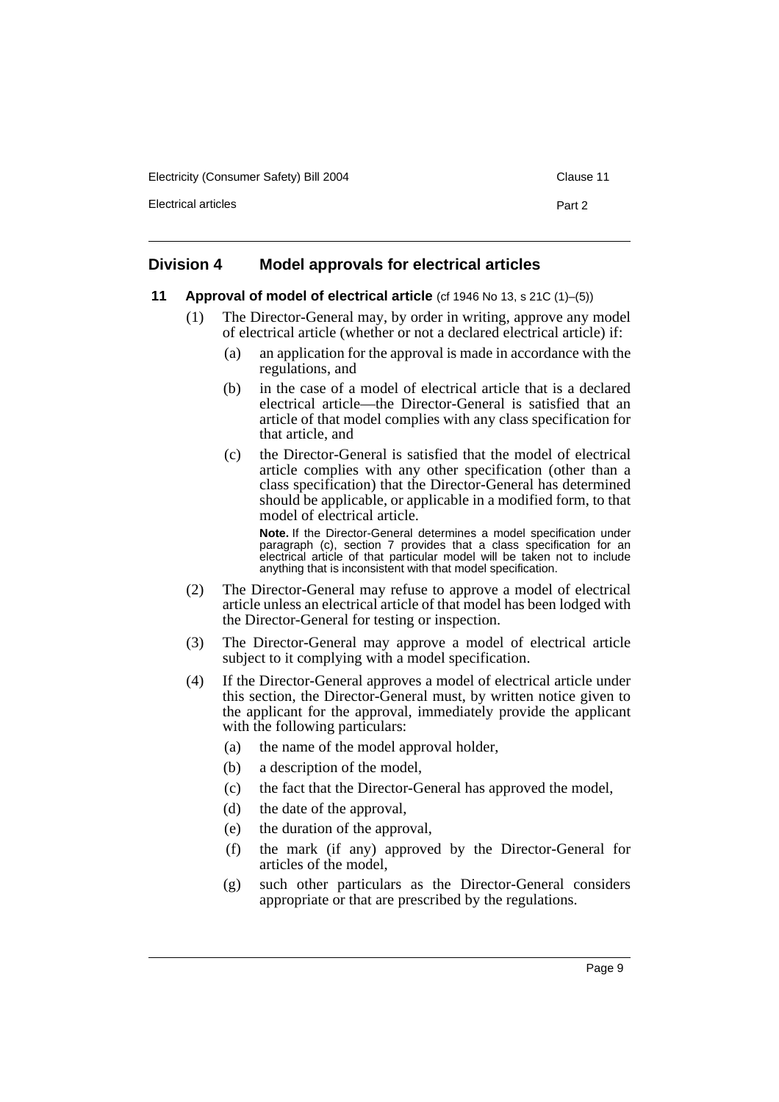Electricity (Consumer Safety) Bill 2004 Clause 11

Electrical articles **Part 2** 

## **Division 4 Model approvals for electrical articles**

#### **11 Approval of model of electrical article** (cf 1946 No 13, s 21C (1)–(5))

- (1) The Director-General may, by order in writing, approve any model of electrical article (whether or not a declared electrical article) if:
	- (a) an application for the approval is made in accordance with the regulations, and
	- (b) in the case of a model of electrical article that is a declared electrical article—the Director-General is satisfied that an article of that model complies with any class specification for that article, and
	- (c) the Director-General is satisfied that the model of electrical article complies with any other specification (other than a class specification) that the Director-General has determined should be applicable, or applicable in a modified form, to that model of electrical article.

**Note.** If the Director-General determines a model specification under paragraph (c), section 7 provides that a class specification for an electrical article of that particular model will be taken not to include anything that is inconsistent with that model specification.

- (2) The Director-General may refuse to approve a model of electrical article unless an electrical article of that model has been lodged with the Director-General for testing or inspection.
- (3) The Director-General may approve a model of electrical article subject to it complying with a model specification.
- (4) If the Director-General approves a model of electrical article under this section, the Director-General must, by written notice given to the applicant for the approval, immediately provide the applicant with the following particulars:
	- (a) the name of the model approval holder,
	- (b) a description of the model,
	- (c) the fact that the Director-General has approved the model,
	- (d) the date of the approval,
	- (e) the duration of the approval,
	- (f) the mark (if any) approved by the Director-General for articles of the model,
	- (g) such other particulars as the Director-General considers appropriate or that are prescribed by the regulations.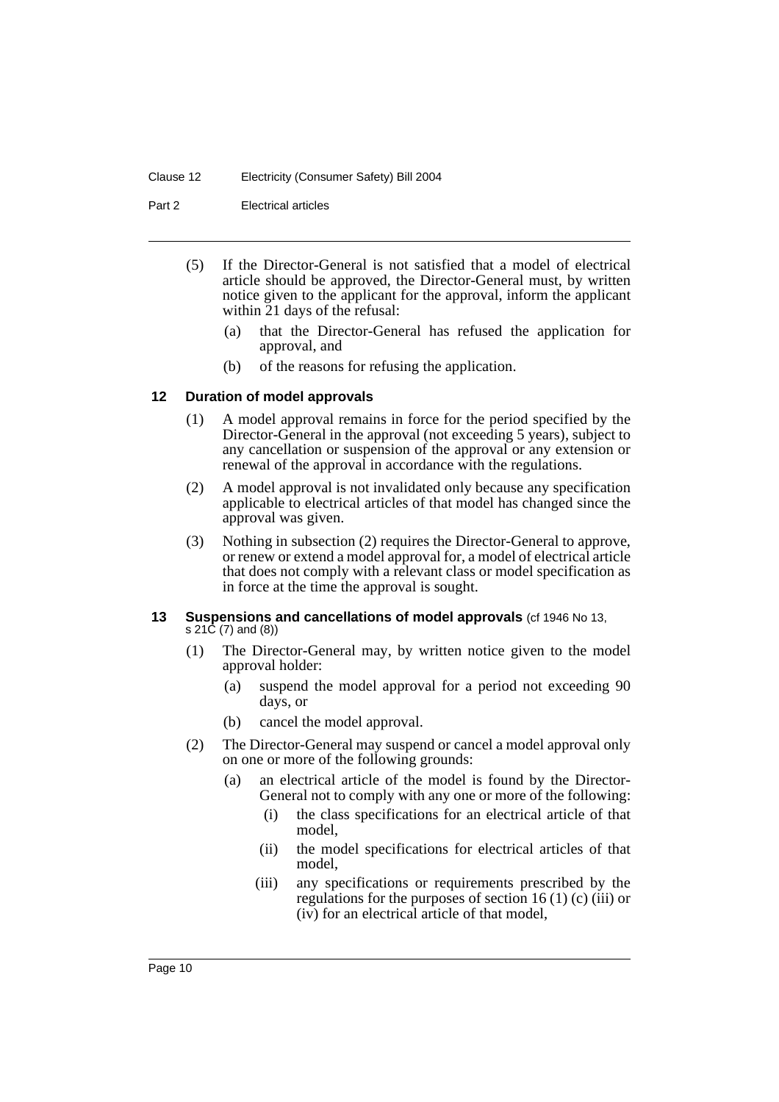Part 2 Electrical articles

- (5) If the Director-General is not satisfied that a model of electrical article should be approved, the Director-General must, by written notice given to the applicant for the approval, inform the applicant within 21 days of the refusal:
	- (a) that the Director-General has refused the application for approval, and
	- (b) of the reasons for refusing the application.

#### **12 Duration of model approvals**

- (1) A model approval remains in force for the period specified by the Director-General in the approval (not exceeding 5 years), subject to any cancellation or suspension of the approval or any extension or renewal of the approval in accordance with the regulations.
- (2) A model approval is not invalidated only because any specification applicable to electrical articles of that model has changed since the approval was given.
- (3) Nothing in subsection (2) requires the Director-General to approve, or renew or extend a model approval for, a model of electrical article that does not comply with a relevant class or model specification as in force at the time the approval is sought.

#### **13 Suspensions and cancellations of model approvals (cf 1946 No 13,** s 21C (7) and (8))

- (1) The Director-General may, by written notice given to the model approval holder:
	- (a) suspend the model approval for a period not exceeding 90 days, or
	- (b) cancel the model approval.
- (2) The Director-General may suspend or cancel a model approval only on one or more of the following grounds:
	- (a) an electrical article of the model is found by the Director-General not to comply with any one or more of the following:
		- (i) the class specifications for an electrical article of that model,
		- (ii) the model specifications for electrical articles of that model,
		- (iii) any specifications or requirements prescribed by the regulations for the purposes of section 16 (1) (c) (iii) or (iv) for an electrical article of that model,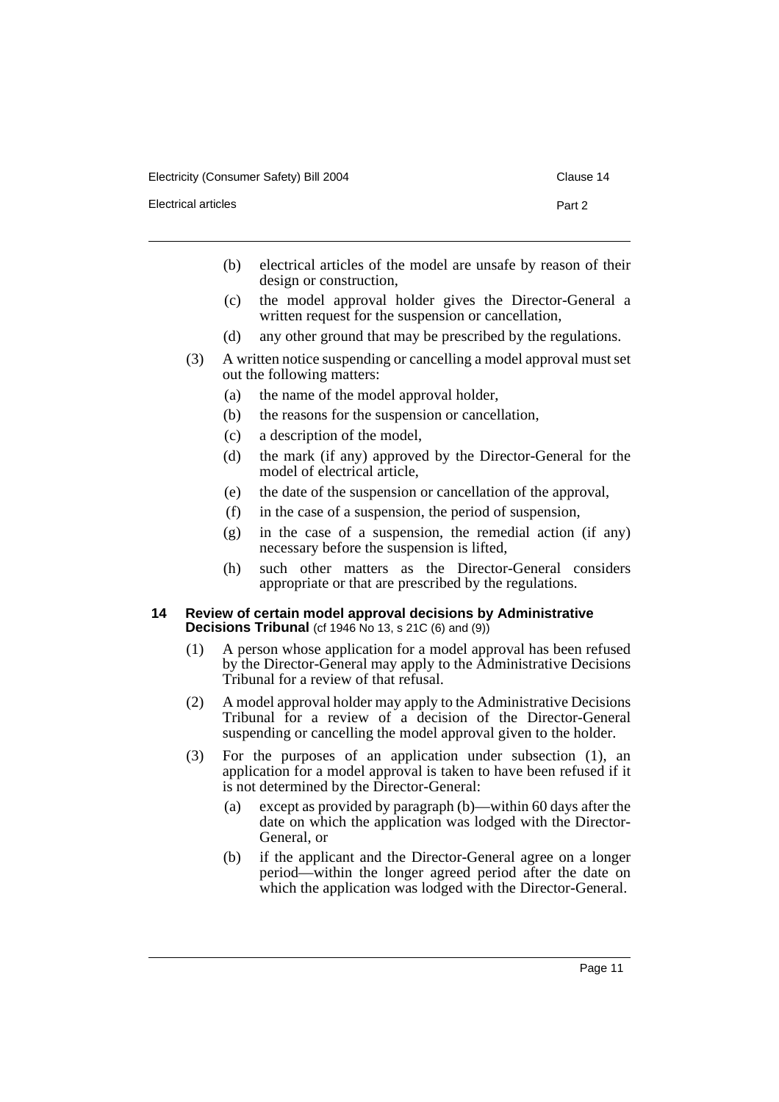Electrical articles **Part 2** 

- 
- (b) electrical articles of the model are unsafe by reason of their design or construction,
- (c) the model approval holder gives the Director-General a written request for the suspension or cancellation,
- (d) any other ground that may be prescribed by the regulations.
- (3) A written notice suspending or cancelling a model approval must set out the following matters:
	- (a) the name of the model approval holder,
	- (b) the reasons for the suspension or cancellation,
	- (c) a description of the model,
	- (d) the mark (if any) approved by the Director-General for the model of electrical article,
	- (e) the date of the suspension or cancellation of the approval,
	- (f) in the case of a suspension, the period of suspension,
	- (g) in the case of a suspension, the remedial action (if any) necessary before the suspension is lifted,
	- (h) such other matters as the Director-General considers appropriate or that are prescribed by the regulations.

#### **14 Review of certain model approval decisions by Administrative Decisions Tribunal** (cf 1946 No 13, s 21C (6) and (9))

- (1) A person whose application for a model approval has been refused by the Director-General may apply to the Administrative Decisions Tribunal for a review of that refusal.
- (2) A model approval holder may apply to the Administrative Decisions Tribunal for a review of a decision of the Director-General suspending or cancelling the model approval given to the holder.
- (3) For the purposes of an application under subsection (1), an application for a model approval is taken to have been refused if it is not determined by the Director-General:
	- (a) except as provided by paragraph (b)—within 60 days after the date on which the application was lodged with the Director-General, or
	- (b) if the applicant and the Director-General agree on a longer period—within the longer agreed period after the date on which the application was lodged with the Director-General.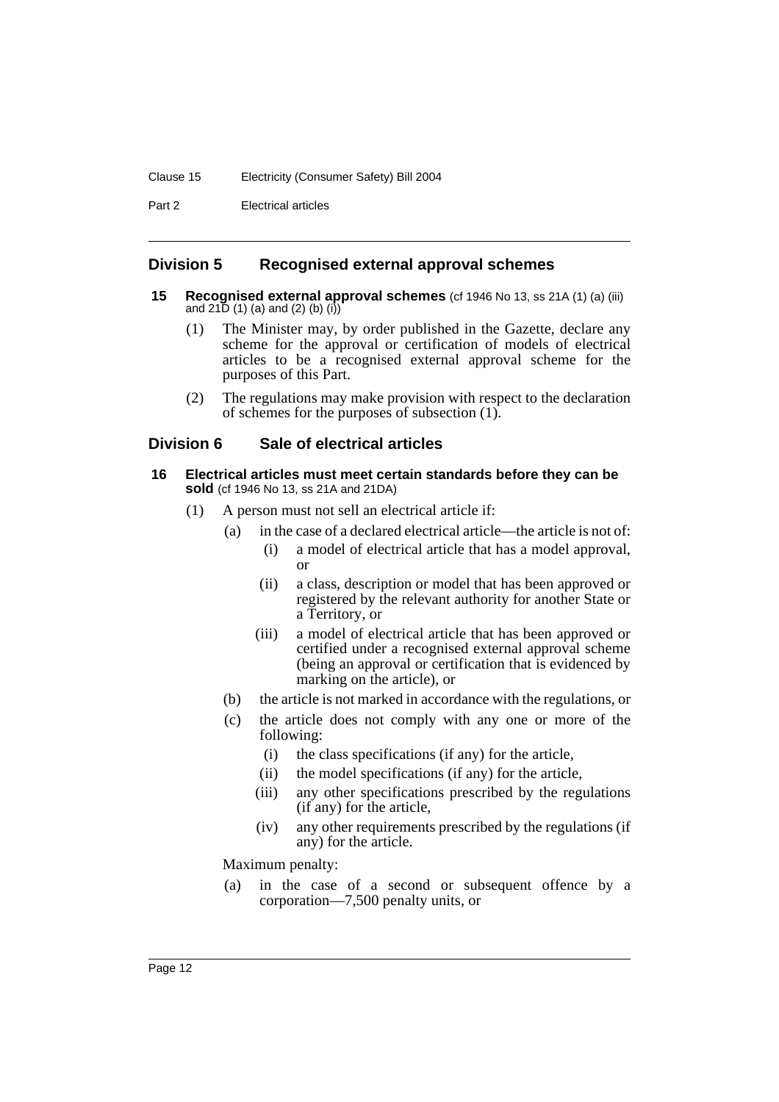#### Clause 15 Electricity (Consumer Safety) Bill 2004

Part 2 Electrical articles

## **Division 5 Recognised external approval schemes**

- **15 Recognised external approval schemes** (cf 1946 No 13, ss 21A (1) (a) (iii) and  $21\bar{D}$  (1) (a) and (2) (b) (i))
	- (1) The Minister may, by order published in the Gazette, declare any scheme for the approval or certification of models of electrical articles to be a recognised external approval scheme for the purposes of this Part.
	- (2) The regulations may make provision with respect to the declaration of schemes for the purposes of subsection (1).

## **Division 6 Sale of electrical articles**

- **16 Electrical articles must meet certain standards before they can be sold** (cf 1946 No 13, ss 21A and 21DA)
	- (1) A person must not sell an electrical article if:
		- (a) in the case of a declared electrical article—the article is not of:
			- (i) a model of electrical article that has a model approval, or
			- (ii) a class, description or model that has been approved or registered by the relevant authority for another State or a Territory, or
			- (iii) a model of electrical article that has been approved or certified under a recognised external approval scheme (being an approval or certification that is evidenced by marking on the article), or
		- (b) the article is not marked in accordance with the regulations, or
		- (c) the article does not comply with any one or more of the following:
			- (i) the class specifications (if any) for the article,
			- (ii) the model specifications (if any) for the article,
			- (iii) any other specifications prescribed by the regulations (if any) for the article,
			- (iv) any other requirements prescribed by the regulations (if any) for the article.

Maximum penalty:

(a) in the case of a second or subsequent offence by a corporation—7,500 penalty units, or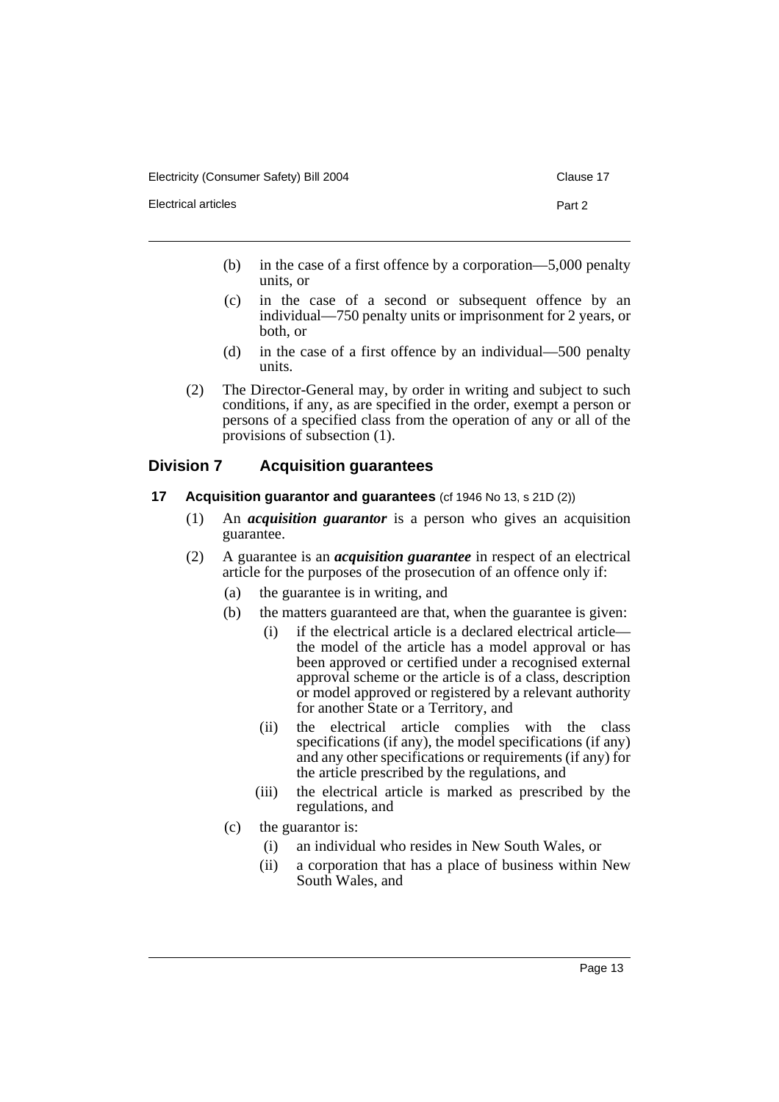- (b) in the case of a first offence by a corporation—5,000 penalty units, or
- (c) in the case of a second or subsequent offence by an individual—750 penalty units or imprisonment for 2 years, or both, or
- (d) in the case of a first offence by an individual—500 penalty units.
- (2) The Director-General may, by order in writing and subject to such conditions, if any, as are specified in the order, exempt a person or persons of a specified class from the operation of any or all of the provisions of subsection (1).

## **Division 7 Acquisition guarantees**

#### **17 Acquisition guarantor and guarantees** (cf 1946 No 13, s 21D (2))

- (1) An *acquisition guarantor* is a person who gives an acquisition guarantee.
- (2) A guarantee is an *acquisition guarantee* in respect of an electrical article for the purposes of the prosecution of an offence only if:
	- (a) the guarantee is in writing, and
	- (b) the matters guaranteed are that, when the guarantee is given:
		- (i) if the electrical article is a declared electrical article the model of the article has a model approval or has been approved or certified under a recognised external approval scheme or the article is of a class, description or model approved or registered by a relevant authority for another State or a Territory, and
		- (ii) the electrical article complies with the class specifications (if any), the model specifications (if any) and any other specifications or requirements (if any) for the article prescribed by the regulations, and
		- (iii) the electrical article is marked as prescribed by the regulations, and
	- (c) the guarantor is:
		- (i) an individual who resides in New South Wales, or
		- (ii) a corporation that has a place of business within New South Wales, and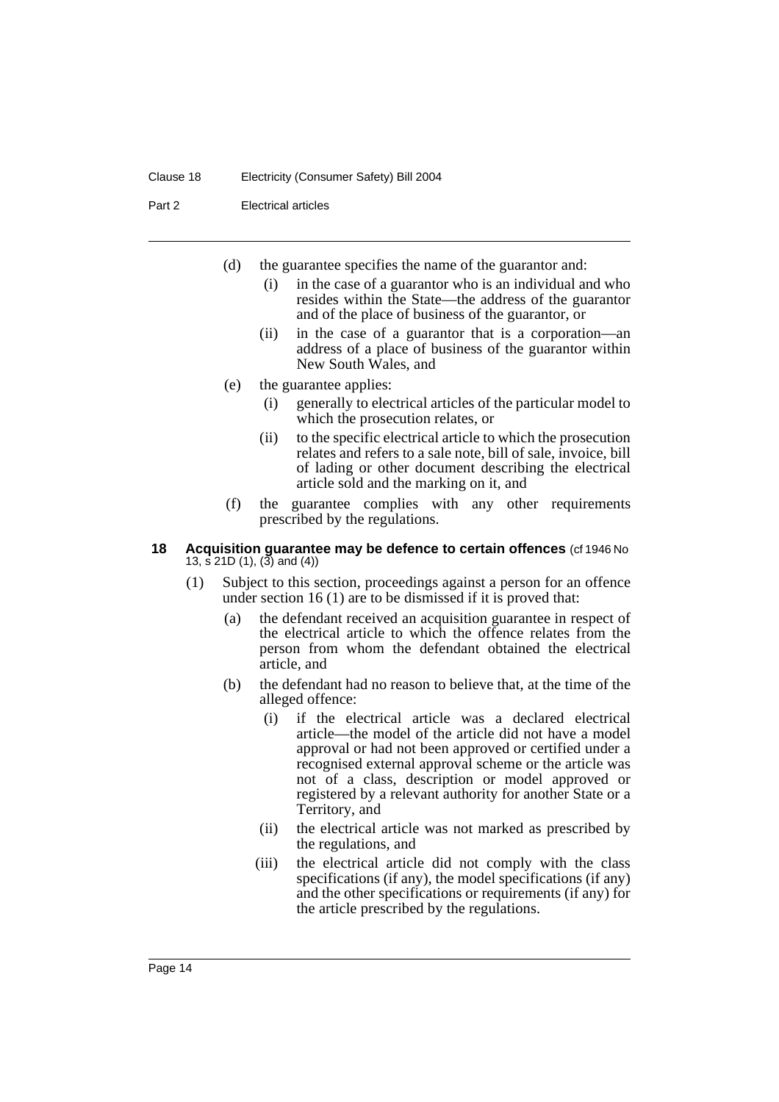#### Clause 18 Electricity (Consumer Safety) Bill 2004

#### Part 2 Electrical articles

- (d) the guarantee specifies the name of the guarantor and:
	- (i) in the case of a guarantor who is an individual and who resides within the State—the address of the guarantor and of the place of business of the guarantor, or
	- (ii) in the case of a guarantor that is a corporation—an address of a place of business of the guarantor within New South Wales, and
- (e) the guarantee applies:
	- (i) generally to electrical articles of the particular model to which the prosecution relates, or
	- (ii) to the specific electrical article to which the prosecution relates and refers to a sale note, bill of sale, invoice, bill of lading or other document describing the electrical article sold and the marking on it, and
- (f) the guarantee complies with any other requirements prescribed by the regulations.

#### **18 Acquisition guarantee may be defence to certain offences** (cf 1946 No 13, s  $21D(1)$ ,  $3$  and  $(4)$ )

- (1) Subject to this section, proceedings against a person for an offence under section 16 (1) are to be dismissed if it is proved that:
	- (a) the defendant received an acquisition guarantee in respect of the electrical article to which the offence relates from the person from whom the defendant obtained the electrical article, and
	- (b) the defendant had no reason to believe that, at the time of the alleged offence:
		- (i) if the electrical article was a declared electrical article—the model of the article did not have a model approval or had not been approved or certified under a recognised external approval scheme or the article was not of a class, description or model approved or registered by a relevant authority for another State or a Territory, and
		- (ii) the electrical article was not marked as prescribed by the regulations, and
		- (iii) the electrical article did not comply with the class specifications (if any), the model specifications (if any) and the other specifications or requirements (if any) for the article prescribed by the regulations.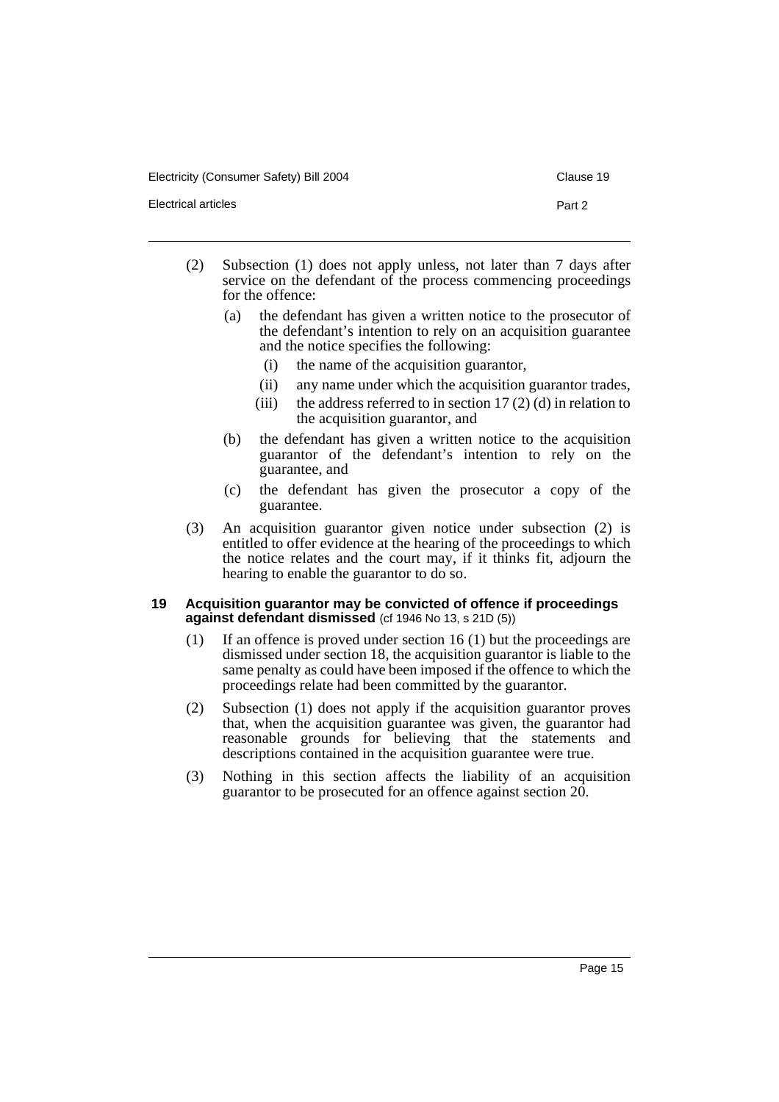Electricity (Consumer Safety) Bill 2004 Clause 19

- (2) Subsection (1) does not apply unless, not later than 7 days after service on the defendant of the process commencing proceedings for the offence:
	- (a) the defendant has given a written notice to the prosecutor of the defendant's intention to rely on an acquisition guarantee and the notice specifies the following:
		- (i) the name of the acquisition guarantor,
		- (ii) any name under which the acquisition guarantor trades,
		- (iii) the address referred to in section  $17(2)$  (d) in relation to the acquisition guarantor, and
	- (b) the defendant has given a written notice to the acquisition guarantor of the defendant's intention to rely on the guarantee, and
	- (c) the defendant has given the prosecutor a copy of the guarantee.
- (3) An acquisition guarantor given notice under subsection (2) is entitled to offer evidence at the hearing of the proceedings to which the notice relates and the court may, if it thinks fit, adjourn the hearing to enable the guarantor to do so.

#### **19 Acquisition guarantor may be convicted of offence if proceedings against defendant dismissed** (cf 1946 No 13, s 21D (5))

- (1) If an offence is proved under section 16 (1) but the proceedings are dismissed under section 18, the acquisition guarantor is liable to the same penalty as could have been imposed if the offence to which the proceedings relate had been committed by the guarantor.
- (2) Subsection (1) does not apply if the acquisition guarantor proves that, when the acquisition guarantee was given, the guarantor had reasonable grounds for believing that the statements and descriptions contained in the acquisition guarantee were true.
- (3) Nothing in this section affects the liability of an acquisition guarantor to be prosecuted for an offence against section 20.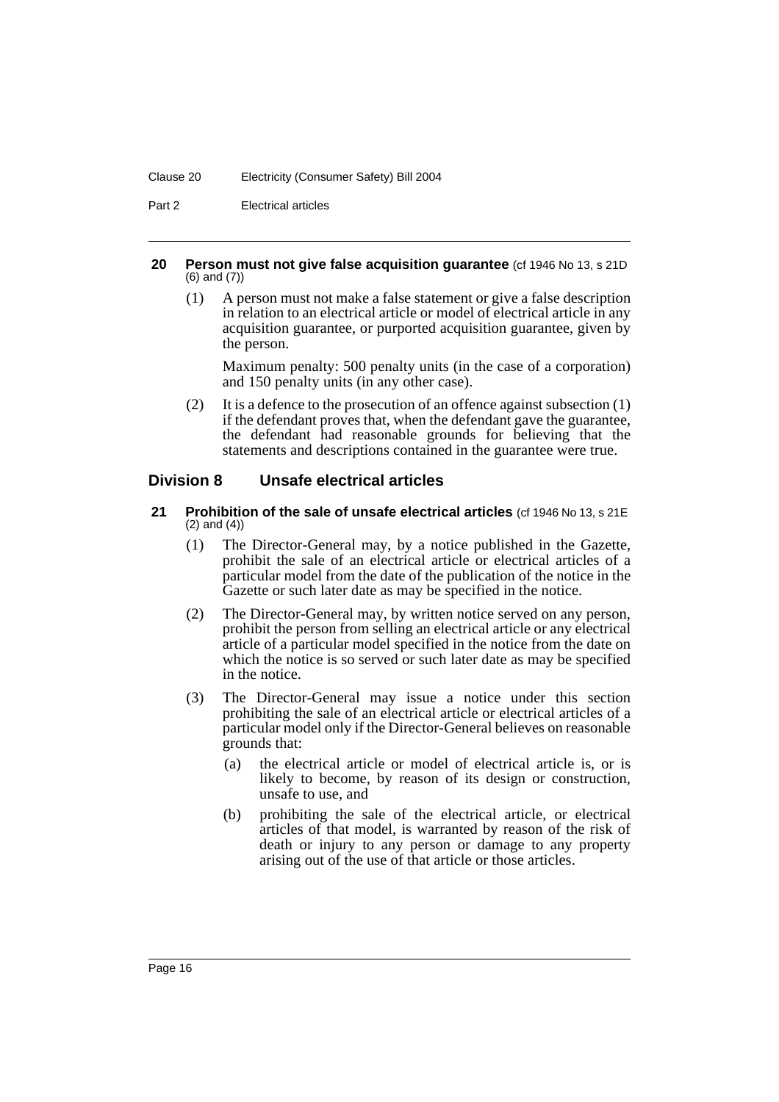#### Clause 20 Electricity (Consumer Safety) Bill 2004

Part 2 Electrical articles

#### **20 Person must not give false acquisition guarantee** (cf 1946 No 13, s 21D (6) and (7))

(1) A person must not make a false statement or give a false description in relation to an electrical article or model of electrical article in any acquisition guarantee, or purported acquisition guarantee, given by the person.

Maximum penalty: 500 penalty units (in the case of a corporation) and 150 penalty units (in any other case).

(2) It is a defence to the prosecution of an offence against subsection (1) if the defendant proves that, when the defendant gave the guarantee, the defendant had reasonable grounds for believing that the statements and descriptions contained in the guarantee were true.

## **Division 8 Unsafe electrical articles**

- **21 Prohibition of the sale of unsafe electrical articles** (cf 1946 No 13, s 21E) (2) and (4))
	- (1) The Director-General may, by a notice published in the Gazette, prohibit the sale of an electrical article or electrical articles of a particular model from the date of the publication of the notice in the Gazette or such later date as may be specified in the notice.
	- (2) The Director-General may, by written notice served on any person, prohibit the person from selling an electrical article or any electrical article of a particular model specified in the notice from the date on which the notice is so served or such later date as may be specified in the notice.
	- (3) The Director-General may issue a notice under this section prohibiting the sale of an electrical article or electrical articles of a particular model only if the Director-General believes on reasonable grounds that:
		- (a) the electrical article or model of electrical article is, or is likely to become, by reason of its design or construction, unsafe to use, and
		- (b) prohibiting the sale of the electrical article, or electrical articles of that model, is warranted by reason of the risk of death or injury to any person or damage to any property arising out of the use of that article or those articles.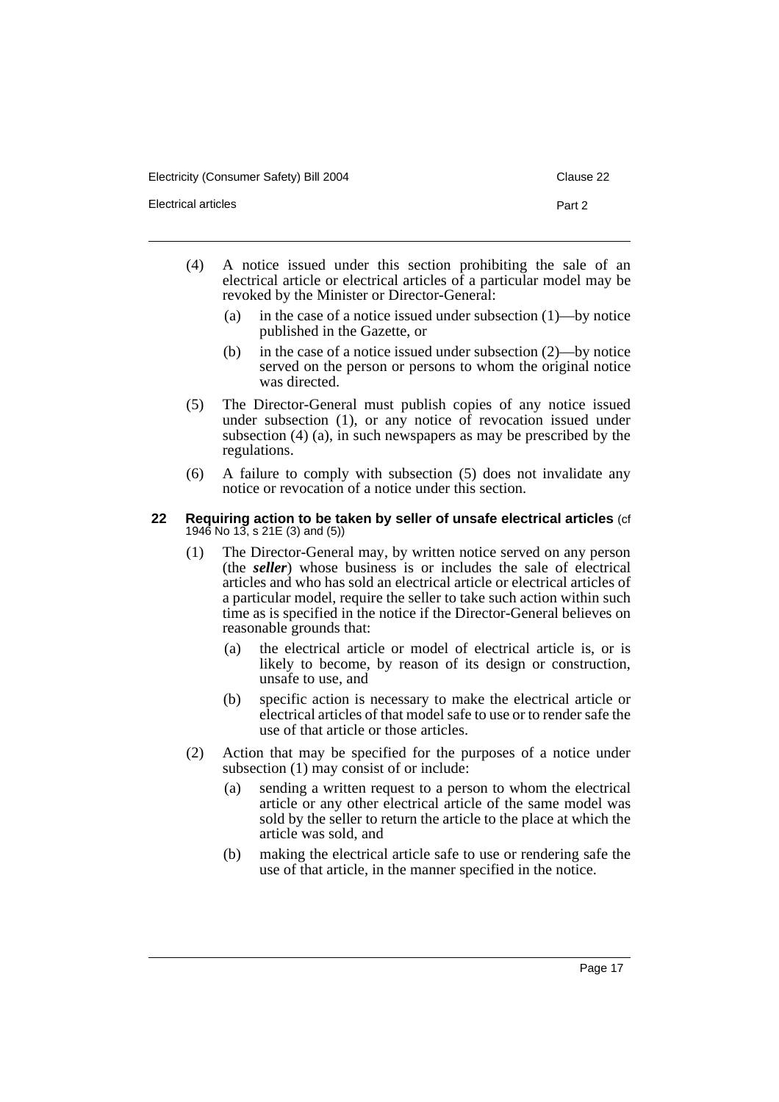Electricity (Consumer Safety) Bill 2004 Clause 22

Electrical articles **Part 2** 

- 
- (4) A notice issued under this section prohibiting the sale of an electrical article or electrical articles of a particular model may be revoked by the Minister or Director-General:
	- (a) in the case of a notice issued under subsection (1)—by notice published in the Gazette, or
	- (b) in the case of a notice issued under subsection (2)—by notice served on the person or persons to whom the original notice was directed.
- (5) The Director-General must publish copies of any notice issued under subsection (1), or any notice of revocation issued under subsection (4) (a), in such newspapers as may be prescribed by the regulations.
- (6) A failure to comply with subsection (5) does not invalidate any notice or revocation of a notice under this section.

#### **22 Requiring action to be taken by seller of unsafe electrical articles** (cf 1946 No 13, s 21E (3) and (5))

- (1) The Director-General may, by written notice served on any person (the *seller*) whose business is or includes the sale of electrical articles and who has sold an electrical article or electrical articles of a particular model, require the seller to take such action within such time as is specified in the notice if the Director-General believes on reasonable grounds that:
	- (a) the electrical article or model of electrical article is, or is likely to become, by reason of its design or construction, unsafe to use, and
	- (b) specific action is necessary to make the electrical article or electrical articles of that model safe to use or to render safe the use of that article or those articles.
- (2) Action that may be specified for the purposes of a notice under subsection (1) may consist of or include:
	- (a) sending a written request to a person to whom the electrical article or any other electrical article of the same model was sold by the seller to return the article to the place at which the article was sold, and
	- (b) making the electrical article safe to use or rendering safe the use of that article, in the manner specified in the notice.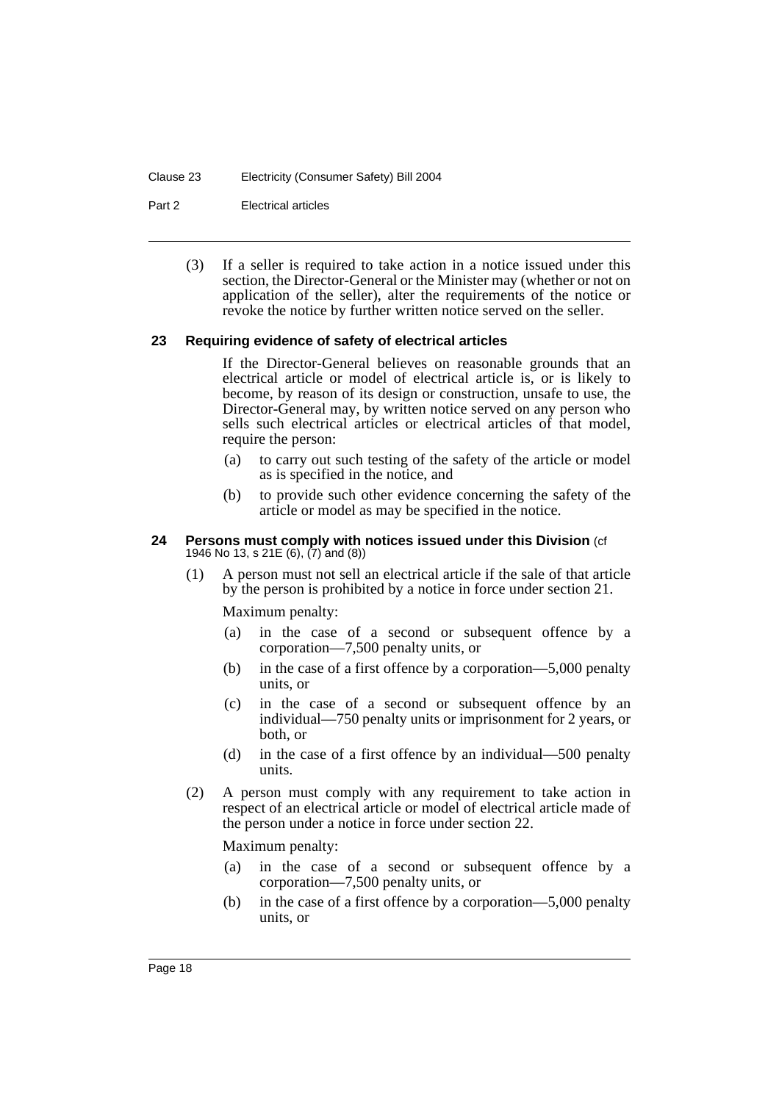#### Clause 23 Electricity (Consumer Safety) Bill 2004

Part 2 Electrical articles

(3) If a seller is required to take action in a notice issued under this section, the Director-General or the Minister may (whether or not on application of the seller), alter the requirements of the notice or revoke the notice by further written notice served on the seller.

#### **23 Requiring evidence of safety of electrical articles**

If the Director-General believes on reasonable grounds that an electrical article or model of electrical article is, or is likely to become, by reason of its design or construction, unsafe to use, the Director-General may, by written notice served on any person who sells such electrical articles or electrical articles of that model, require the person:

- (a) to carry out such testing of the safety of the article or model as is specified in the notice, and
- (b) to provide such other evidence concerning the safety of the article or model as may be specified in the notice.

#### **24 Persons must comply with notices issued under this Division** (cf 1946 No 13, s 21E (6), (7) and (8))

(1) A person must not sell an electrical article if the sale of that article by the person is prohibited by a notice in force under section 21.

#### Maximum penalty:

- (a) in the case of a second or subsequent offence by a corporation—7,500 penalty units, or
- (b) in the case of a first offence by a corporation—5,000 penalty units, or
- (c) in the case of a second or subsequent offence by an individual—750 penalty units or imprisonment for 2 years, or both, or
- (d) in the case of a first offence by an individual—500 penalty units.
- (2) A person must comply with any requirement to take action in respect of an electrical article or model of electrical article made of the person under a notice in force under section 22.

Maximum penalty:

- (a) in the case of a second or subsequent offence by a corporation—7,500 penalty units, or
- (b) in the case of a first offence by a corporation—5,000 penalty units, or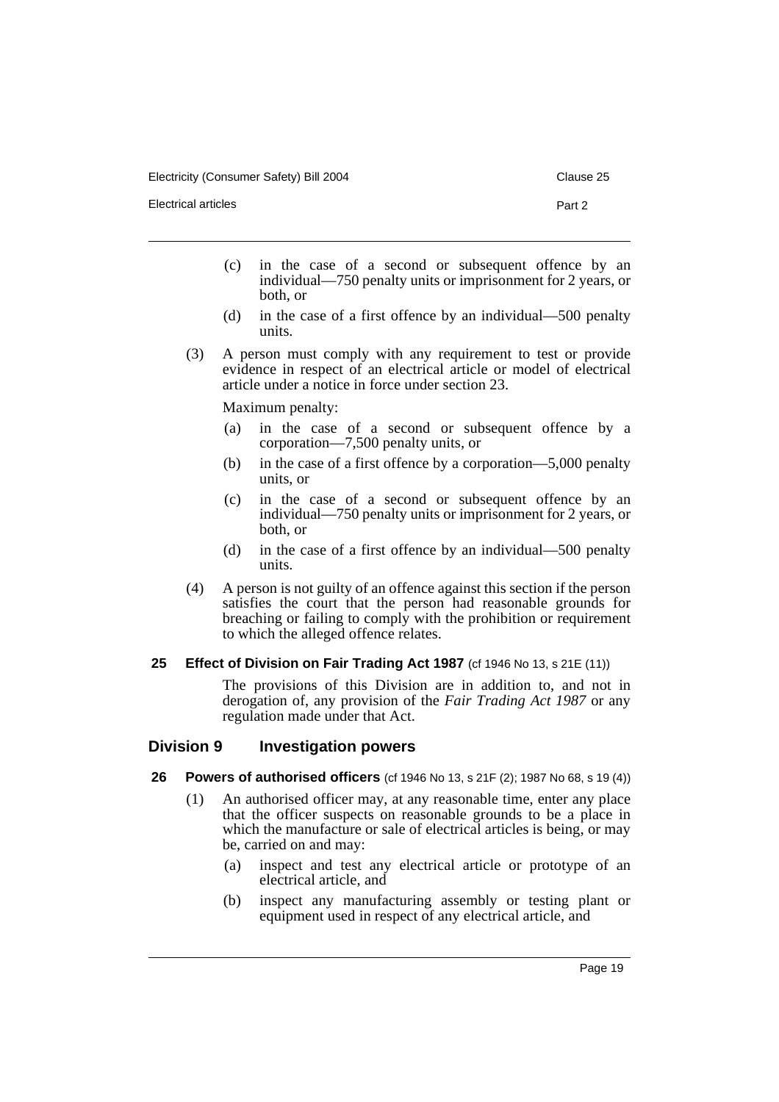Electrical articles Part 2

- 
- (c) in the case of a second or subsequent offence by an individual—750 penalty units or imprisonment for 2 years, or both, or
- (d) in the case of a first offence by an individual—500 penalty units.
- (3) A person must comply with any requirement to test or provide evidence in respect of an electrical article or model of electrical article under a notice in force under section 23.

Maximum penalty:

- (a) in the case of a second or subsequent offence by a corporation—7,500 penalty units, or
- (b) in the case of a first offence by a corporation—5,000 penalty units, or
- (c) in the case of a second or subsequent offence by an individual—750 penalty units or imprisonment for 2 years, or both, or
- (d) in the case of a first offence by an individual—500 penalty units.
- (4) A person is not guilty of an offence against this section if the person satisfies the court that the person had reasonable grounds for breaching or failing to comply with the prohibition or requirement to which the alleged offence relates.
- **25 Effect of Division on Fair Trading Act 1987** (cf 1946 No 13, s 21E (11))

The provisions of this Division are in addition to, and not in derogation of, any provision of the *Fair Trading Act 1987* or any regulation made under that Act.

#### **Division 9 Investigation powers**

- **26 Powers of authorised officers** (cf 1946 No 13, s 21F (2); 1987 No 68, s 19 (4))
	- (1) An authorised officer may, at any reasonable time, enter any place that the officer suspects on reasonable grounds to be a place in which the manufacture or sale of electrical articles is being, or may be, carried on and may:
		- (a) inspect and test any electrical article or prototype of an electrical article, and
		- (b) inspect any manufacturing assembly or testing plant or equipment used in respect of any electrical article, and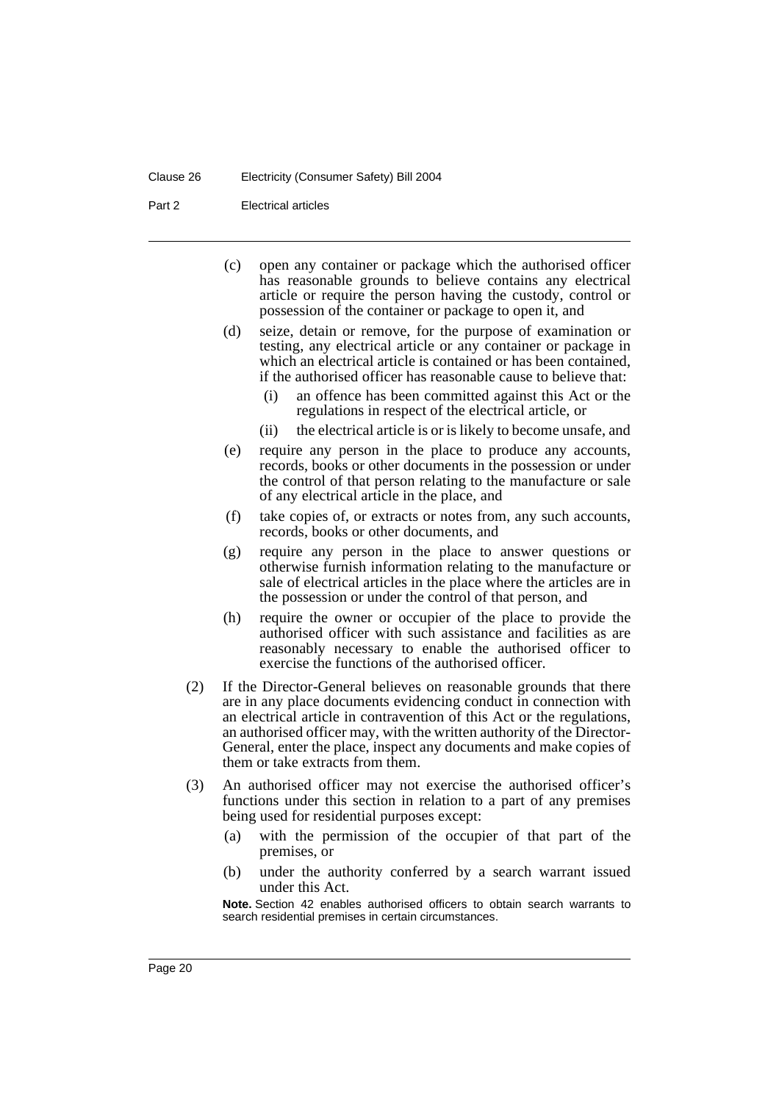Part 2 Electrical articles

- (c) open any container or package which the authorised officer has reasonable grounds to believe contains any electrical article or require the person having the custody, control or possession of the container or package to open it, and
- (d) seize, detain or remove, for the purpose of examination or testing, any electrical article or any container or package in which an electrical article is contained or has been contained, if the authorised officer has reasonable cause to believe that:
	- (i) an offence has been committed against this Act or the regulations in respect of the electrical article, or
	- (ii) the electrical article is or is likely to become unsafe, and
- (e) require any person in the place to produce any accounts, records, books or other documents in the possession or under the control of that person relating to the manufacture or sale of any electrical article in the place, and
- (f) take copies of, or extracts or notes from, any such accounts, records, books or other documents, and
- (g) require any person in the place to answer questions or otherwise furnish information relating to the manufacture or sale of electrical articles in the place where the articles are in the possession or under the control of that person, and
- (h) require the owner or occupier of the place to provide the authorised officer with such assistance and facilities as are reasonably necessary to enable the authorised officer to exercise the functions of the authorised officer.
- (2) If the Director-General believes on reasonable grounds that there are in any place documents evidencing conduct in connection with an electrical article in contravention of this Act or the regulations, an authorised officer may, with the written authority of the Director-General, enter the place, inspect any documents and make copies of them or take extracts from them.
- (3) An authorised officer may not exercise the authorised officer's functions under this section in relation to a part of any premises being used for residential purposes except:
	- (a) with the permission of the occupier of that part of the premises, or
	- (b) under the authority conferred by a search warrant issued under this Act.

**Note.** Section 42 enables authorised officers to obtain search warrants to search residential premises in certain circumstances.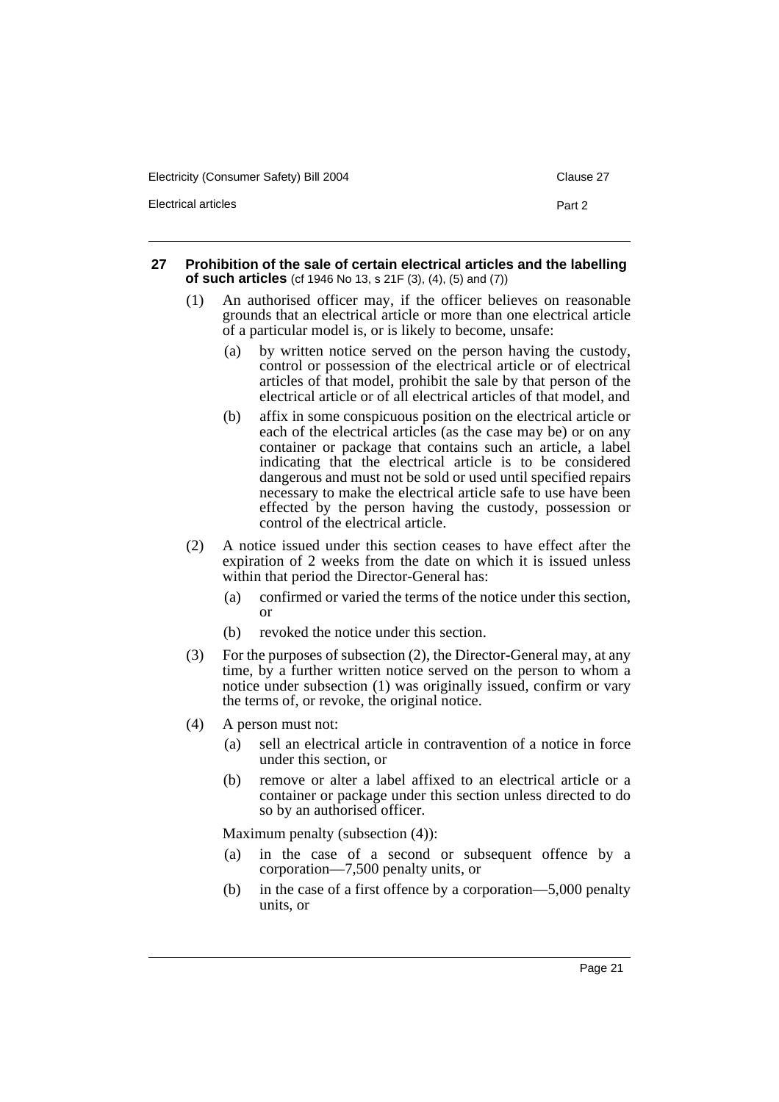| Electricity (Consumer Safety) Bill 2004 | Clause 27 |
|-----------------------------------------|-----------|
| Electrical articles                     | Part 2    |

#### **27 Prohibition of the sale of certain electrical articles and the labelling of such articles** (cf 1946 No 13, s 21F (3), (4), (5) and (7))

- (1) An authorised officer may, if the officer believes on reasonable grounds that an electrical article or more than one electrical article of a particular model is, or is likely to become, unsafe:
	- (a) by written notice served on the person having the custody, control or possession of the electrical article or of electrical articles of that model, prohibit the sale by that person of the electrical article or of all electrical articles of that model, and
	- (b) affix in some conspicuous position on the electrical article or each of the electrical articles (as the case may be) or on any container or package that contains such an article, a label indicating that the electrical article is to be considered dangerous and must not be sold or used until specified repairs necessary to make the electrical article safe to use have been effected by the person having the custody, possession or control of the electrical article.
- (2) A notice issued under this section ceases to have effect after the expiration of 2 weeks from the date on which it is issued unless within that period the Director-General has:
	- (a) confirmed or varied the terms of the notice under this section, or
	- (b) revoked the notice under this section.
- (3) For the purposes of subsection (2), the Director-General may, at any time, by a further written notice served on the person to whom a notice under subsection (1) was originally issued, confirm or vary the terms of, or revoke, the original notice.
- (4) A person must not:
	- (a) sell an electrical article in contravention of a notice in force under this section, or
	- (b) remove or alter a label affixed to an electrical article or a container or package under this section unless directed to do so by an authorised officer.

Maximum penalty (subsection (4)):

- (a) in the case of a second or subsequent offence by a corporation—7,500 penalty units, or
- (b) in the case of a first offence by a corporation—5,000 penalty units, or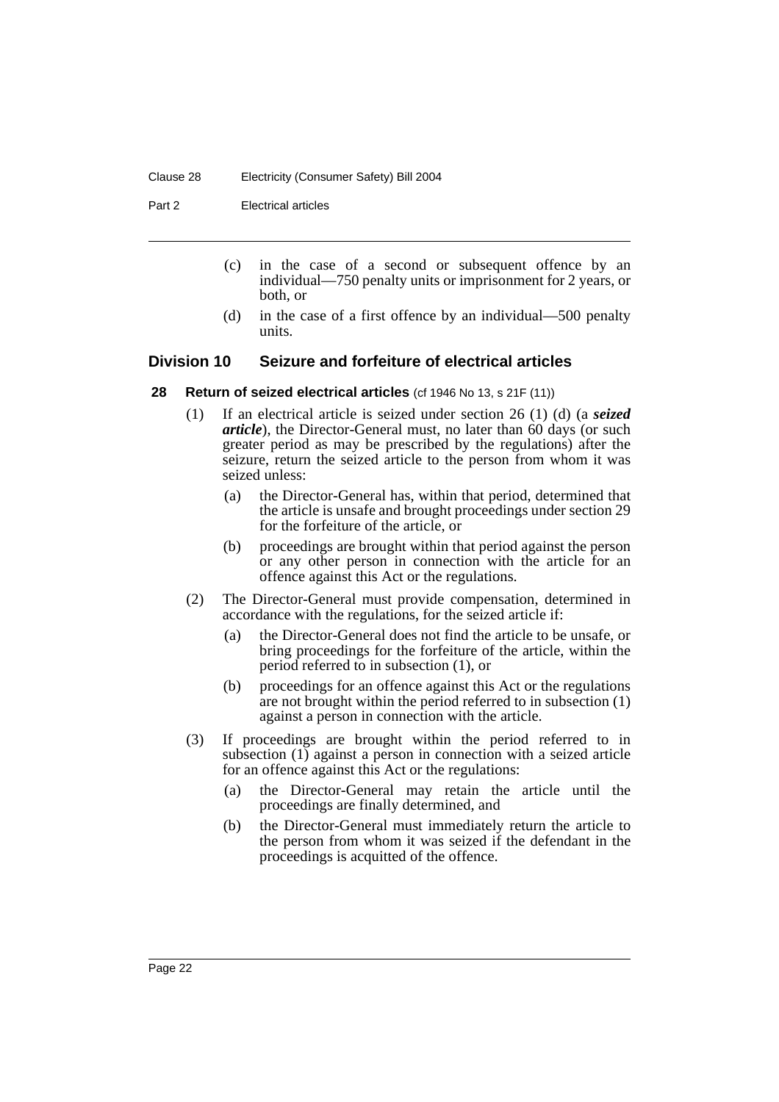#### Clause 28 Electricity (Consumer Safety) Bill 2004

Part 2 Electrical articles

- (c) in the case of a second or subsequent offence by an individual—750 penalty units or imprisonment for 2 years, or both, or
- (d) in the case of a first offence by an individual—500 penalty units.

## **Division 10 Seizure and forfeiture of electrical articles**

- **28 Return of seized electrical articles** (cf 1946 No 13, s 21F (11))
	- (1) If an electrical article is seized under section 26 (1) (d) (a *seized article*), the Director-General must, no later than 60 days (or such greater period as may be prescribed by the regulations) after the seizure, return the seized article to the person from whom it was seized unless:
		- (a) the Director-General has, within that period, determined that the article is unsafe and brought proceedings under section 29 for the forfeiture of the article, or
		- (b) proceedings are brought within that period against the person or any other person in connection with the article for an offence against this Act or the regulations.
	- (2) The Director-General must provide compensation, determined in accordance with the regulations, for the seized article if:
		- (a) the Director-General does not find the article to be unsafe, or bring proceedings for the forfeiture of the article, within the period referred to in subsection (1), or
		- (b) proceedings for an offence against this Act or the regulations are not brought within the period referred to in subsection (1) against a person in connection with the article.
	- (3) If proceedings are brought within the period referred to in subsection (1) against a person in connection with a seized article for an offence against this Act or the regulations:
		- (a) the Director-General may retain the article until the proceedings are finally determined, and
		- (b) the Director-General must immediately return the article to the person from whom it was seized if the defendant in the proceedings is acquitted of the offence.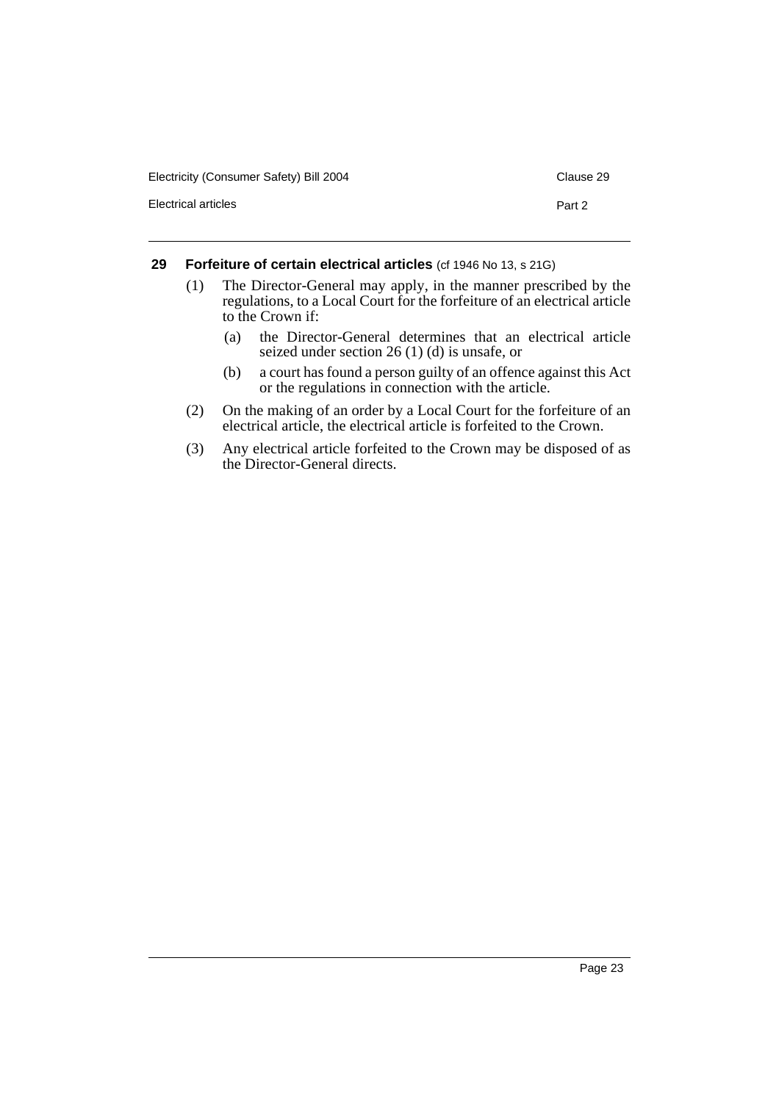| Electricity (Consumer Safety) Bill 2004 | Clause 29 |
|-----------------------------------------|-----------|
| Electrical articles                     | Part 2    |

## **29 Forfeiture of certain electrical articles** (cf 1946 No 13, s 21G)

- (1) The Director-General may apply, in the manner prescribed by the regulations, to a Local Court for the forfeiture of an electrical article to the Crown if:
	- (a) the Director-General determines that an electrical article seized under section 26 (1) (d) is unsafe, or
	- (b) a court has found a person guilty of an offence against this Act or the regulations in connection with the article.
- (2) On the making of an order by a Local Court for the forfeiture of an electrical article, the electrical article is forfeited to the Crown.
- (3) Any electrical article forfeited to the Crown may be disposed of as the Director-General directs.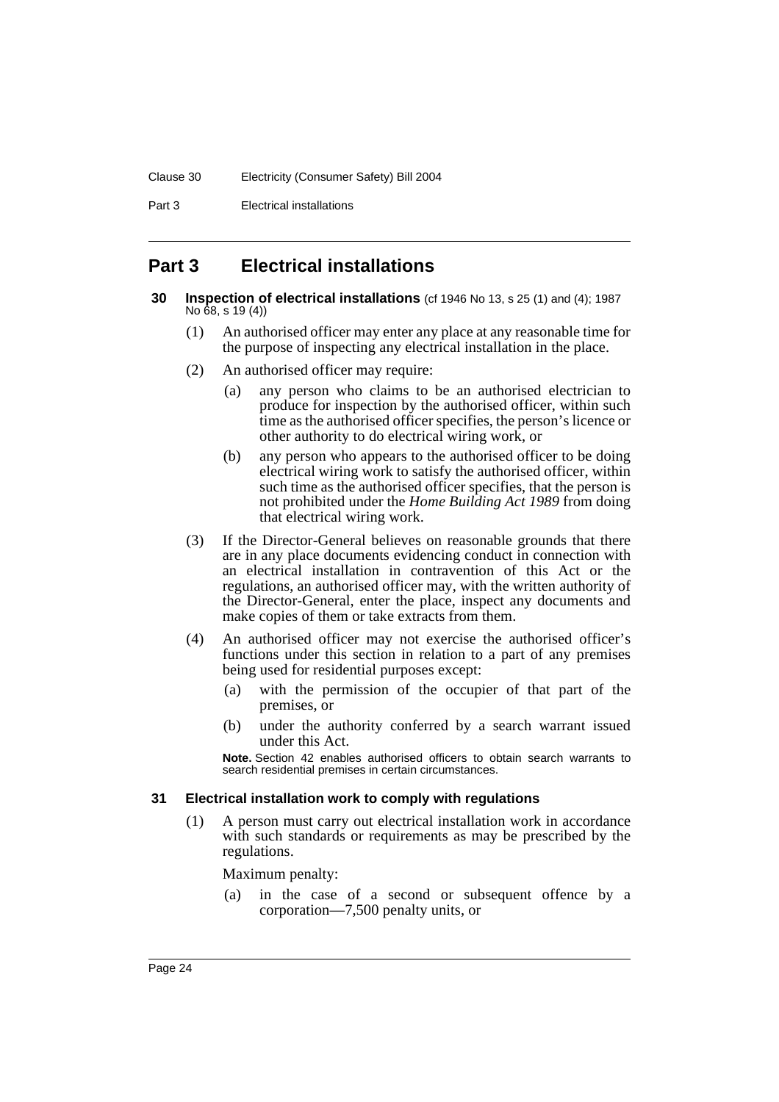Part 3 Electrical installations

# **Part 3 Electrical installations**

- **30 Inspection of electrical installations** (cf 1946 No 13, s 25 (1) and (4); 1987 No 68, s 19 (4))
	- (1) An authorised officer may enter any place at any reasonable time for the purpose of inspecting any electrical installation in the place.
	- (2) An authorised officer may require:
		- (a) any person who claims to be an authorised electrician to produce for inspection by the authorised officer, within such time as the authorised officer specifies, the person's licence or other authority to do electrical wiring work, or
		- (b) any person who appears to the authorised officer to be doing electrical wiring work to satisfy the authorised officer, within such time as the authorised officer specifies, that the person is not prohibited under the *Home Building Act 1989* from doing that electrical wiring work.
	- (3) If the Director-General believes on reasonable grounds that there are in any place documents evidencing conduct in connection with an electrical installation in contravention of this Act or the regulations, an authorised officer may, with the written authority of the Director-General, enter the place, inspect any documents and make copies of them or take extracts from them.
	- (4) An authorised officer may not exercise the authorised officer's functions under this section in relation to a part of any premises being used for residential purposes except:
		- (a) with the permission of the occupier of that part of the premises, or
		- (b) under the authority conferred by a search warrant issued under this Act.

**Note.** Section 42 enables authorised officers to obtain search warrants to search residential premises in certain circumstances.

#### **31 Electrical installation work to comply with regulations**

(1) A person must carry out electrical installation work in accordance with such standards or requirements as may be prescribed by the regulations.

Maximum penalty:

(a) in the case of a second or subsequent offence by a corporation—7,500 penalty units, or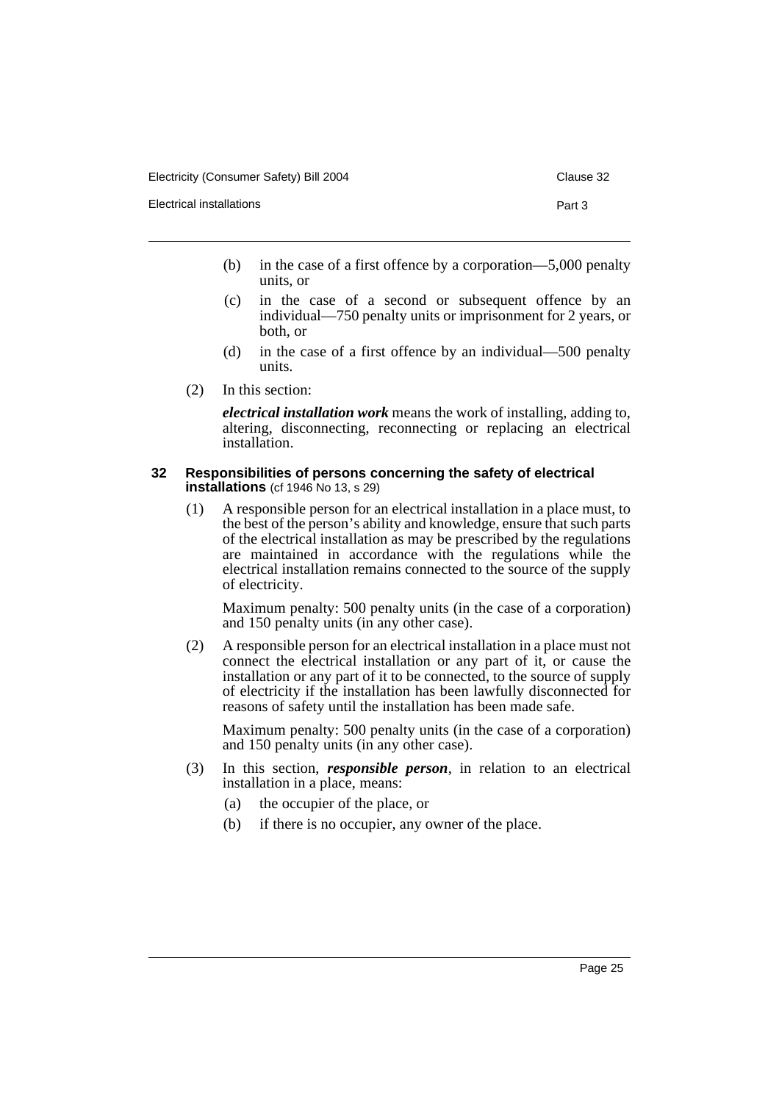Electrical installations **Part 3** 

- 
- (b) in the case of a first offence by a corporation—5,000 penalty units, or
- (c) in the case of a second or subsequent offence by an individual—750 penalty units or imprisonment for 2 years, or both, or
- (d) in the case of a first offence by an individual—500 penalty units.
- (2) In this section:

*electrical installation work* means the work of installing, adding to, altering, disconnecting, reconnecting or replacing an electrical installation.

#### **32 Responsibilities of persons concerning the safety of electrical installations** (cf 1946 No 13, s 29)

(1) A responsible person for an electrical installation in a place must, to the best of the person's ability and knowledge, ensure that such parts of the electrical installation as may be prescribed by the regulations are maintained in accordance with the regulations while the electrical installation remains connected to the source of the supply of electricity.

Maximum penalty: 500 penalty units (in the case of a corporation) and 150 penalty units (in any other case).

(2) A responsible person for an electrical installation in a place must not connect the electrical installation or any part of it, or cause the installation or any part of it to be connected, to the source of supply of electricity if the installation has been lawfully disconnected for reasons of safety until the installation has been made safe.

Maximum penalty: 500 penalty units (in the case of a corporation) and 150 penalty units (in any other case).

- (3) In this section, *responsible person*, in relation to an electrical installation in a place, means:
	- (a) the occupier of the place, or
	- (b) if there is no occupier, any owner of the place.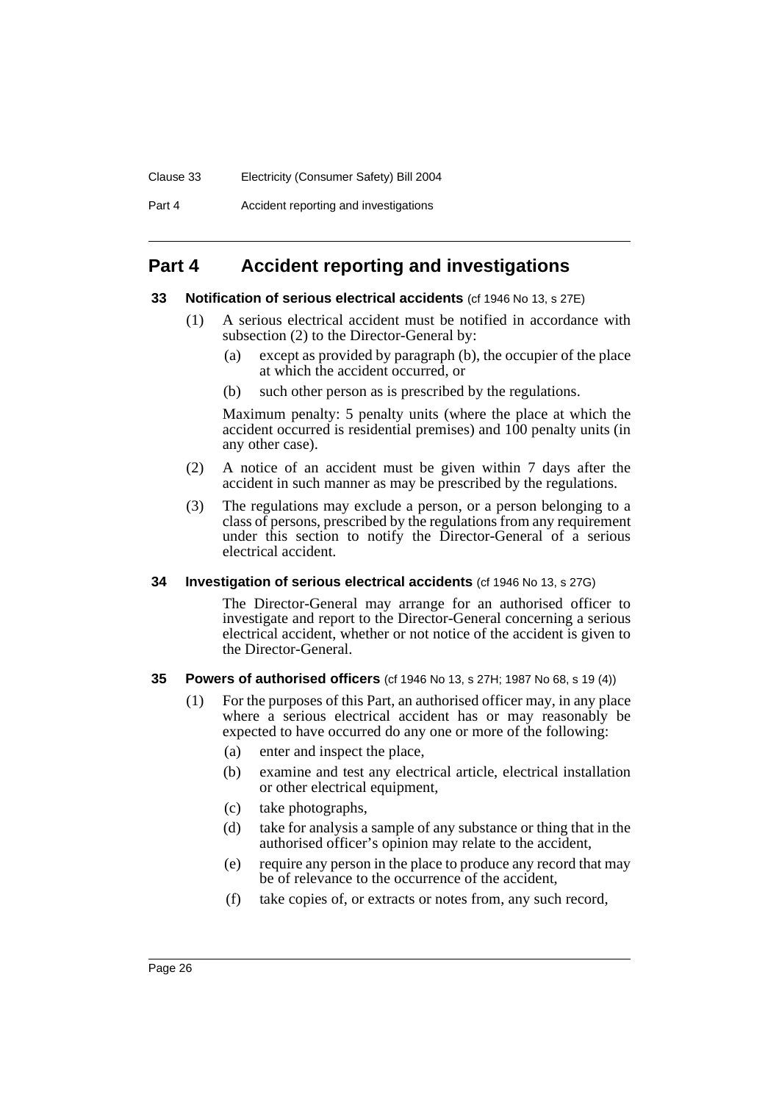Part 4 Accident reporting and investigations

# **Part 4 Accident reporting and investigations**

#### **33 Notification of serious electrical accidents** (cf 1946 No 13, s 27E)

- (1) A serious electrical accident must be notified in accordance with subsection (2) to the Director-General by:
	- (a) except as provided by paragraph (b), the occupier of the place at which the accident occurred, or
	- (b) such other person as is prescribed by the regulations.

Maximum penalty: 5 penalty units (where the place at which the accident occurred is residential premises) and 100 penalty units (in any other case).

- (2) A notice of an accident must be given within 7 days after the accident in such manner as may be prescribed by the regulations.
- (3) The regulations may exclude a person, or a person belonging to a class of persons, prescribed by the regulations from any requirement under this section to notify the Director-General of a serious electrical accident.

#### **34 Investigation of serious electrical accidents** (cf 1946 No 13, s 27G)

The Director-General may arrange for an authorised officer to investigate and report to the Director-General concerning a serious electrical accident, whether or not notice of the accident is given to the Director-General.

#### **35 Powers of authorised officers** (cf 1946 No 13, s 27H; 1987 No 68, s 19 (4))

- (1) For the purposes of this Part, an authorised officer may, in any place where a serious electrical accident has or may reasonably be expected to have occurred do any one or more of the following:
	- (a) enter and inspect the place,
	- (b) examine and test any electrical article, electrical installation or other electrical equipment,
	- (c) take photographs,
	- (d) take for analysis a sample of any substance or thing that in the authorised officer's opinion may relate to the accident,
	- (e) require any person in the place to produce any record that may be of relevance to the occurrence of the accident,
	- (f) take copies of, or extracts or notes from, any such record,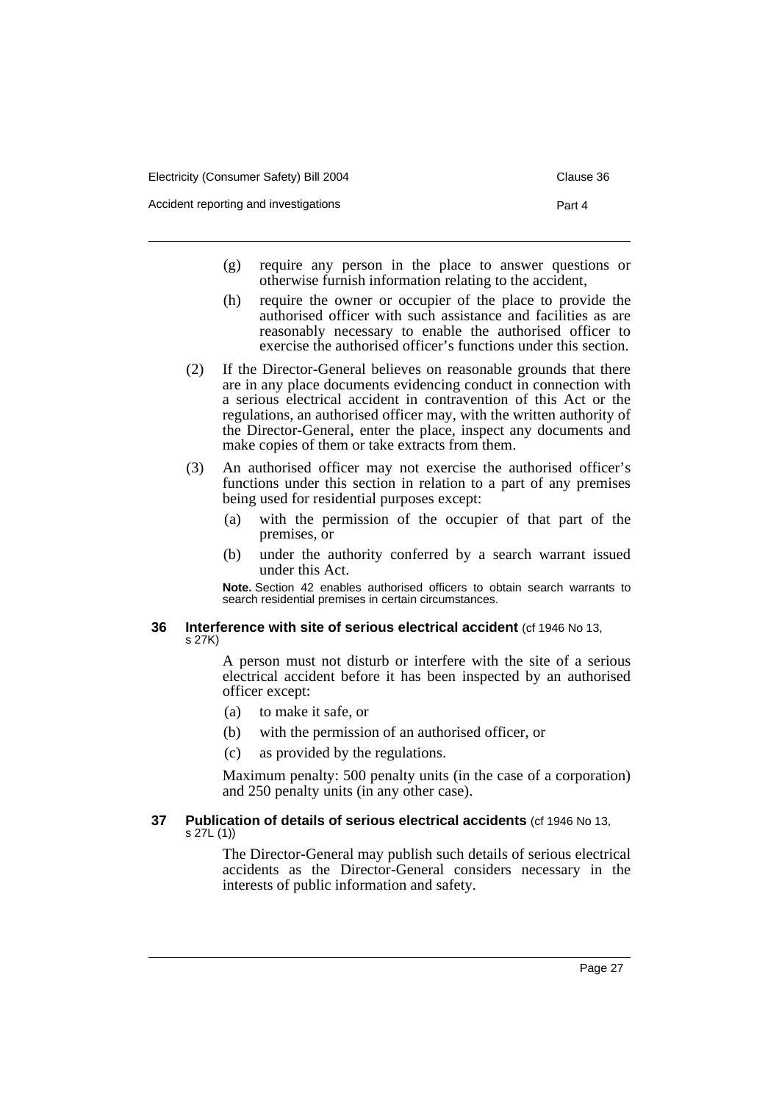Accident reporting and investigations example and investigation and the Part 4

- (g) require any person in the place to answer questions or otherwise furnish information relating to the accident,
- (h) require the owner or occupier of the place to provide the authorised officer with such assistance and facilities as are reasonably necessary to enable the authorised officer to exercise the authorised officer's functions under this section.
- (2) If the Director-General believes on reasonable grounds that there are in any place documents evidencing conduct in connection with a serious electrical accident in contravention of this Act or the regulations, an authorised officer may, with the written authority of the Director-General, enter the place, inspect any documents and make copies of them or take extracts from them.
- (3) An authorised officer may not exercise the authorised officer's functions under this section in relation to a part of any premises being used for residential purposes except:
	- (a) with the permission of the occupier of that part of the premises, or
	- (b) under the authority conferred by a search warrant issued under this Act.

**Note.** Section 42 enables authorised officers to obtain search warrants to search residential premises in certain circumstances.

#### **36 Interference with site of serious electrical accident** (cf 1946 No 13, s 27K)

A person must not disturb or interfere with the site of a serious electrical accident before it has been inspected by an authorised officer except:

- (a) to make it safe, or
- (b) with the permission of an authorised officer, or
- (c) as provided by the regulations.

Maximum penalty: 500 penalty units (in the case of a corporation) and 250 penalty units (in any other case).

#### **37 Publication of details of serious electrical accidents** (cf 1946 No 13, s 27L (1))

The Director-General may publish such details of serious electrical accidents as the Director-General considers necessary in the interests of public information and safety.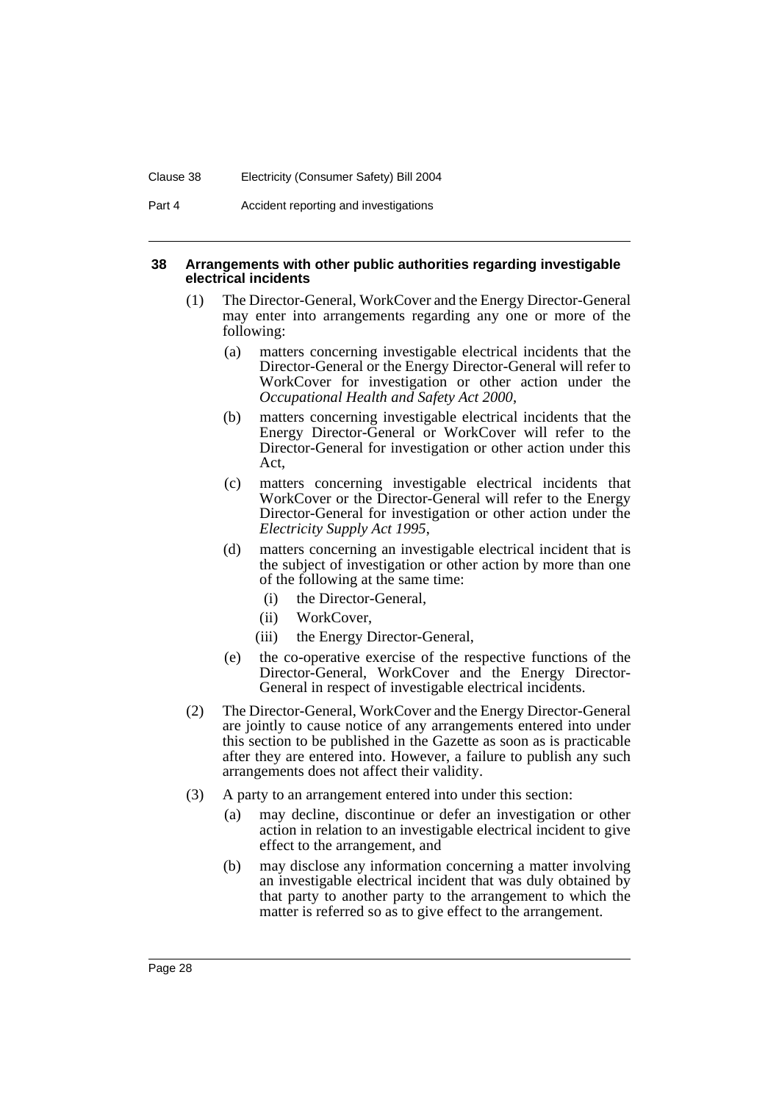Part 4 Accident reporting and investigations

#### **38 Arrangements with other public authorities regarding investigable electrical incidents**

- (1) The Director-General, WorkCover and the Energy Director-General may enter into arrangements regarding any one or more of the following:
	- (a) matters concerning investigable electrical incidents that the Director-General or the Energy Director-General will refer to WorkCover for investigation or other action under the *Occupational Health and Safety Act 2000*,
	- (b) matters concerning investigable electrical incidents that the Energy Director-General or WorkCover will refer to the Director-General for investigation or other action under this Act,
	- (c) matters concerning investigable electrical incidents that WorkCover or the Director-General will refer to the Energy Director-General for investigation or other action under the *Electricity Supply Act 1995*,
	- (d) matters concerning an investigable electrical incident that is the subject of investigation or other action by more than one of the following at the same time:
		- (i) the Director-General,
		- (ii) WorkCover,
		- (iii) the Energy Director-General,
	- (e) the co-operative exercise of the respective functions of the Director-General, WorkCover and the Energy Director-General in respect of investigable electrical incidents.
- (2) The Director-General, WorkCover and the Energy Director-General are jointly to cause notice of any arrangements entered into under this section to be published in the Gazette as soon as is practicable after they are entered into. However, a failure to publish any such arrangements does not affect their validity.
- (3) A party to an arrangement entered into under this section:
	- (a) may decline, discontinue or defer an investigation or other action in relation to an investigable electrical incident to give effect to the arrangement, and
	- (b) may disclose any information concerning a matter involving an investigable electrical incident that was duly obtained by that party to another party to the arrangement to which the matter is referred so as to give effect to the arrangement.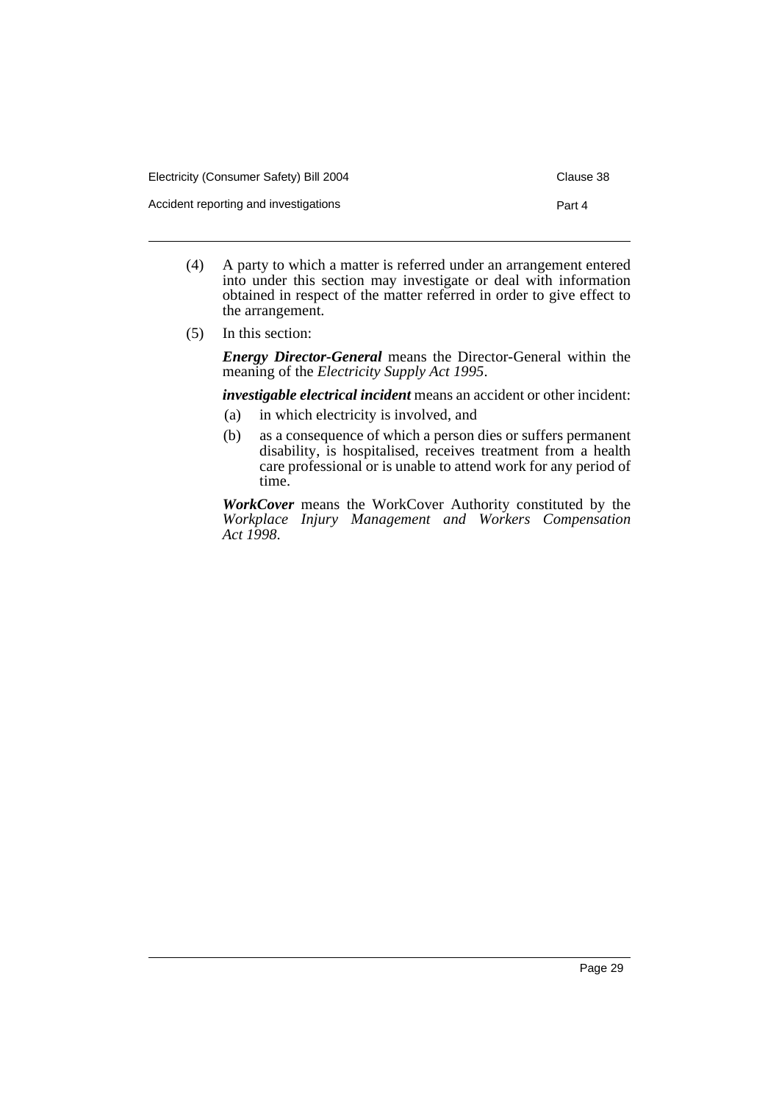- (4) A party to which a matter is referred under an arrangement entered into under this section may investigate or deal with information obtained in respect of the matter referred in order to give effect to the arrangement.
- (5) In this section:

*Energy Director-General* means the Director-General within the meaning of the *Electricity Supply Act 1995*.

*investigable electrical incident* means an accident or other incident:

- (a) in which electricity is involved, and
- (b) as a consequence of which a person dies or suffers permanent disability, is hospitalised, receives treatment from a health care professional or is unable to attend work for any period of time.

*WorkCover* means the WorkCover Authority constituted by the *Workplace Injury Management and Workers Compensation Act 1998*.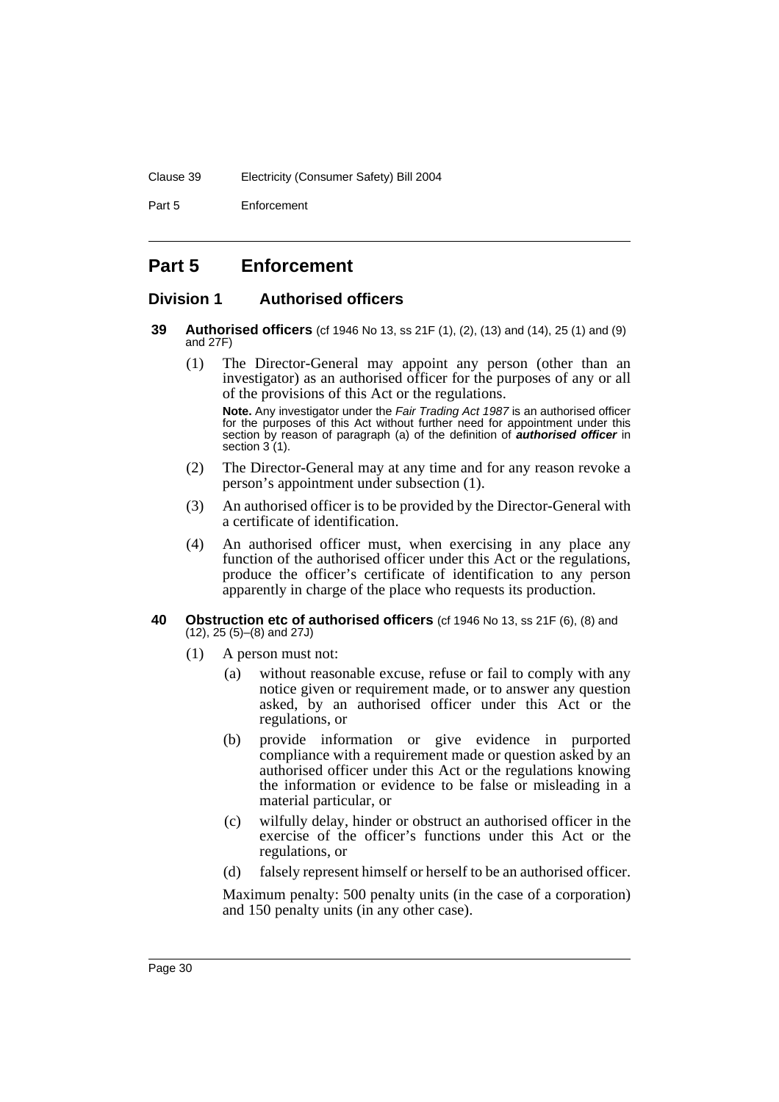#### Clause 39 Electricity (Consumer Safety) Bill 2004

Part 5 Enforcement

# **Part 5 Enforcement**

#### **Division 1 Authorised officers**

- **39 Authorised officers** (cf 1946 No 13, ss 21F (1), (2), (13) and (14), 25 (1) and (9) and 27F)
	- (1) The Director-General may appoint any person (other than an investigator) as an authorised officer for the purposes of any or all of the provisions of this Act or the regulations.

**Note.** Any investigator under the Fair Trading Act 1987 is an authorised officer for the purposes of this Act without further need for appointment under this section by reason of paragraph (a) of the definition of **authorised officer** in section 3 (1).

- (2) The Director-General may at any time and for any reason revoke a person's appointment under subsection (1).
- (3) An authorised officer is to be provided by the Director-General with a certificate of identification.
- (4) An authorised officer must, when exercising in any place any function of the authorised officer under this Act or the regulations, produce the officer's certificate of identification to any person apparently in charge of the place who requests its production.

#### **40 Obstruction etc of authorised officers** (cf 1946 No 13, ss 21F (6), (8) and (12), 25 (5)–(8) and 27J)

- (1) A person must not:
	- (a) without reasonable excuse, refuse or fail to comply with any notice given or requirement made, or to answer any question asked, by an authorised officer under this Act or the regulations, or
	- (b) provide information or give evidence in purported compliance with a requirement made or question asked by an authorised officer under this Act or the regulations knowing the information or evidence to be false or misleading in a material particular, or
	- (c) wilfully delay, hinder or obstruct an authorised officer in the exercise of the officer's functions under this Act or the regulations, or
	- (d) falsely represent himself or herself to be an authorised officer.

Maximum penalty: 500 penalty units (in the case of a corporation) and 150 penalty units (in any other case).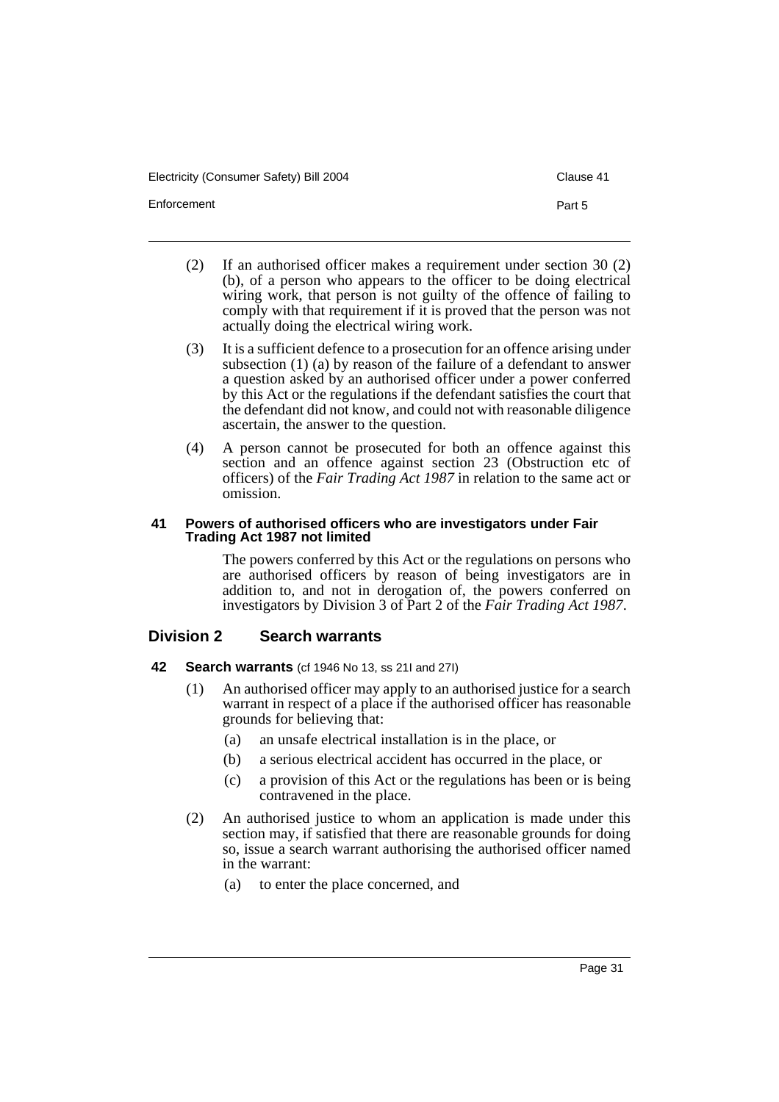Electricity (Consumer Safety) Bill 2004 Clause 41

Enforcement **Part 5** 

- (2) If an authorised officer makes a requirement under section 30 (2) (b), of a person who appears to the officer to be doing electrical wiring work, that person is not guilty of the offence of failing to comply with that requirement if it is proved that the person was not actually doing the electrical wiring work.
- (3) It is a sufficient defence to a prosecution for an offence arising under subsection (1) (a) by reason of the failure of a defendant to answer a question asked by an authorised officer under a power conferred by this Act or the regulations if the defendant satisfies the court that the defendant did not know, and could not with reasonable diligence ascertain, the answer to the question.
- (4) A person cannot be prosecuted for both an offence against this section and an offence against section 23 (Obstruction etc of officers) of the *Fair Trading Act 1987* in relation to the same act or omission.

#### **41 Powers of authorised officers who are investigators under Fair Trading Act 1987 not limited**

The powers conferred by this Act or the regulations on persons who are authorised officers by reason of being investigators are in addition to, and not in derogation of, the powers conferred on investigators by Division 3 of Part 2 of the *Fair Trading Act 1987*.

## **Division 2 Search warrants**

- **42 Search warrants** (cf 1946 No 13, ss 21I and 27I)
	- (1) An authorised officer may apply to an authorised justice for a search warrant in respect of a place if the authorised officer has reasonable grounds for believing that:
		- (a) an unsafe electrical installation is in the place, or
		- (b) a serious electrical accident has occurred in the place, or
		- (c) a provision of this Act or the regulations has been or is being contravened in the place.
	- (2) An authorised justice to whom an application is made under this section may, if satisfied that there are reasonable grounds for doing so, issue a search warrant authorising the authorised officer named in the warrant:
		- (a) to enter the place concerned, and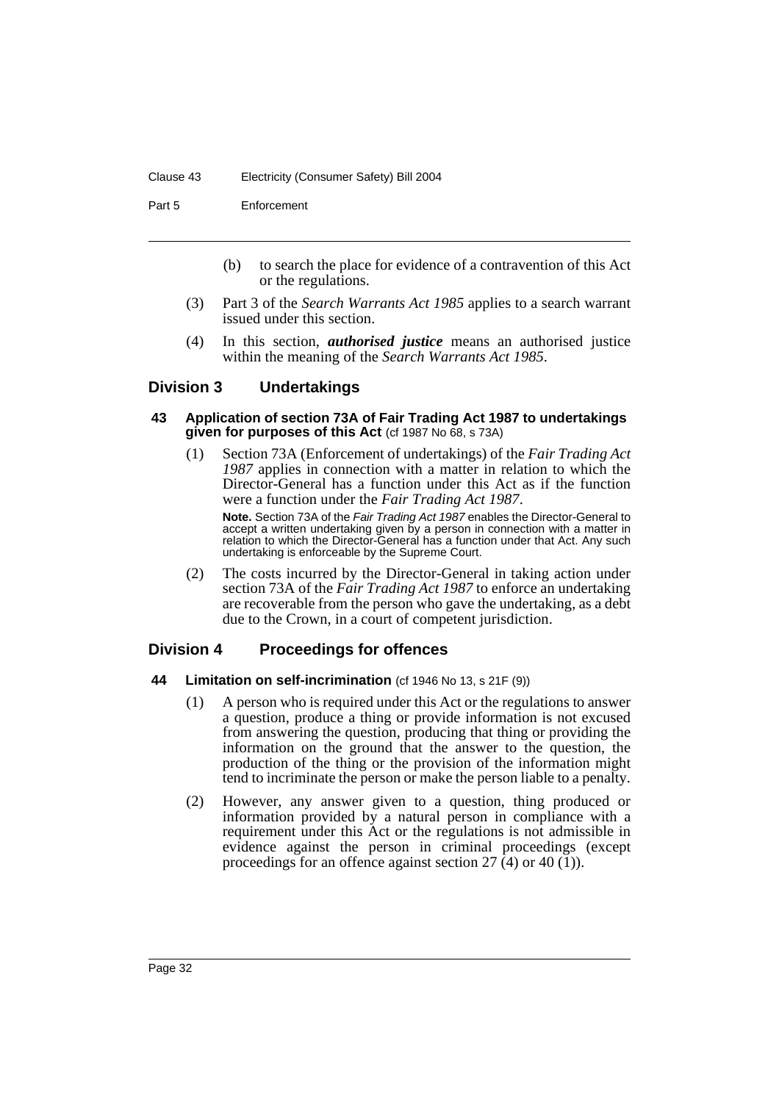#### Clause 43 Electricity (Consumer Safety) Bill 2004

Part 5 Enforcement

- (b) to search the place for evidence of a contravention of this Act or the regulations.
- (3) Part 3 of the *Search Warrants Act 1985* applies to a search warrant issued under this section.
- (4) In this section, *authorised justice* means an authorised justice within the meaning of the *Search Warrants Act 1985*.

## **Division 3 Undertakings**

#### **43 Application of section 73A of Fair Trading Act 1987 to undertakings given for purposes of this Act** (cf 1987 No 68, s 73A)

(1) Section 73A (Enforcement of undertakings) of the *Fair Trading Act 1987* applies in connection with a matter in relation to which the Director-General has a function under this Act as if the function were a function under the *Fair Trading Act 1987*.

**Note.** Section 73A of the Fair Trading Act 1987 enables the Director-General to accept a written undertaking given by a person in connection with a matter in relation to which the Director-General has a function under that Act. Any such undertaking is enforceable by the Supreme Court.

(2) The costs incurred by the Director-General in taking action under section 73A of the *Fair Trading Act 1987* to enforce an undertaking are recoverable from the person who gave the undertaking, as a debt due to the Crown, in a court of competent jurisdiction.

## **Division 4 Proceedings for offences**

#### **44 Limitation on self-incrimination** (cf 1946 No 13, s 21F (9))

- (1) A person who is required under this Act or the regulations to answer a question, produce a thing or provide information is not excused from answering the question, producing that thing or providing the information on the ground that the answer to the question, the production of the thing or the provision of the information might tend to incriminate the person or make the person liable to a penalty.
- (2) However, any answer given to a question, thing produced or information provided by a natural person in compliance with a requirement under this Act or the regulations is not admissible in evidence against the person in criminal proceedings (except proceedings for an offence against section  $27$  (4) or 40 (1)).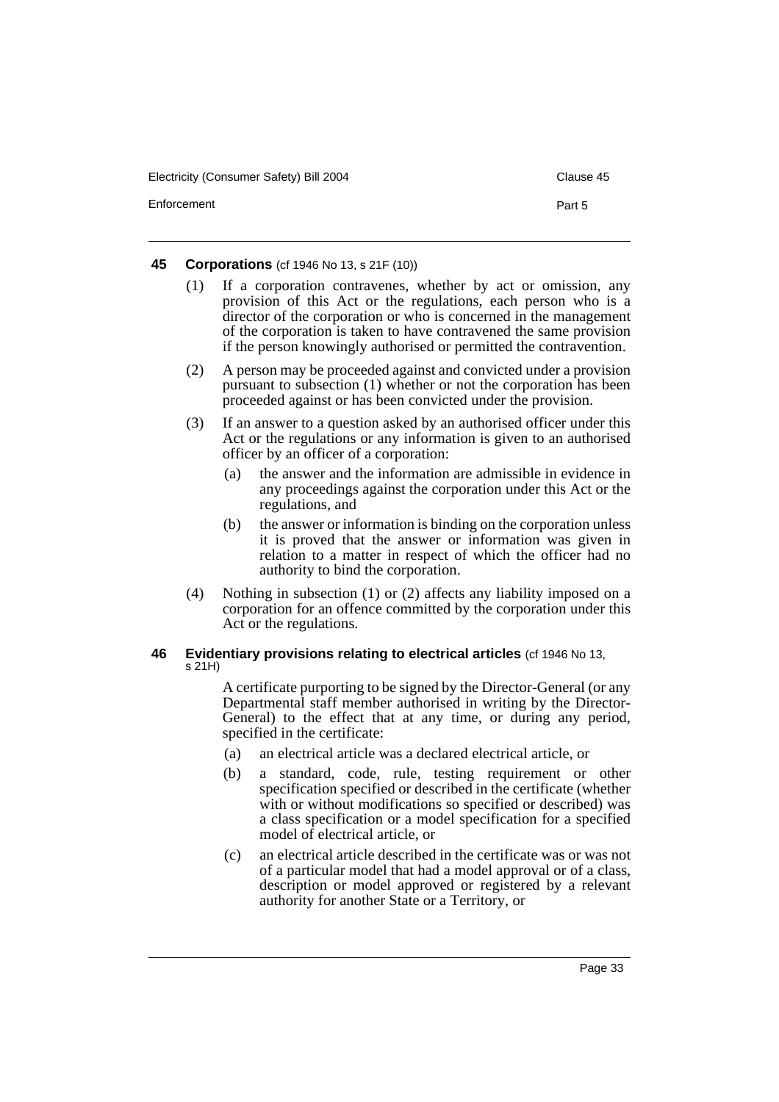Electricity (Consumer Safety) Bill 2004 Clause 45

#### **45 Corporations** (cf 1946 No 13, s 21F (10))

- (1) If a corporation contravenes, whether by act or omission, any provision of this Act or the regulations, each person who is a director of the corporation or who is concerned in the management of the corporation is taken to have contravened the same provision if the person knowingly authorised or permitted the contravention.
- (2) A person may be proceeded against and convicted under a provision pursuant to subsection (1) whether or not the corporation has been proceeded against or has been convicted under the provision.
- (3) If an answer to a question asked by an authorised officer under this Act or the regulations or any information is given to an authorised officer by an officer of a corporation:
	- (a) the answer and the information are admissible in evidence in any proceedings against the corporation under this Act or the regulations, and
	- (b) the answer or information is binding on the corporation unless it is proved that the answer or information was given in relation to a matter in respect of which the officer had no authority to bind the corporation.
- (4) Nothing in subsection (1) or (2) affects any liability imposed on a corporation for an offence committed by the corporation under this Act or the regulations.

#### **46 Evidentiary provisions relating to electrical articles** (cf 1946 No 13, s 21H)

A certificate purporting to be signed by the Director-General (or any Departmental staff member authorised in writing by the Director-General) to the effect that at any time, or during any period, specified in the certificate:

- (a) an electrical article was a declared electrical article, or
- (b) a standard, code, rule, testing requirement or other specification specified or described in the certificate (whether with or without modifications so specified or described) was a class specification or a model specification for a specified model of electrical article, or
- (c) an electrical article described in the certificate was or was not of a particular model that had a model approval or of a class, description or model approved or registered by a relevant authority for another State or a Territory, or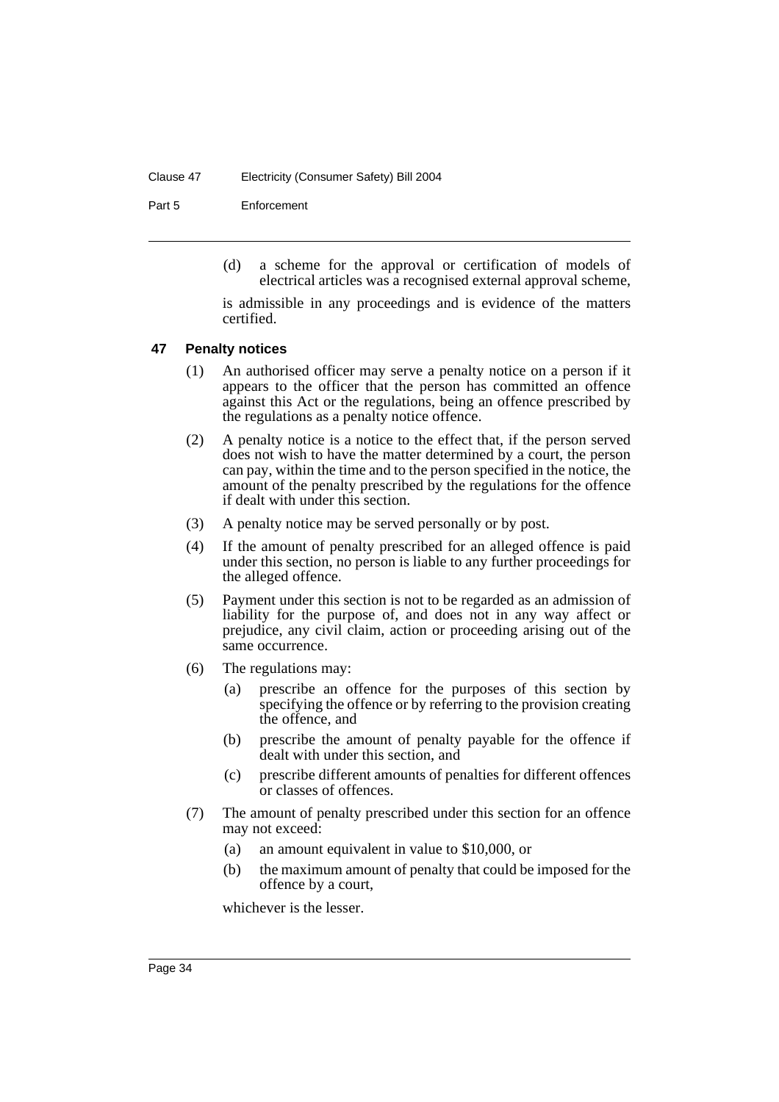#### Clause 47 Electricity (Consumer Safety) Bill 2004

Part 5 Enforcement

(d) a scheme for the approval or certification of models of electrical articles was a recognised external approval scheme,

is admissible in any proceedings and is evidence of the matters certified.

## **47 Penalty notices**

- (1) An authorised officer may serve a penalty notice on a person if it appears to the officer that the person has committed an offence against this Act or the regulations, being an offence prescribed by the regulations as a penalty notice offence.
- (2) A penalty notice is a notice to the effect that, if the person served does not wish to have the matter determined by a court, the person can pay, within the time and to the person specified in the notice, the amount of the penalty prescribed by the regulations for the offence if dealt with under this section.
- (3) A penalty notice may be served personally or by post.
- (4) If the amount of penalty prescribed for an alleged offence is paid under this section, no person is liable to any further proceedings for the alleged offence.
- (5) Payment under this section is not to be regarded as an admission of liability for the purpose of, and does not in any way affect or prejudice, any civil claim, action or proceeding arising out of the same occurrence.
- (6) The regulations may:
	- (a) prescribe an offence for the purposes of this section by specifying the offence or by referring to the provision creating the offence, and
	- (b) prescribe the amount of penalty payable for the offence if dealt with under this section, and
	- (c) prescribe different amounts of penalties for different offences or classes of offences.
- (7) The amount of penalty prescribed under this section for an offence may not exceed:
	- (a) an amount equivalent in value to \$10,000, or
	- (b) the maximum amount of penalty that could be imposed for the offence by a court,

whichever is the lesser.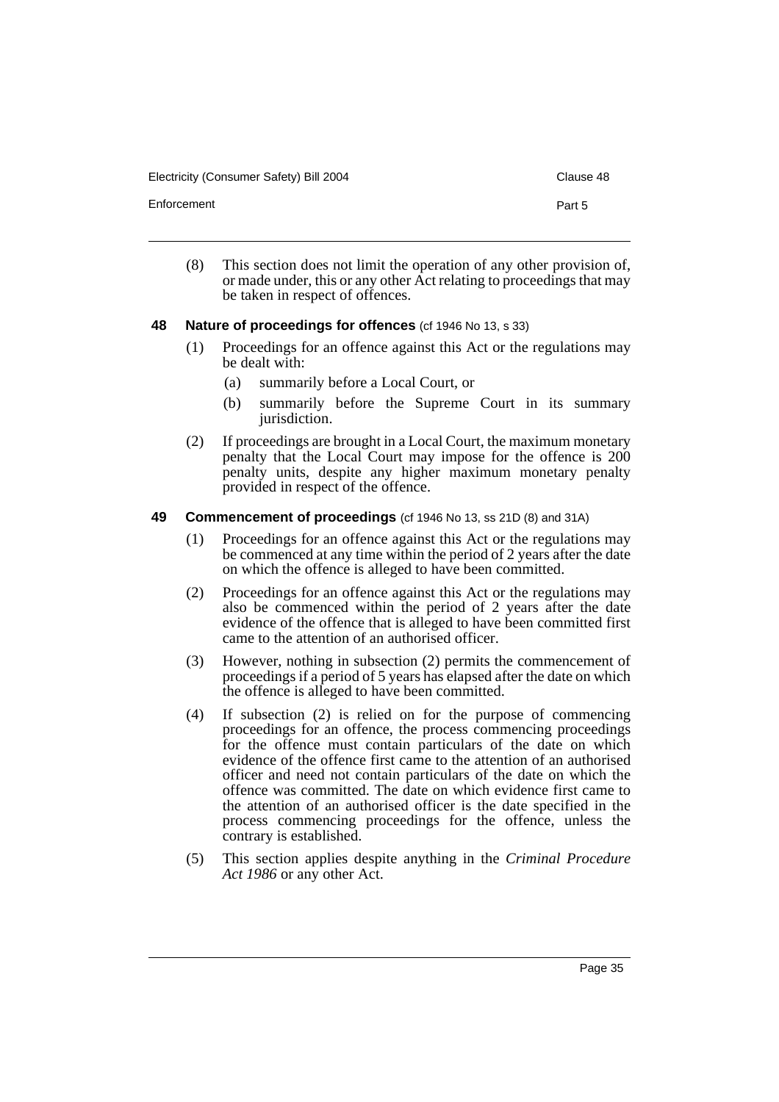Electricity (Consumer Safety) Bill 2004 Clause 48

Enforcement **Part 5** 

- 
- (8) This section does not limit the operation of any other provision of, or made under, this or any other Act relating to proceedings that may be taken in respect of offences.

## **48 Nature of proceedings for offences** (cf 1946 No 13, s 33)

- (1) Proceedings for an offence against this Act or the regulations may be dealt with:
	- (a) summarily before a Local Court, or
	- (b) summarily before the Supreme Court in its summary jurisdiction.
- (2) If proceedings are brought in a Local Court, the maximum monetary penalty that the Local Court may impose for the offence is 200 penalty units, despite any higher maximum monetary penalty provided in respect of the offence.

## **49 Commencement of proceedings** (cf 1946 No 13, ss 21D (8) and 31A)

- (1) Proceedings for an offence against this Act or the regulations may be commenced at any time within the period of 2 years after the date on which the offence is alleged to have been committed.
- (2) Proceedings for an offence against this Act or the regulations may also be commenced within the period of 2 years after the date evidence of the offence that is alleged to have been committed first came to the attention of an authorised officer.
- (3) However, nothing in subsection (2) permits the commencement of proceedings if a period of 5 years has elapsed after the date on which the offence is alleged to have been committed.
- (4) If subsection (2) is relied on for the purpose of commencing proceedings for an offence, the process commencing proceedings for the offence must contain particulars of the date on which evidence of the offence first came to the attention of an authorised officer and need not contain particulars of the date on which the offence was committed. The date on which evidence first came to the attention of an authorised officer is the date specified in the process commencing proceedings for the offence, unless the contrary is established.
- (5) This section applies despite anything in the *Criminal Procedure Act 1986* or any other Act.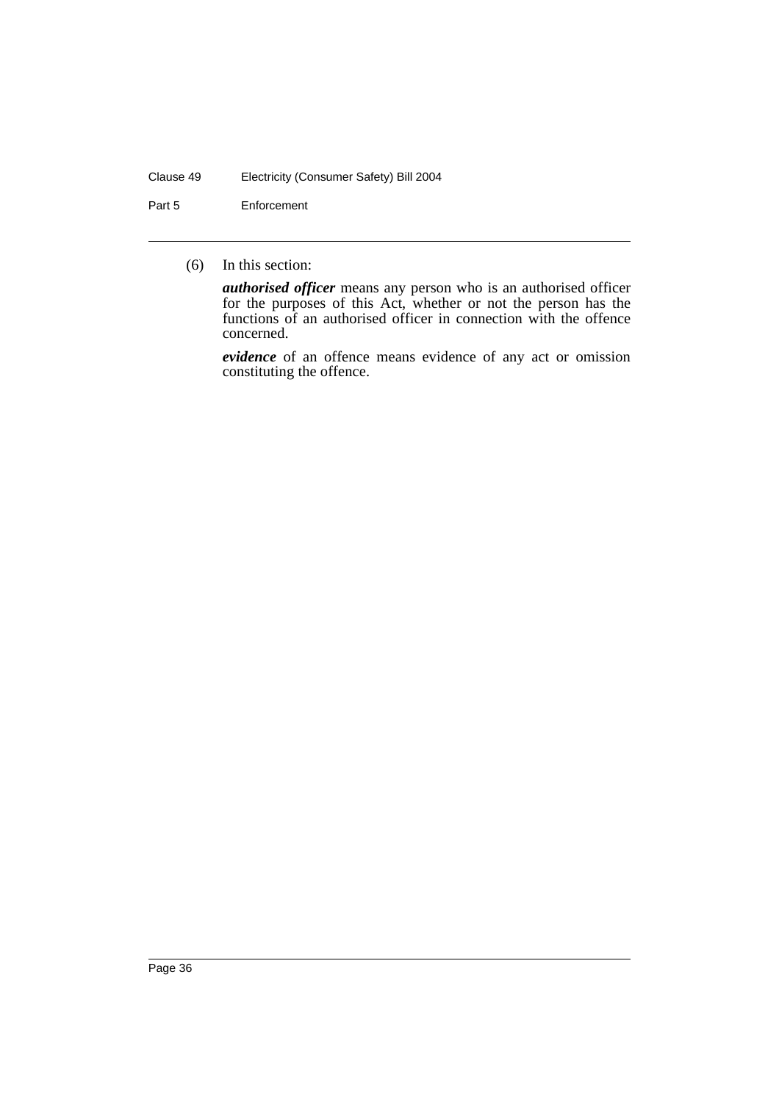#### Clause 49 Electricity (Consumer Safety) Bill 2004

Part 5 Enforcement

(6) In this section:

*authorised officer* means any person who is an authorised officer for the purposes of this Act, whether or not the person has the functions of an authorised officer in connection with the offence concerned.

*evidence* of an offence means evidence of any act or omission constituting the offence.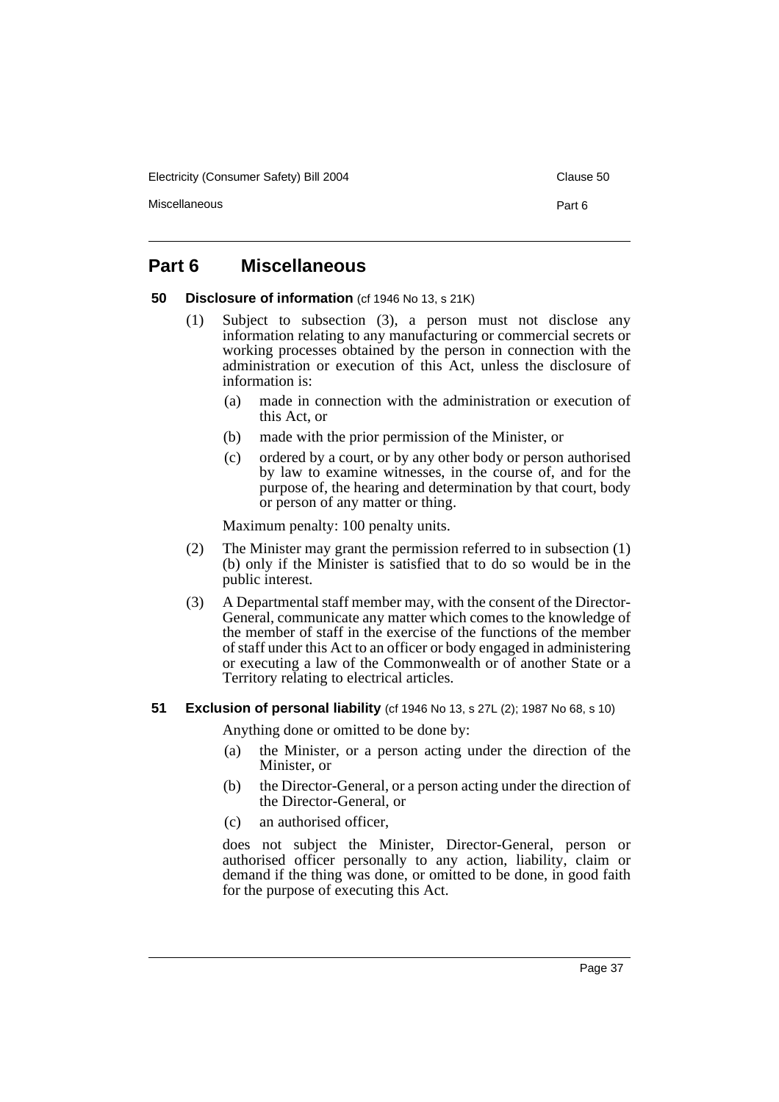Electricity (Consumer Safety) Bill 2004 Clause 50

Miscellaneous Part 6

# **Part 6 Miscellaneous**

**50 Disclosure of information** (cf 1946 No 13, s 21K)

- (1) Subject to subsection (3), a person must not disclose any information relating to any manufacturing or commercial secrets or working processes obtained by the person in connection with the administration or execution of this Act, unless the disclosure of information is:
	- (a) made in connection with the administration or execution of this Act, or
	- (b) made with the prior permission of the Minister, or
	- (c) ordered by a court, or by any other body or person authorised by law to examine witnesses, in the course of, and for the purpose of, the hearing and determination by that court, body or person of any matter or thing.

Maximum penalty: 100 penalty units.

- (2) The Minister may grant the permission referred to in subsection (1) (b) only if the Minister is satisfied that to do so would be in the public interest.
- (3) A Departmental staff member may, with the consent of the Director-General, communicate any matter which comes to the knowledge of the member of staff in the exercise of the functions of the member of staff under this Act to an officer or body engaged in administering or executing a law of the Commonwealth or of another State or a Territory relating to electrical articles.

## **51 Exclusion of personal liability** (cf 1946 No 13, s 27L (2); 1987 No 68, s 10)

Anything done or omitted to be done by:

- (a) the Minister, or a person acting under the direction of the Minister, or
- (b) the Director-General, or a person acting under the direction of the Director-General, or
- (c) an authorised officer,

does not subject the Minister, Director-General, person or authorised officer personally to any action, liability, claim or demand if the thing was done, or omitted to be done, in good faith for the purpose of executing this Act.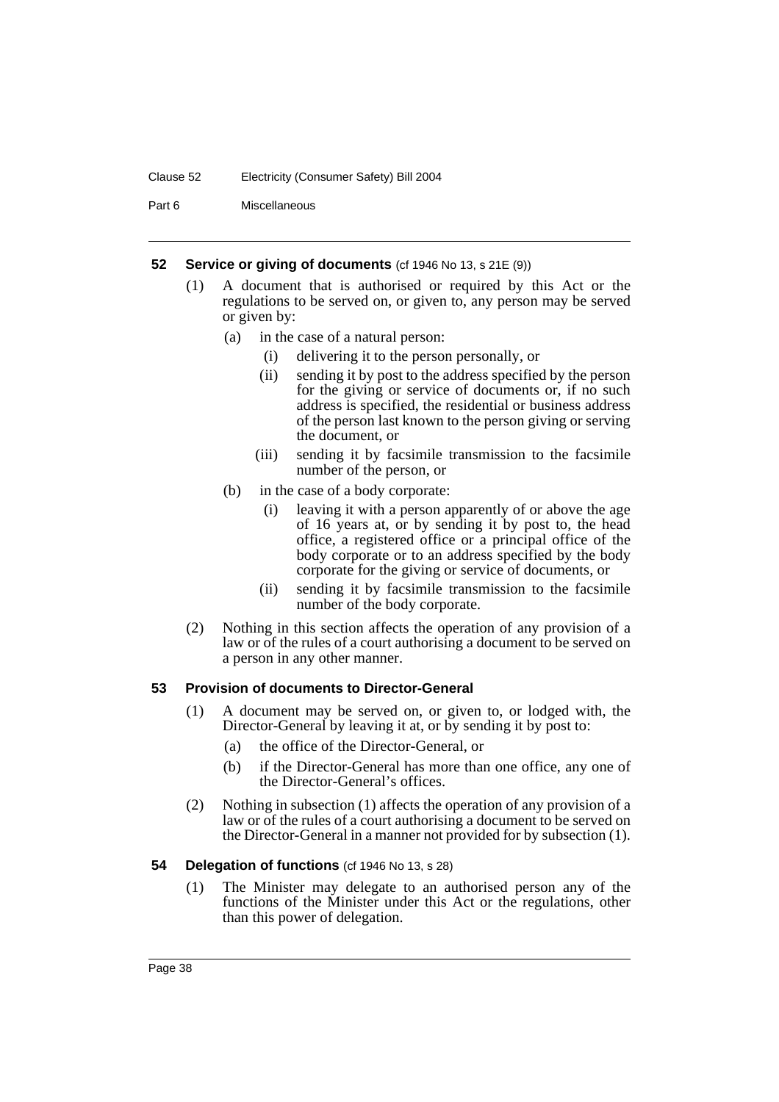#### Clause 52 Electricity (Consumer Safety) Bill 2004

Part 6 Miscellaneous

### **52 Service or giving of documents** (cf 1946 No 13, s 21E (9))

- (1) A document that is authorised or required by this Act or the regulations to be served on, or given to, any person may be served or given by:
	- (a) in the case of a natural person:
		- (i) delivering it to the person personally, or
		- (ii) sending it by post to the address specified by the person for the giving or service of documents or, if no such address is specified, the residential or business address of the person last known to the person giving or serving the document, or
		- (iii) sending it by facsimile transmission to the facsimile number of the person, or
	- (b) in the case of a body corporate:
		- (i) leaving it with a person apparently of or above the age of 16 years at, or by sending it by post to, the head office, a registered office or a principal office of the body corporate or to an address specified by the body corporate for the giving or service of documents, or
		- (ii) sending it by facsimile transmission to the facsimile number of the body corporate.
- (2) Nothing in this section affects the operation of any provision of a law or of the rules of a court authorising a document to be served on a person in any other manner.

## **53 Provision of documents to Director-General**

- (1) A document may be served on, or given to, or lodged with, the Director-General by leaving it at, or by sending it by post to:
	- (a) the office of the Director-General, or
	- (b) if the Director-General has more than one office, any one of the Director-General's offices.
- (2) Nothing in subsection (1) affects the operation of any provision of a law or of the rules of a court authorising a document to be served on the Director-General in a manner not provided for by subsection (1).

## **54 Delegation of functions** (cf 1946 No 13, s 28)

(1) The Minister may delegate to an authorised person any of the functions of the Minister under this Act or the regulations, other than this power of delegation.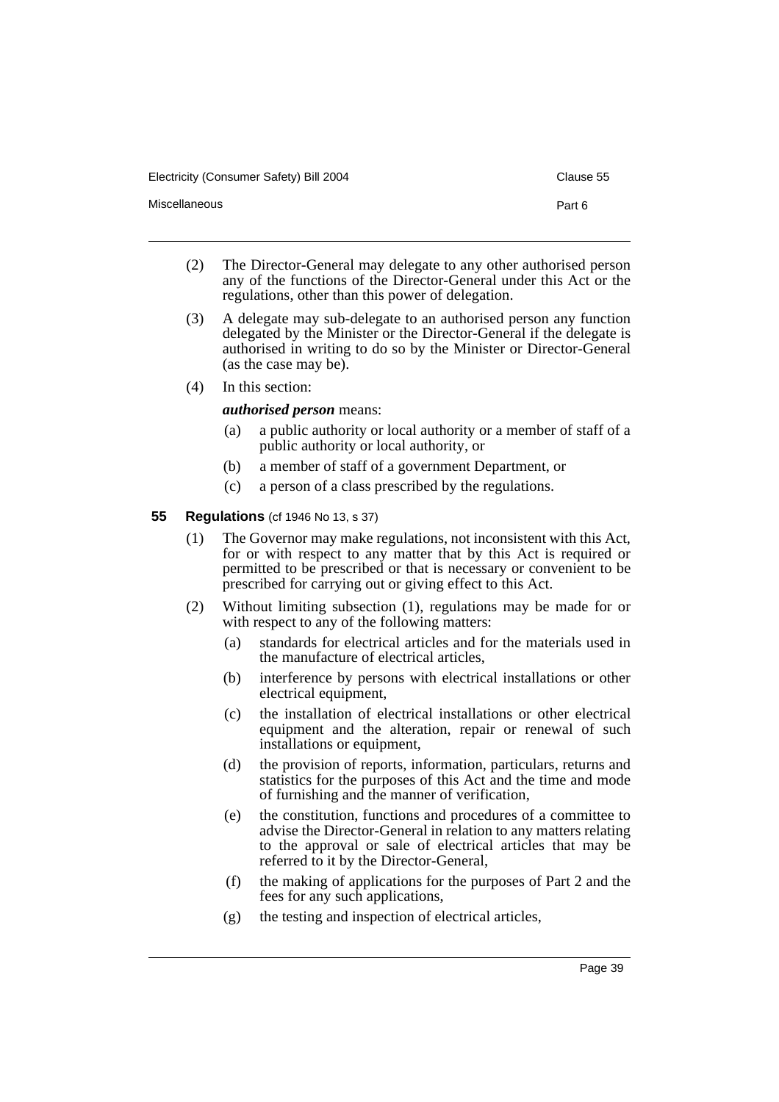Electricity (Consumer Safety) Bill 2004 Clause 55

- (2) The Director-General may delegate to any other authorised person any of the functions of the Director-General under this Act or the regulations, other than this power of delegation.
- (3) A delegate may sub-delegate to an authorised person any function delegated by the Minister or the Director-General if the delegate is authorised in writing to do so by the Minister or Director-General (as the case may be).
- (4) In this section:

## *authorised person* means:

- (a) a public authority or local authority or a member of staff of a public authority or local authority, or
- (b) a member of staff of a government Department, or
- (c) a person of a class prescribed by the regulations.

## **55 Regulations** (cf 1946 No 13, s 37)

- (1) The Governor may make regulations, not inconsistent with this Act, for or with respect to any matter that by this Act is required or permitted to be prescribed or that is necessary or convenient to be prescribed for carrying out or giving effect to this Act.
- (2) Without limiting subsection (1), regulations may be made for or with respect to any of the following matters:
	- (a) standards for electrical articles and for the materials used in the manufacture of electrical articles,
	- (b) interference by persons with electrical installations or other electrical equipment,
	- (c) the installation of electrical installations or other electrical equipment and the alteration, repair or renewal of such installations or equipment,
	- (d) the provision of reports, information, particulars, returns and statistics for the purposes of this Act and the time and mode of furnishing and the manner of verification,
	- (e) the constitution, functions and procedures of a committee to advise the Director-General in relation to any matters relating to the approval or sale of electrical articles that may be referred to it by the Director-General,
	- (f) the making of applications for the purposes of Part 2 and the fees for any such applications,
	- (g) the testing and inspection of electrical articles,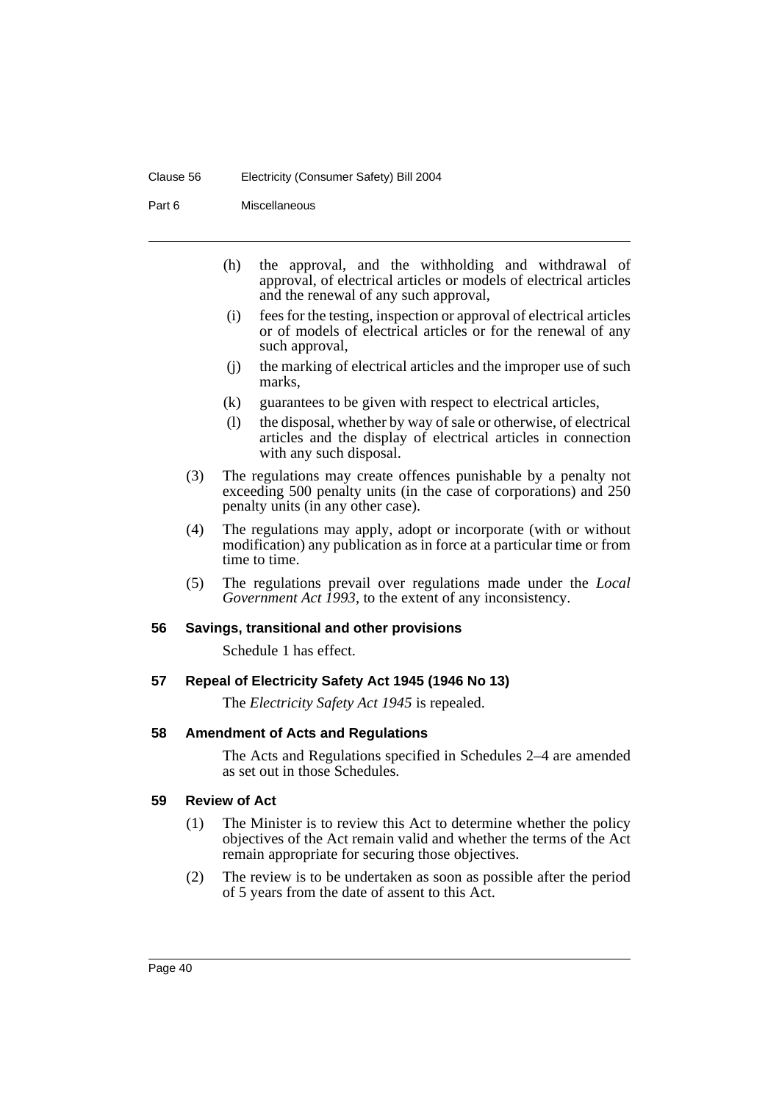#### Clause 56 Electricity (Consumer Safety) Bill 2004

Part 6 Miscellaneous

- (h) the approval, and the withholding and withdrawal of approval, of electrical articles or models of electrical articles and the renewal of any such approval,
- (i) fees for the testing, inspection or approval of electrical articles or of models of electrical articles or for the renewal of any such approval,
- (j) the marking of electrical articles and the improper use of such marks,
- (k) guarantees to be given with respect to electrical articles,
- (l) the disposal, whether by way of sale or otherwise, of electrical articles and the display of electrical articles in connection with any such disposal.
- (3) The regulations may create offences punishable by a penalty not exceeding 500 penalty units (in the case of corporations) and 250 penalty units (in any other case).
- (4) The regulations may apply, adopt or incorporate (with or without modification) any publication as in force at a particular time or from time to time.
- (5) The regulations prevail over regulations made under the *Local Government Act 1993*, to the extent of any inconsistency.

## **56 Savings, transitional and other provisions**

Schedule 1 has effect.

## **57 Repeal of Electricity Safety Act 1945 (1946 No 13)**

The *Electricity Safety Act 1945* is repealed.

## **58 Amendment of Acts and Regulations**

The Acts and Regulations specified in Schedules 2–4 are amended as set out in those Schedules.

## **59 Review of Act**

- (1) The Minister is to review this Act to determine whether the policy objectives of the Act remain valid and whether the terms of the Act remain appropriate for securing those objectives.
- (2) The review is to be undertaken as soon as possible after the period of 5 years from the date of assent to this Act.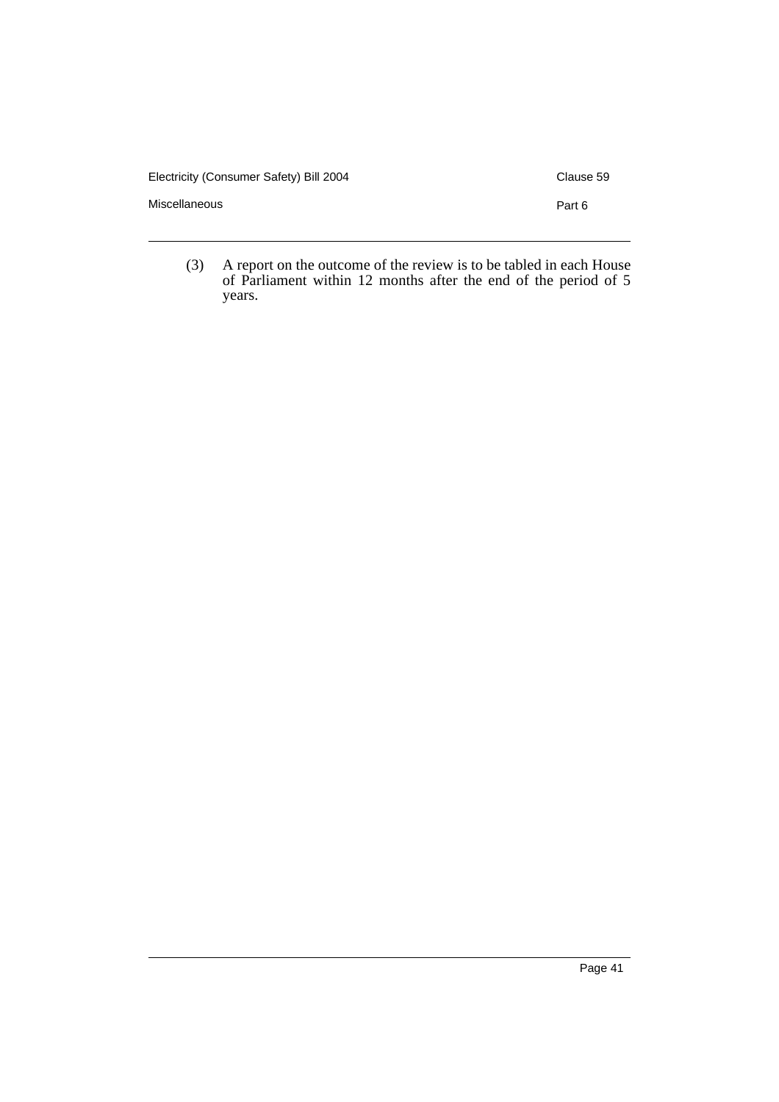Electricity (Consumer Safety) Bill 2004 Clause 59

Miscellaneous **Part 6** 

(3) A report on the outcome of the review is to be tabled in each House of Parliament within 12 months after the end of the period of 5 years.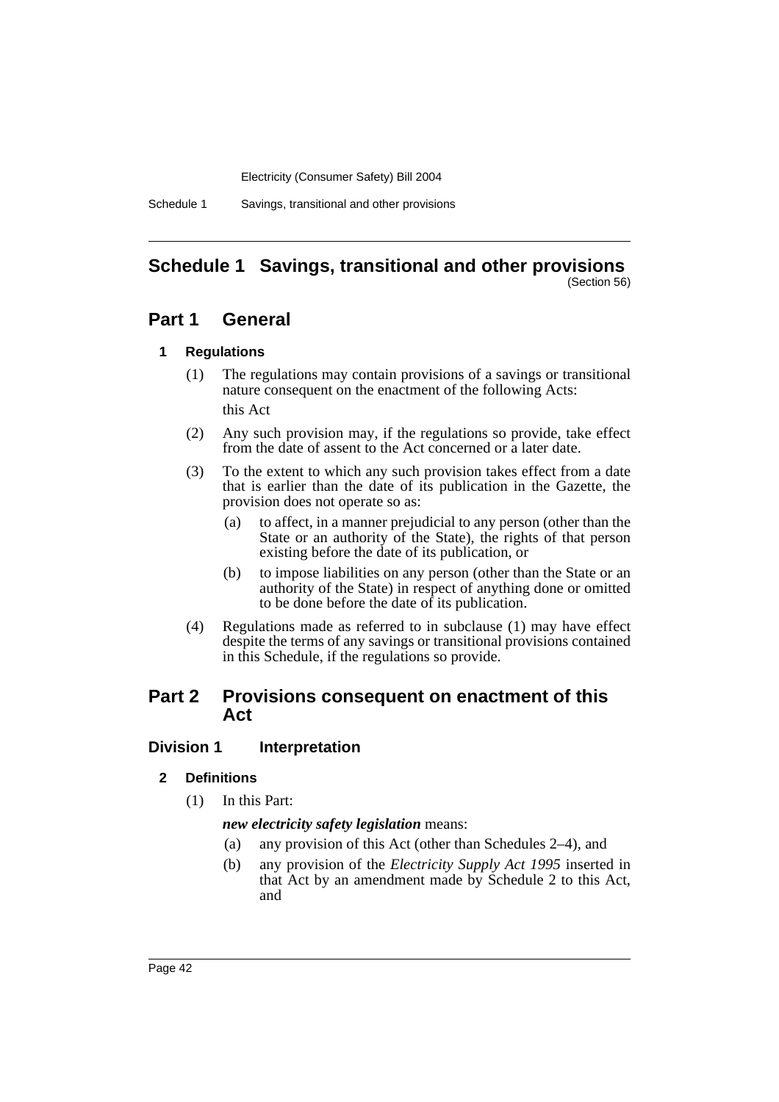Schedule 1 Savings, transitional and other provisions

#### **Schedule 1 Savings, transitional and other provisions** (Section 56)

# **Part 1 General**

## **1 Regulations**

- (1) The regulations may contain provisions of a savings or transitional nature consequent on the enactment of the following Acts: this Act
- (2) Any such provision may, if the regulations so provide, take effect from the date of assent to the Act concerned or a later date.
- (3) To the extent to which any such provision takes effect from a date that is earlier than the date of its publication in the Gazette, the provision does not operate so as:
	- (a) to affect, in a manner prejudicial to any person (other than the State or an authority of the State), the rights of that person existing before the date of its publication, or
	- (b) to impose liabilities on any person (other than the State or an authority of the State) in respect of anything done or omitted to be done before the date of its publication.
- (4) Regulations made as referred to in subclause (1) may have effect despite the terms of any savings or transitional provisions contained in this Schedule, if the regulations so provide.

# **Part 2 Provisions consequent on enactment of this Act**

## **Division 1 Interpretation**

## **2 Definitions**

(1) In this Part:

*new electricity safety legislation* means:

- (a) any provision of this Act (other than Schedules 2–4), and
- (b) any provision of the *Electricity Supply Act 1995* inserted in that Act by an amendment made by Schedule 2 to this Act, and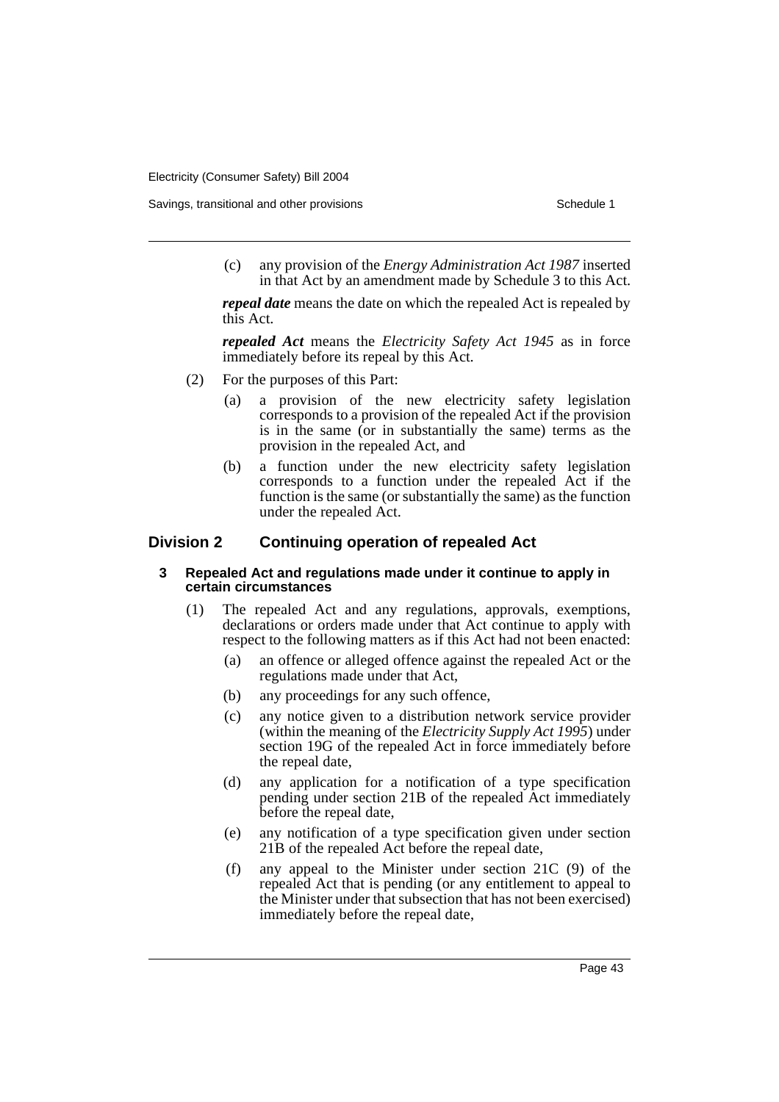Savings, transitional and other provisions Schedule 1 and the state of the state of the Schedule 1

(c) any provision of the *Energy Administration Act 1987* inserted in that Act by an amendment made by Schedule 3 to this Act.

*repeal date* means the date on which the repealed Act is repealed by this Act.

*repealed Act* means the *Electricity Safety Act 1945* as in force immediately before its repeal by this Act.

- (2) For the purposes of this Part:
	- (a) a provision of the new electricity safety legislation corresponds to a provision of the repealed Act if the provision is in the same (or in substantially the same) terms as the provision in the repealed Act, and
	- (b) a function under the new electricity safety legislation corresponds to a function under the repealed Act if the function is the same (or substantially the same) as the function under the repealed Act.

## **Division 2 Continuing operation of repealed Act**

#### **3 Repealed Act and regulations made under it continue to apply in certain circumstances**

- (1) The repealed Act and any regulations, approvals, exemptions, declarations or orders made under that Act continue to apply with respect to the following matters as if this Act had not been enacted:
	- (a) an offence or alleged offence against the repealed Act or the regulations made under that Act,
	- (b) any proceedings for any such offence,
	- (c) any notice given to a distribution network service provider (within the meaning of the *Electricity Supply Act 1995*) under section 19G of the repealed Act in force immediately before the repeal date,
	- (d) any application for a notification of a type specification pending under section 21B of the repealed Act immediately before the repeal date,
	- (e) any notification of a type specification given under section 21B of the repealed Act before the repeal date,
	- (f) any appeal to the Minister under section 21C (9) of the repealed Act that is pending (or any entitlement to appeal to the Minister under that subsection that has not been exercised) immediately before the repeal date,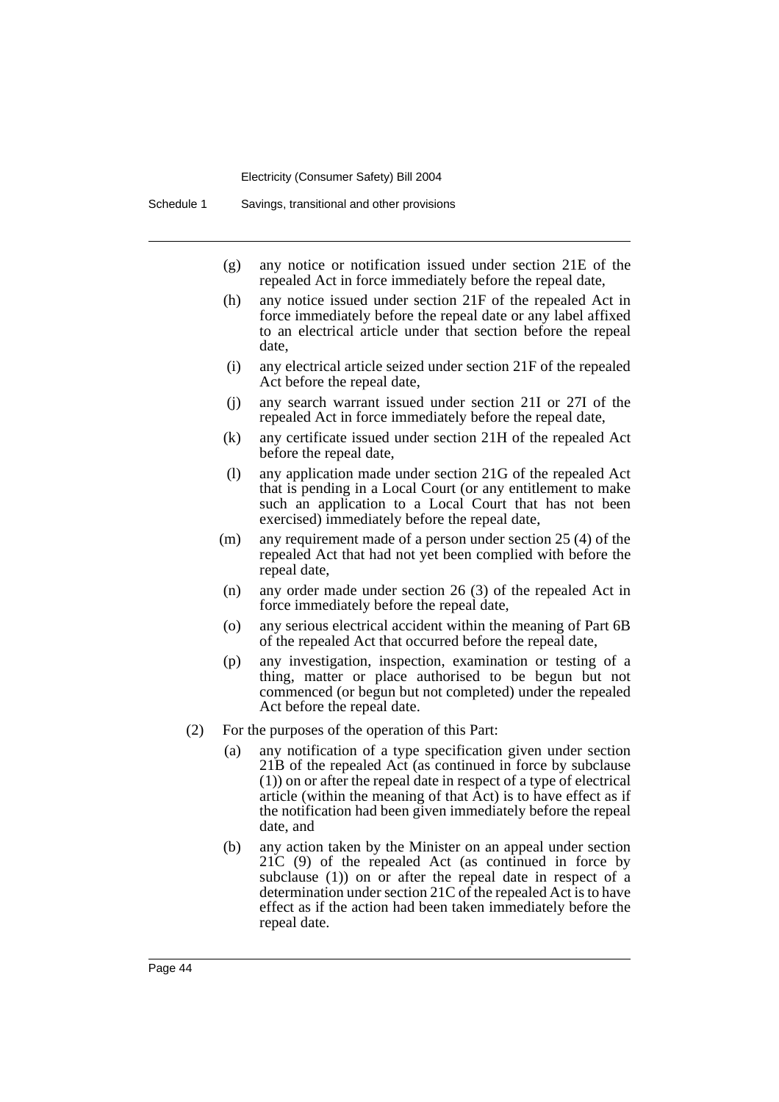- (g) any notice or notification issued under section 21E of the repealed Act in force immediately before the repeal date,
- (h) any notice issued under section 21F of the repealed Act in force immediately before the repeal date or any label affixed to an electrical article under that section before the repeal date,
- (i) any electrical article seized under section 21F of the repealed Act before the repeal date,
- (j) any search warrant issued under section 21I or 27I of the repealed Act in force immediately before the repeal date,
- (k) any certificate issued under section 21H of the repealed Act before the repeal date,
- (l) any application made under section 21G of the repealed Act that is pending in a Local Court (or any entitlement to make such an application to a Local Court that has not been exercised) immediately before the repeal date,
- (m) any requirement made of a person under section 25 (4) of the repealed Act that had not yet been complied with before the repeal date,
- (n) any order made under section 26 (3) of the repealed Act in force immediately before the repeal date,
- (o) any serious electrical accident within the meaning of Part 6B of the repealed Act that occurred before the repeal date,
- (p) any investigation, inspection, examination or testing of a thing, matter or place authorised to be begun but not commenced (or begun but not completed) under the repealed Act before the repeal date.
- (2) For the purposes of the operation of this Part:
	- (a) any notification of a type specification given under section 21B of the repealed Act (as continued in force by subclause (1)) on or after the repeal date in respect of a type of electrical article (within the meaning of that Act) is to have effect as if the notification had been given immediately before the repeal date, and
	- (b) any action taken by the Minister on an appeal under section 21C (9) of the repealed Act (as continued in force by subclause (1)) on or after the repeal date in respect of a determination under section 21C of the repealed Act is to have effect as if the action had been taken immediately before the repeal date.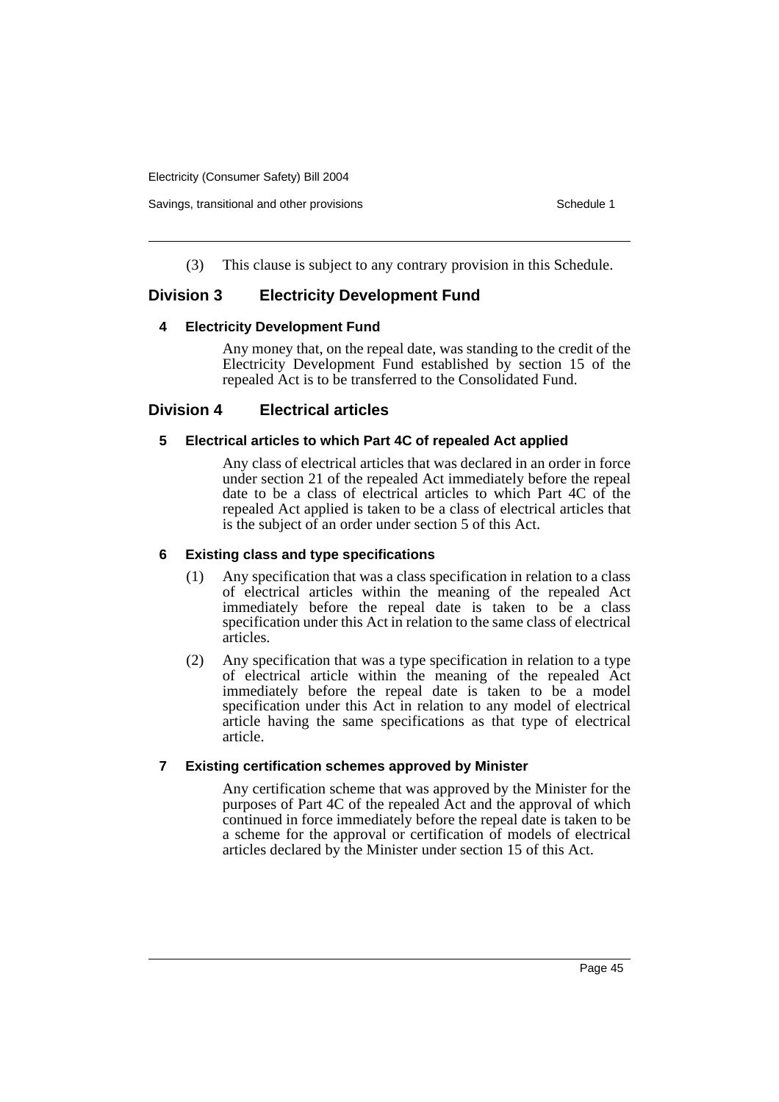Savings, transitional and other provisions Schedule 1 and  $\sigma$  Schedule 1

(3) This clause is subject to any contrary provision in this Schedule.

# **Division 3 Electricity Development Fund**

## **4 Electricity Development Fund**

Any money that, on the repeal date, was standing to the credit of the Electricity Development Fund established by section 15 of the repealed Act is to be transferred to the Consolidated Fund.

## **Division 4 Electrical articles**

## **5 Electrical articles to which Part 4C of repealed Act applied**

Any class of electrical articles that was declared in an order in force under section 21 of the repealed Act immediately before the repeal date to be a class of electrical articles to which Part 4C of the repealed Act applied is taken to be a class of electrical articles that is the subject of an order under section 5 of this Act.

## **6 Existing class and type specifications**

- (1) Any specification that was a class specification in relation to a class of electrical articles within the meaning of the repealed Act immediately before the repeal date is taken to be a class specification under this Act in relation to the same class of electrical articles.
- (2) Any specification that was a type specification in relation to a type of electrical article within the meaning of the repealed Act immediately before the repeal date is taken to be a model specification under this Act in relation to any model of electrical article having the same specifications as that type of electrical article.

## **7 Existing certification schemes approved by Minister**

Any certification scheme that was approved by the Minister for the purposes of Part 4C of the repealed Act and the approval of which continued in force immediately before the repeal date is taken to be a scheme for the approval or certification of models of electrical articles declared by the Minister under section 15 of this Act.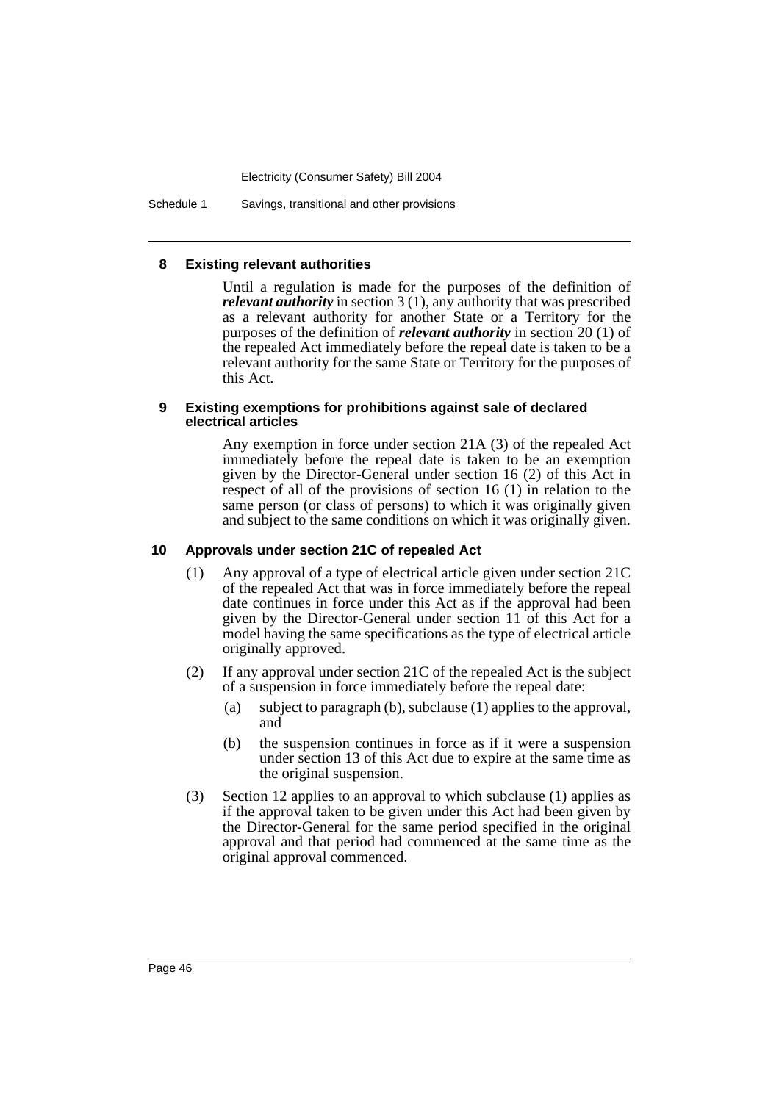Schedule 1 Savings, transitional and other provisions

### **8 Existing relevant authorities**

Until a regulation is made for the purposes of the definition of *relevant authority* in section 3 (1), any authority that was prescribed as a relevant authority for another State or a Territory for the purposes of the definition of *relevant authority* in section 20 (1) of the repealed Act immediately before the repeal date is taken to be a relevant authority for the same State or Territory for the purposes of this Act.

### **9 Existing exemptions for prohibitions against sale of declared electrical articles**

Any exemption in force under section 21A (3) of the repealed Act immediately before the repeal date is taken to be an exemption given by the Director-General under section 16 (2) of this Act in respect of all of the provisions of section 16 (1) in relation to the same person (or class of persons) to which it was originally given and subject to the same conditions on which it was originally given.

## **10 Approvals under section 21C of repealed Act**

- (1) Any approval of a type of electrical article given under section 21C of the repealed Act that was in force immediately before the repeal date continues in force under this Act as if the approval had been given by the Director-General under section 11 of this Act for a model having the same specifications as the type of electrical article originally approved.
- (2) If any approval under section 21C of the repealed Act is the subject of a suspension in force immediately before the repeal date:
	- (a) subject to paragraph (b), subclause (1) applies to the approval, and
	- (b) the suspension continues in force as if it were a suspension under section 13 of this Act due to expire at the same time as the original suspension.
- (3) Section 12 applies to an approval to which subclause (1) applies as if the approval taken to be given under this Act had been given by the Director-General for the same period specified in the original approval and that period had commenced at the same time as the original approval commenced.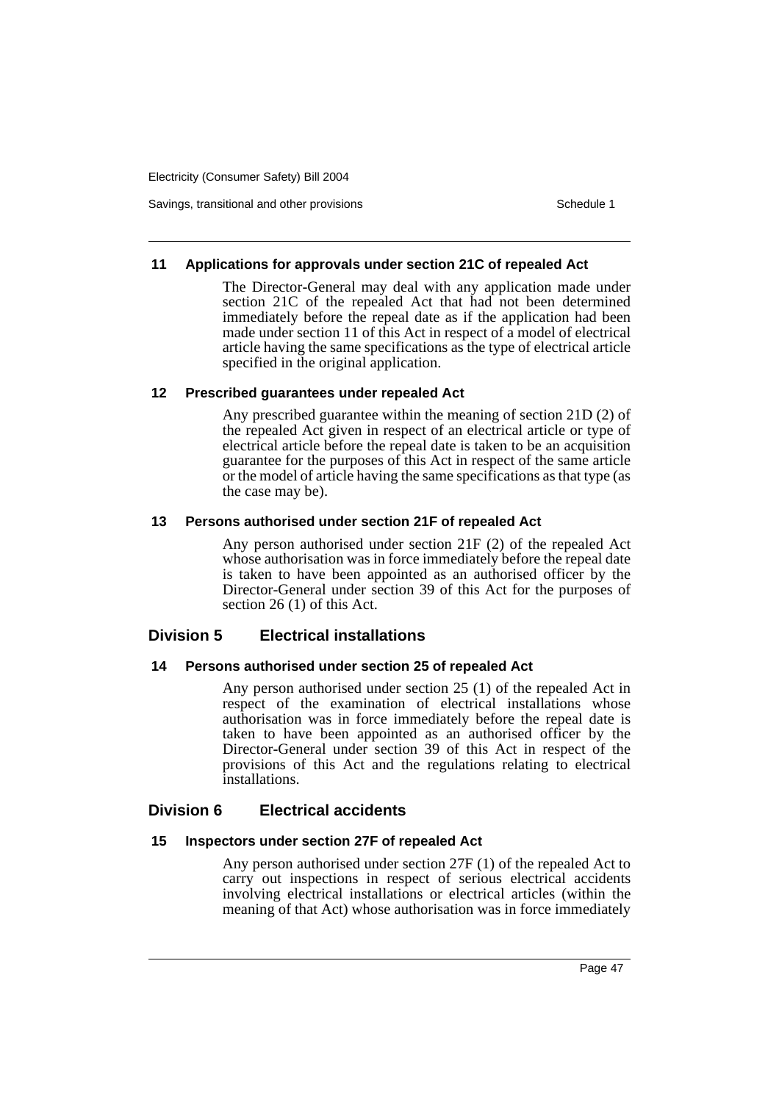Savings, transitional and other provisions Schedule 1 and the state of the state of the Schedule 1

### **11 Applications for approvals under section 21C of repealed Act**

The Director-General may deal with any application made under section 21C of the repealed Act that had not been determined immediately before the repeal date as if the application had been made under section 11 of this Act in respect of a model of electrical article having the same specifications as the type of electrical article specified in the original application.

## **12 Prescribed guarantees under repealed Act**

Any prescribed guarantee within the meaning of section 21D (2) of the repealed Act given in respect of an electrical article or type of electrical article before the repeal date is taken to be an acquisition guarantee for the purposes of this Act in respect of the same article or the model of article having the same specifications as that type (as the case may be).

### **13 Persons authorised under section 21F of repealed Act**

Any person authorised under section 21F (2) of the repealed Act whose authorisation was in force immediately before the repeal date is taken to have been appointed as an authorised officer by the Director-General under section 39 of this Act for the purposes of section 26 (1) of this Act.

## **Division 5 Electrical installations**

## **14 Persons authorised under section 25 of repealed Act**

Any person authorised under section 25 (1) of the repealed Act in respect of the examination of electrical installations whose authorisation was in force immediately before the repeal date is taken to have been appointed as an authorised officer by the Director-General under section 39 of this Act in respect of the provisions of this Act and the regulations relating to electrical installations.

## **Division 6 Electrical accidents**

## **15 Inspectors under section 27F of repealed Act**

Any person authorised under section 27F (1) of the repealed Act to carry out inspections in respect of serious electrical accidents involving electrical installations or electrical articles (within the meaning of that Act) whose authorisation was in force immediately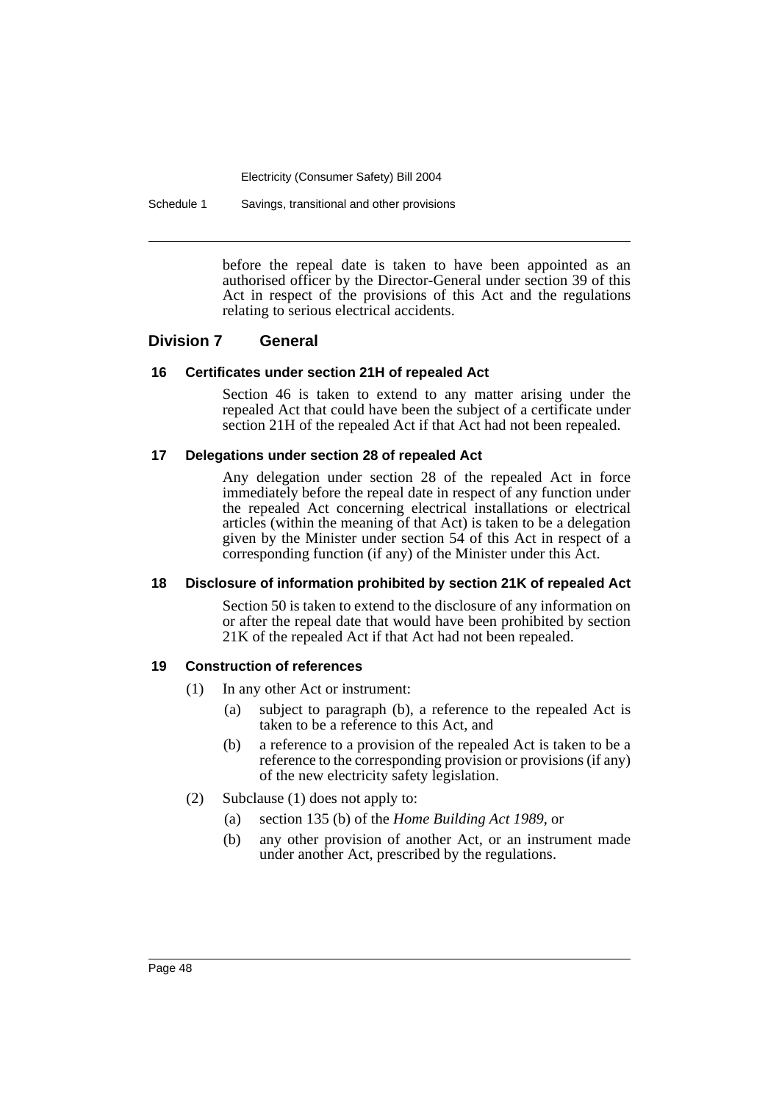Schedule 1 Savings, transitional and other provisions

before the repeal date is taken to have been appointed as an authorised officer by the Director-General under section 39 of this Act in respect of the provisions of this Act and the regulations relating to serious electrical accidents.

## **Division 7 General**

#### **16 Certificates under section 21H of repealed Act**

Section 46 is taken to extend to any matter arising under the repealed Act that could have been the subject of a certificate under section 21H of the repealed Act if that Act had not been repealed.

### **17 Delegations under section 28 of repealed Act**

Any delegation under section 28 of the repealed Act in force immediately before the repeal date in respect of any function under the repealed Act concerning electrical installations or electrical articles (within the meaning of that Act) is taken to be a delegation given by the Minister under section 54 of this Act in respect of a corresponding function (if any) of the Minister under this Act.

#### **18 Disclosure of information prohibited by section 21K of repealed Act**

Section 50 is taken to extend to the disclosure of any information on or after the repeal date that would have been prohibited by section 21K of the repealed Act if that Act had not been repealed.

#### **19 Construction of references**

- (1) In any other Act or instrument:
	- (a) subject to paragraph (b), a reference to the repealed Act is taken to be a reference to this Act, and
	- (b) a reference to a provision of the repealed Act is taken to be a reference to the corresponding provision or provisions (if any) of the new electricity safety legislation.
- (2) Subclause (1) does not apply to:
	- (a) section 135 (b) of the *Home Building Act 1989*, or
	- (b) any other provision of another Act, or an instrument made under another Act, prescribed by the regulations.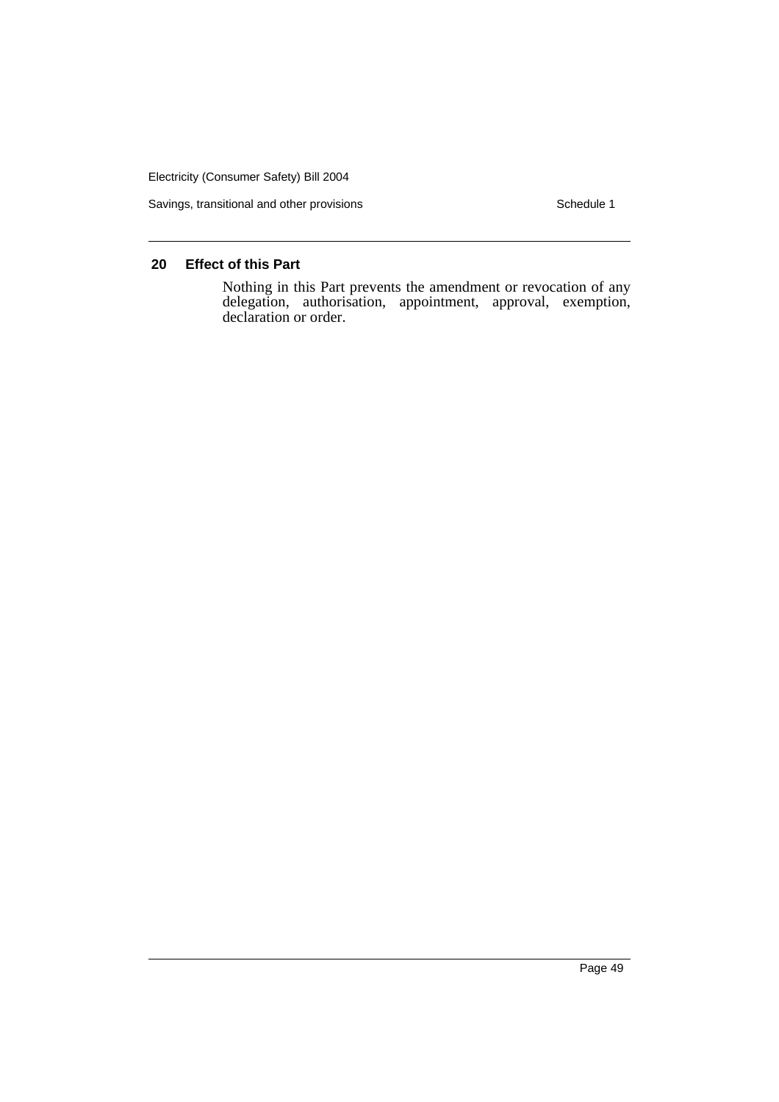Savings, transitional and other provisions Schedule 1

# **20 Effect of this Part**

Nothing in this Part prevents the amendment or revocation of any delegation, authorisation, appointment, approval, exemption, declaration or order.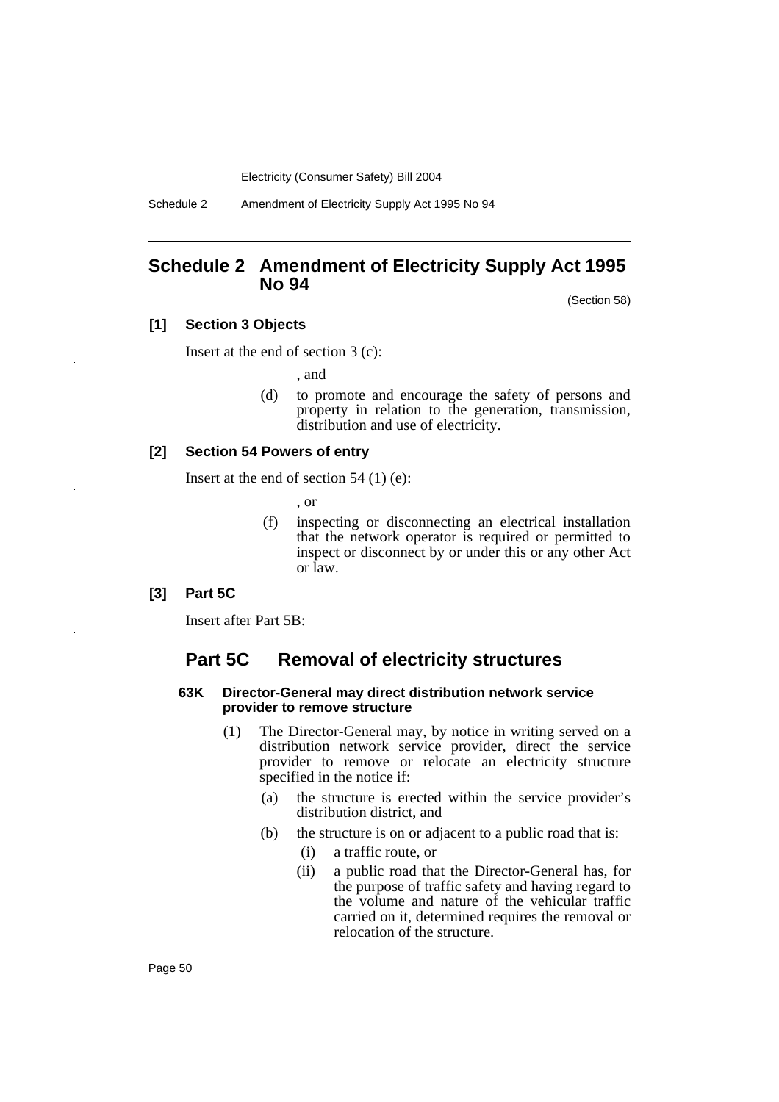Schedule 2 Amendment of Electricity Supply Act 1995 No 94

# **Schedule 2 Amendment of Electricity Supply Act 1995 No 94**

(Section 58)

## **[1] Section 3 Objects**

Insert at the end of section 3 (c):

, and

(d) to promote and encourage the safety of persons and property in relation to the generation, transmission, distribution and use of electricity.

#### **[2] Section 54 Powers of entry**

Insert at the end of section 54 (1) (e):

, or

(f) inspecting or disconnecting an electrical installation that the network operator is required or permitted to inspect or disconnect by or under this or any other Act or law.

#### **[3] Part 5C**

Insert after Part 5B:

## **Part 5C Removal of electricity structures**

#### **63K Director-General may direct distribution network service provider to remove structure**

- (1) The Director-General may, by notice in writing served on a distribution network service provider, direct the service provider to remove or relocate an electricity structure specified in the notice if:
	- (a) the structure is erected within the service provider's distribution district, and
	- (b) the structure is on or adjacent to a public road that is:
		- (i) a traffic route, or
		- (ii) a public road that the Director-General has, for the purpose of traffic safety and having regard to the volume and nature of the vehicular traffic carried on it, determined requires the removal or relocation of the structure.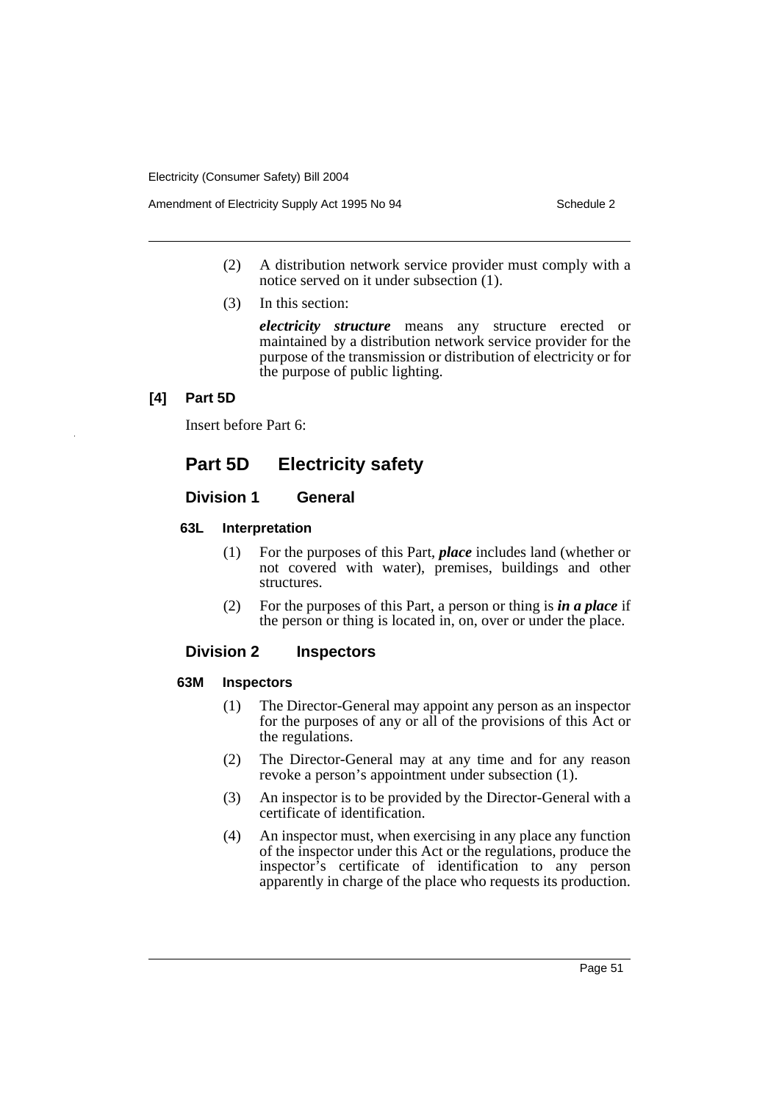Amendment of Electricity Supply Act 1995 No 94 Schedule 2

- (2) A distribution network service provider must comply with a notice served on it under subsection (1).
- (3) In this section:

*electricity structure* means any structure erected or maintained by a distribution network service provider for the purpose of the transmission or distribution of electricity or for the purpose of public lighting.

## **[4] Part 5D**

Insert before Part 6:

# **Part 5D Electricity safety**

## **Division 1 General**

## **63L Interpretation**

- (1) For the purposes of this Part, *place* includes land (whether or not covered with water), premises, buildings and other structures.
- (2) For the purposes of this Part, a person or thing is *in a place* if the person or thing is located in, on, over or under the place.

## **Division 2 Inspectors**

## **63M Inspectors**

- (1) The Director-General may appoint any person as an inspector for the purposes of any or all of the provisions of this Act or the regulations.
- (2) The Director-General may at any time and for any reason revoke a person's appointment under subsection (1).
- (3) An inspector is to be provided by the Director-General with a certificate of identification.
- (4) An inspector must, when exercising in any place any function of the inspector under this Act or the regulations, produce the inspector's certificate of identification to any person apparently in charge of the place who requests its production.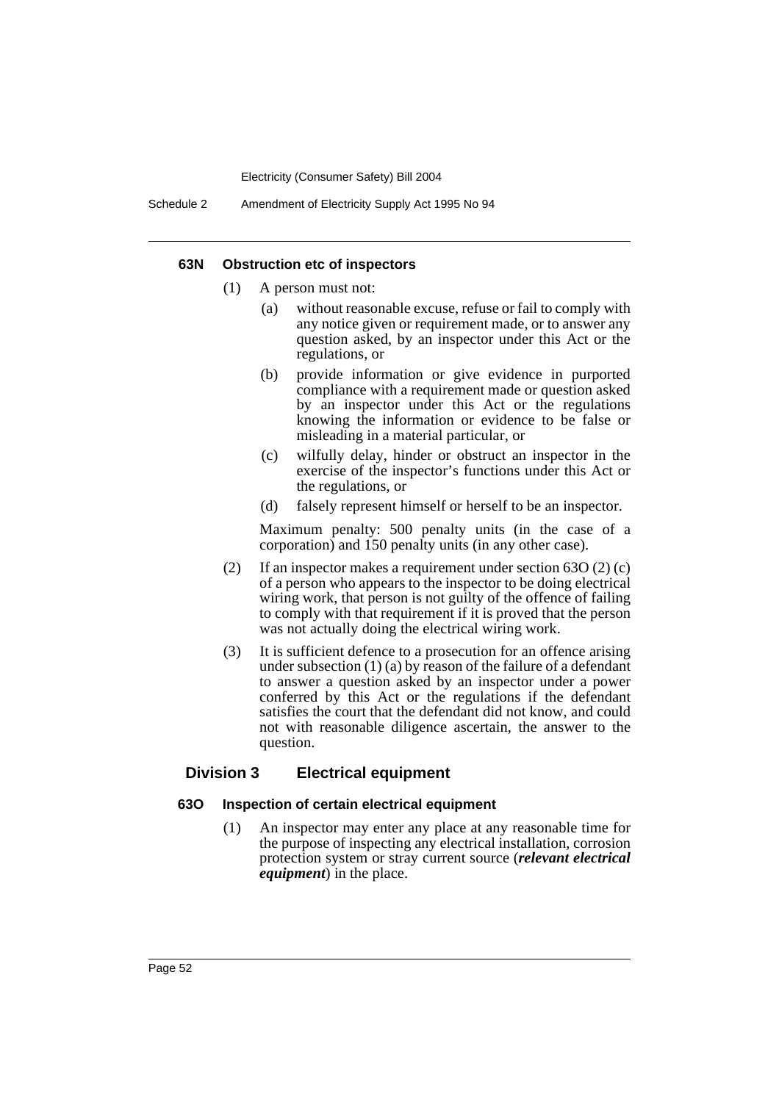#### **63N Obstruction etc of inspectors**

- (1) A person must not:
	- (a) without reasonable excuse, refuse or fail to comply with any notice given or requirement made, or to answer any question asked, by an inspector under this Act or the regulations, or
	- (b) provide information or give evidence in purported compliance with a requirement made or question asked by an inspector under this Act or the regulations knowing the information or evidence to be false or misleading in a material particular, or
	- (c) wilfully delay, hinder or obstruct an inspector in the exercise of the inspector's functions under this Act or the regulations, or
	- (d) falsely represent himself or herself to be an inspector.

Maximum penalty: 500 penalty units (in the case of a corporation) and 150 penalty units (in any other case).

- (2) If an inspector makes a requirement under section 63O (2) (c) of a person who appears to the inspector to be doing electrical wiring work, that person is not guilty of the offence of failing to comply with that requirement if it is proved that the person was not actually doing the electrical wiring work.
- (3) It is sufficient defence to a prosecution for an offence arising under subsection (1) (a) by reason of the failure of a defendant to answer a question asked by an inspector under a power conferred by this Act or the regulations if the defendant satisfies the court that the defendant did not know, and could not with reasonable diligence ascertain, the answer to the question.

## **Division 3 Electrical equipment**

#### **63O Inspection of certain electrical equipment**

(1) An inspector may enter any place at any reasonable time for the purpose of inspecting any electrical installation, corrosion protection system or stray current source (*relevant electrical equipment*) in the place.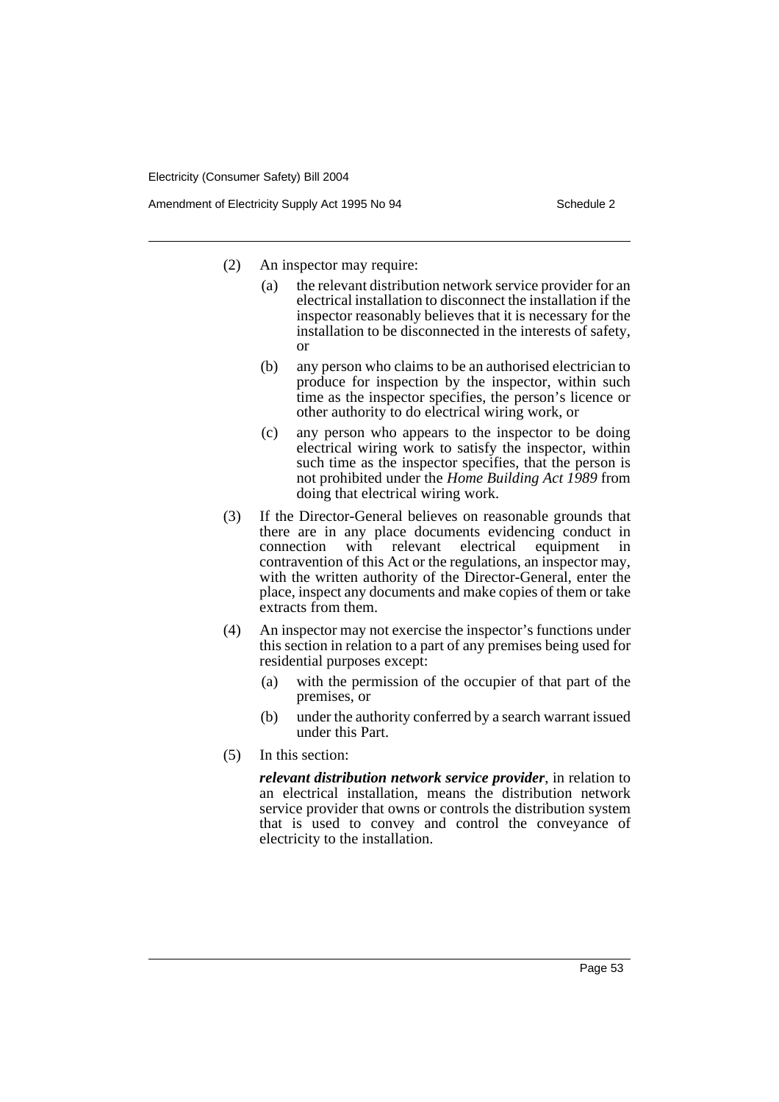- (2) An inspector may require:
	- (a) the relevant distribution network service provider for an electrical installation to disconnect the installation if the inspector reasonably believes that it is necessary for the installation to be disconnected in the interests of safety, or
	- (b) any person who claims to be an authorised electrician to produce for inspection by the inspector, within such time as the inspector specifies, the person's licence or other authority to do electrical wiring work, or
	- (c) any person who appears to the inspector to be doing electrical wiring work to satisfy the inspector, within such time as the inspector specifies, that the person is not prohibited under the *Home Building Act 1989* from doing that electrical wiring work.
- (3) If the Director-General believes on reasonable grounds that there are in any place documents evidencing conduct in connection with relevant electrical equipment in contravention of this Act or the regulations, an inspector may, with the written authority of the Director-General, enter the place, inspect any documents and make copies of them or take extracts from them.
- (4) An inspector may not exercise the inspector's functions under this section in relation to a part of any premises being used for residential purposes except:
	- (a) with the permission of the occupier of that part of the premises, or
	- (b) under the authority conferred by a search warrant issued under this Part.
- (5) In this section:

*relevant distribution network service provider*, in relation to an electrical installation, means the distribution network service provider that owns or controls the distribution system that is used to convey and control the conveyance of electricity to the installation.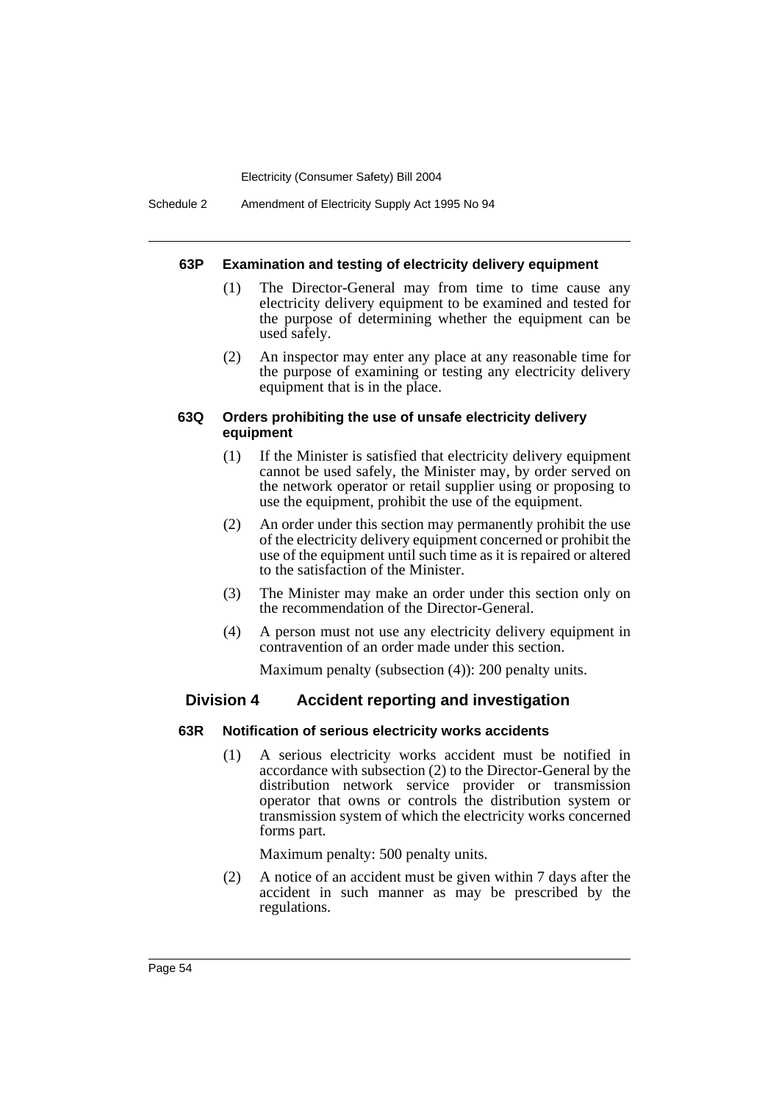#### **63P Examination and testing of electricity delivery equipment**

- (1) The Director-General may from time to time cause any electricity delivery equipment to be examined and tested for the purpose of determining whether the equipment can be used safely.
- (2) An inspector may enter any place at any reasonable time for the purpose of examining or testing any electricity delivery equipment that is in the place.

### **63Q Orders prohibiting the use of unsafe electricity delivery equipment**

- (1) If the Minister is satisfied that electricity delivery equipment cannot be used safely, the Minister may, by order served on the network operator or retail supplier using or proposing to use the equipment, prohibit the use of the equipment.
- (2) An order under this section may permanently prohibit the use of the electricity delivery equipment concerned or prohibit the use of the equipment until such time as it is repaired or altered to the satisfaction of the Minister.
- (3) The Minister may make an order under this section only on the recommendation of the Director-General.
- (4) A person must not use any electricity delivery equipment in contravention of an order made under this section.

Maximum penalty (subsection (4)): 200 penalty units.

## **Division 4 Accident reporting and investigation**

## **63R Notification of serious electricity works accidents**

(1) A serious electricity works accident must be notified in accordance with subsection (2) to the Director-General by the distribution network service provider or transmission operator that owns or controls the distribution system or transmission system of which the electricity works concerned forms part.

Maximum penalty: 500 penalty units.

(2) A notice of an accident must be given within 7 days after the accident in such manner as may be prescribed by the regulations.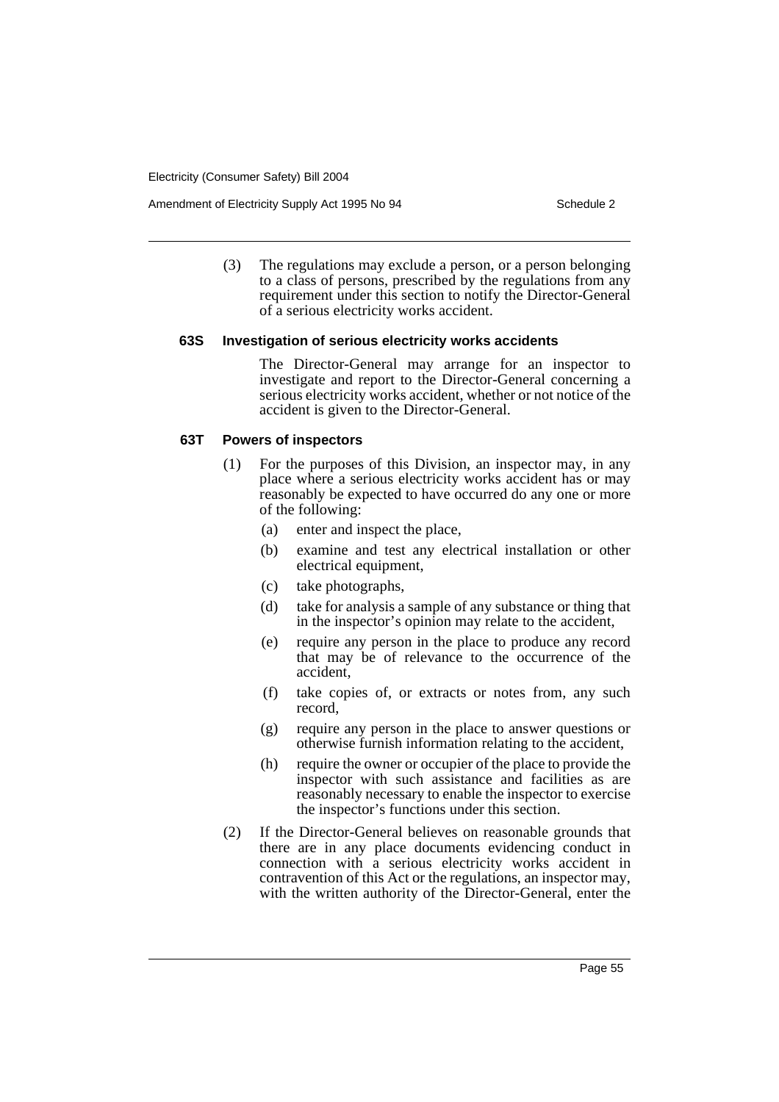Amendment of Electricity Supply Act 1995 No 94 Schedule 2

(3) The regulations may exclude a person, or a person belonging to a class of persons, prescribed by the regulations from any requirement under this section to notify the Director-General of a serious electricity works accident.

#### **63S Investigation of serious electricity works accidents**

The Director-General may arrange for an inspector to investigate and report to the Director-General concerning a serious electricity works accident, whether or not notice of the accident is given to the Director-General.

### **63T Powers of inspectors**

- (1) For the purposes of this Division, an inspector may, in any place where a serious electricity works accident has or may reasonably be expected to have occurred do any one or more of the following:
	- (a) enter and inspect the place,
	- (b) examine and test any electrical installation or other electrical equipment,
	- (c) take photographs,
	- (d) take for analysis a sample of any substance or thing that in the inspector's opinion may relate to the accident,
	- (e) require any person in the place to produce any record that may be of relevance to the occurrence of the accident,
	- (f) take copies of, or extracts or notes from, any such record,
	- (g) require any person in the place to answer questions or otherwise furnish information relating to the accident,
	- (h) require the owner or occupier of the place to provide the inspector with such assistance and facilities as are reasonably necessary to enable the inspector to exercise the inspector's functions under this section.
- (2) If the Director-General believes on reasonable grounds that there are in any place documents evidencing conduct in connection with a serious electricity works accident in contravention of this Act or the regulations, an inspector may, with the written authority of the Director-General, enter the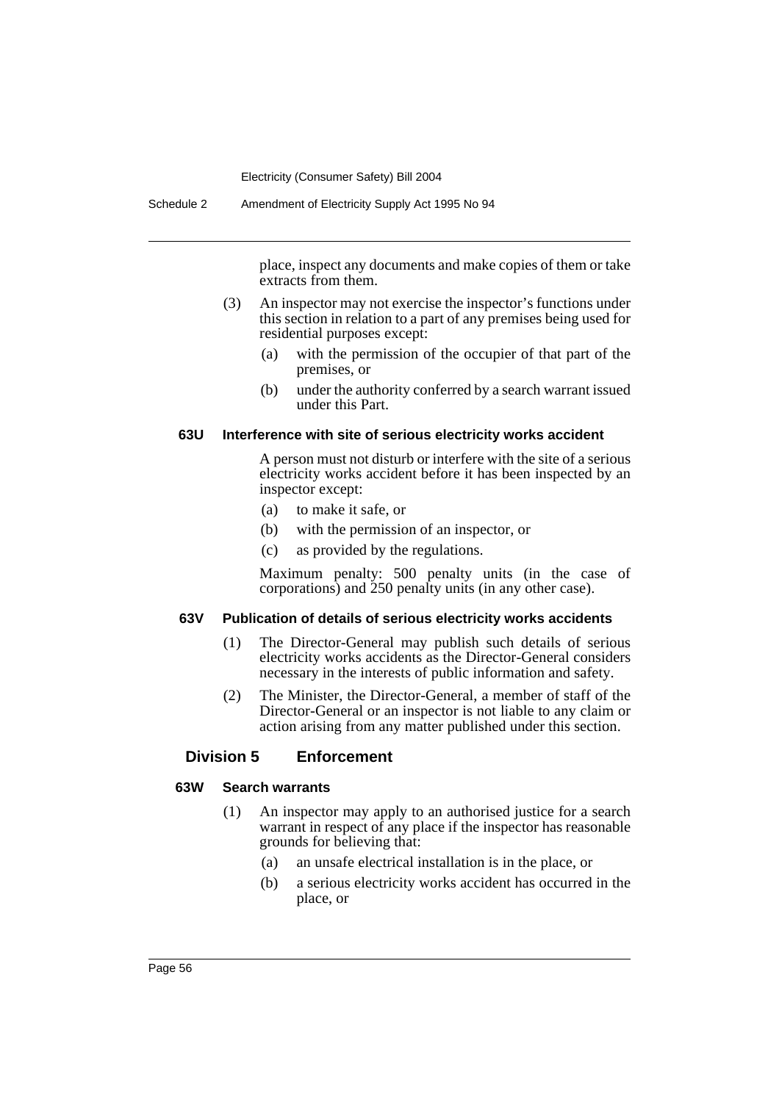place, inspect any documents and make copies of them or take extracts from them.

- (3) An inspector may not exercise the inspector's functions under this section in relation to a part of any premises being used for residential purposes except:
	- (a) with the permission of the occupier of that part of the premises, or
	- (b) under the authority conferred by a search warrant issued under this Part.

### **63U Interference with site of serious electricity works accident**

A person must not disturb or interfere with the site of a serious electricity works accident before it has been inspected by an inspector except:

- (a) to make it safe, or
- (b) with the permission of an inspector, or
- (c) as provided by the regulations.

Maximum penalty: 500 penalty units (in the case of corporations) and 250 penalty units (in any other case).

#### **63V Publication of details of serious electricity works accidents**

- (1) The Director-General may publish such details of serious electricity works accidents as the Director-General considers necessary in the interests of public information and safety.
- (2) The Minister, the Director-General, a member of staff of the Director-General or an inspector is not liable to any claim or action arising from any matter published under this section.

## **Division 5 Enforcement**

## **63W Search warrants**

- (1) An inspector may apply to an authorised justice for a search warrant in respect of any place if the inspector has reasonable grounds for believing that:
	- (a) an unsafe electrical installation is in the place, or
	- (b) a serious electricity works accident has occurred in the place, or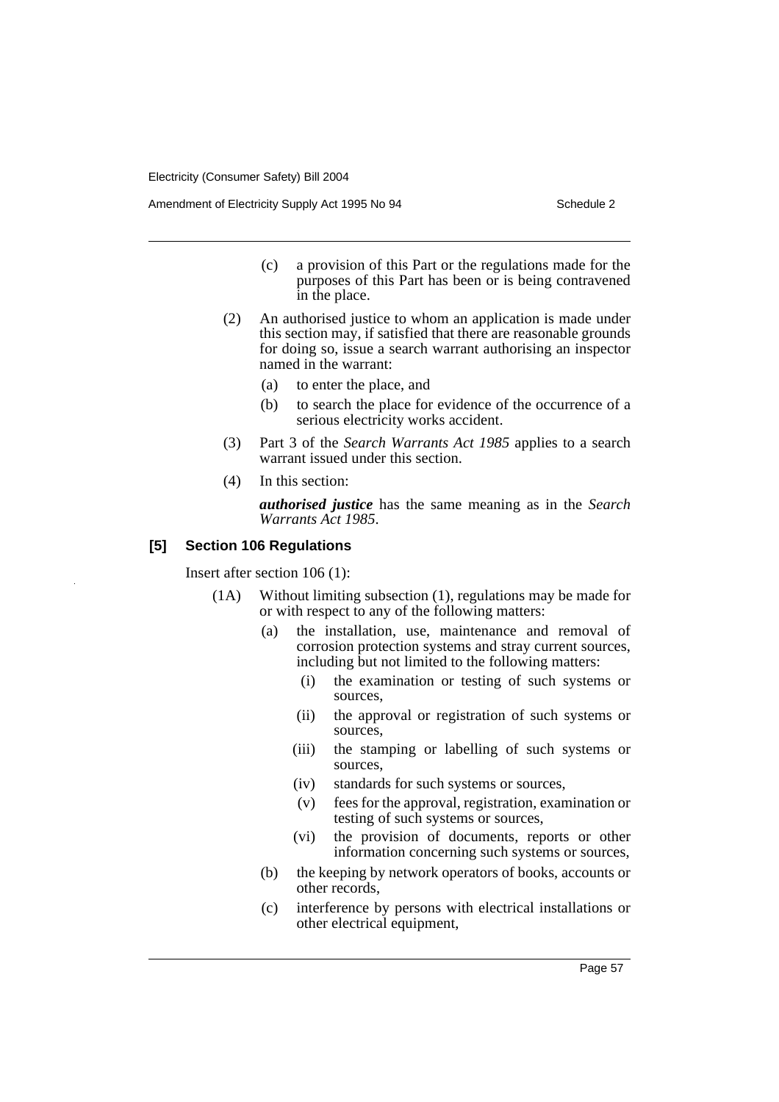Amendment of Electricity Supply Act 1995 No 94 Schedule 2

- (c) a provision of this Part or the regulations made for the purposes of this Part has been or is being contravened in the place.
- (2) An authorised justice to whom an application is made under this section may, if satisfied that there are reasonable grounds for doing so, issue a search warrant authorising an inspector named in the warrant:
	- (a) to enter the place, and
	- (b) to search the place for evidence of the occurrence of a serious electricity works accident.
- (3) Part 3 of the *Search Warrants Act 1985* applies to a search warrant issued under this section.
- (4) In this section:

*authorised justice* has the same meaning as in the *Search Warrants Act 1985*.

### **[5] Section 106 Regulations**

Insert after section 106 (1):

- (1A) Without limiting subsection (1), regulations may be made for or with respect to any of the following matters:
	- (a) the installation, use, maintenance and removal of corrosion protection systems and stray current sources, including but not limited to the following matters:
		- (i) the examination or testing of such systems or sources,
		- (ii) the approval or registration of such systems or sources,
		- (iii) the stamping or labelling of such systems or sources,
		- (iv) standards for such systems or sources,
		- (v) fees for the approval, registration, examination or testing of such systems or sources,
		- (vi) the provision of documents, reports or other information concerning such systems or sources,
	- (b) the keeping by network operators of books, accounts or other records,
	- (c) interference by persons with electrical installations or other electrical equipment,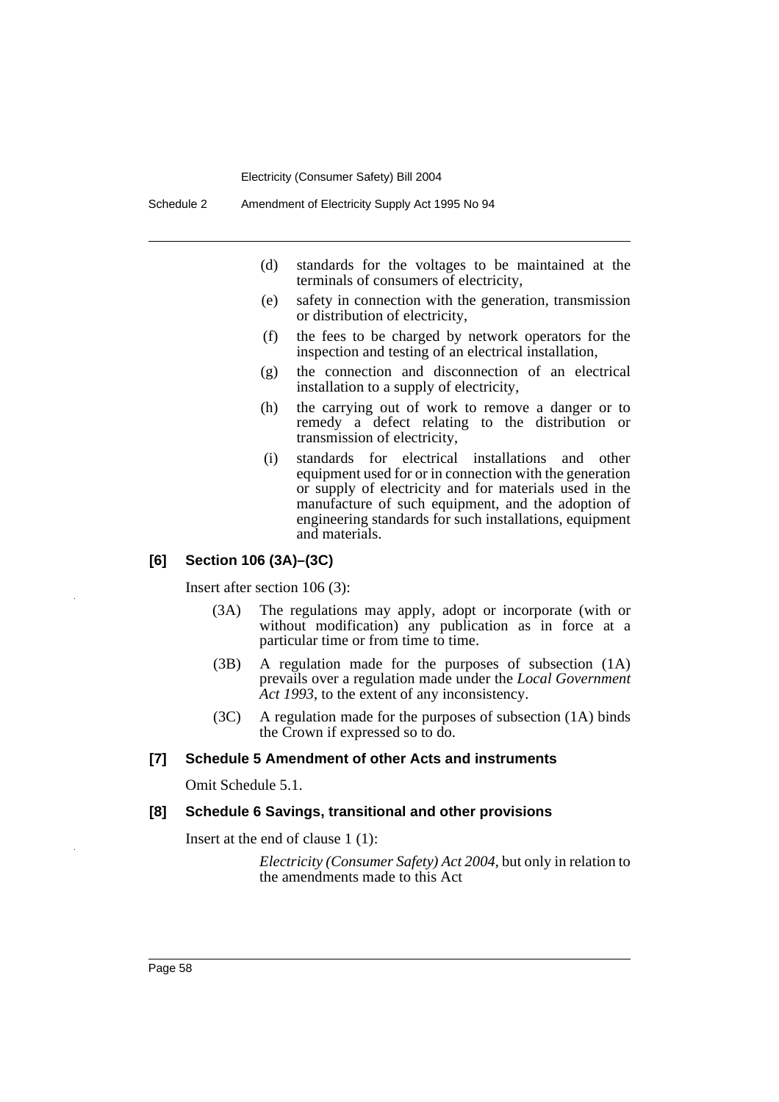- (d) standards for the voltages to be maintained at the terminals of consumers of electricity,
- (e) safety in connection with the generation, transmission or distribution of electricity,
- (f) the fees to be charged by network operators for the inspection and testing of an electrical installation,
- (g) the connection and disconnection of an electrical installation to a supply of electricity,
- (h) the carrying out of work to remove a danger or to remedy a defect relating to the distribution or transmission of electricity,
- (i) standards for electrical installations and other equipment used for or in connection with the generation or supply of electricity and for materials used in the manufacture of such equipment, and the adoption of engineering standards for such installations, equipment and materials.

## **[6] Section 106 (3A)–(3C)**

Insert after section 106 (3):

- (3A) The regulations may apply, adopt or incorporate (with or without modification) any publication as in force at a particular time or from time to time.
- (3B) A regulation made for the purposes of subsection (1A) prevails over a regulation made under the *Local Government Act 1993*, to the extent of any inconsistency.
- (3C) A regulation made for the purposes of subsection (1A) binds the Crown if expressed so to do.

## **[7] Schedule 5 Amendment of other Acts and instruments**

Omit Schedule 5.1.

### **[8] Schedule 6 Savings, transitional and other provisions**

Insert at the end of clause 1 (1):

*Electricity (Consumer Safety) Act 2004*, but only in relation to the amendments made to this Act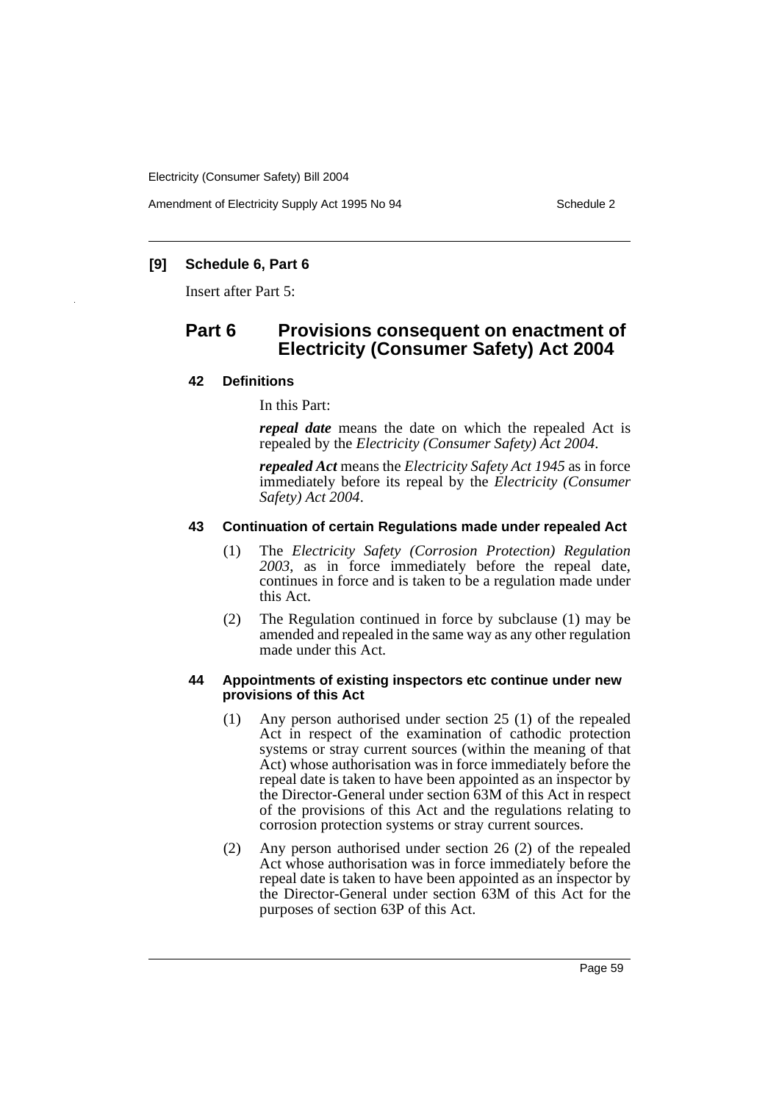Amendment of Electricity Supply Act 1995 No 94 Schedule 2

## **[9] Schedule 6, Part 6**

Insert after Part 5:

# **Part 6 Provisions consequent on enactment of Electricity (Consumer Safety) Act 2004**

## **42 Definitions**

In this Part:

*repeal date* means the date on which the repealed Act is repealed by the *Electricity (Consumer Safety) Act 2004*.

*repealed Act* means the *Electricity Safety Act 1945* as in force immediately before its repeal by the *Electricity (Consumer Safety) Act 2004*.

## **43 Continuation of certain Regulations made under repealed Act**

- (1) The *Electricity Safety (Corrosion Protection) Regulation 2003*, as in force immediately before the repeal date, continues in force and is taken to be a regulation made under this Act.
- (2) The Regulation continued in force by subclause (1) may be amended and repealed in the same way as any other regulation made under this Act.

### **44 Appointments of existing inspectors etc continue under new provisions of this Act**

- (1) Any person authorised under section 25 (1) of the repealed Act in respect of the examination of cathodic protection systems or stray current sources (within the meaning of that Act) whose authorisation was in force immediately before the repeal date is taken to have been appointed as an inspector by the Director-General under section 63M of this Act in respect of the provisions of this Act and the regulations relating to corrosion protection systems or stray current sources.
- (2) Any person authorised under section 26 (2) of the repealed Act whose authorisation was in force immediately before the repeal date is taken to have been appointed as an inspector by the Director-General under section 63M of this Act for the purposes of section 63P of this Act.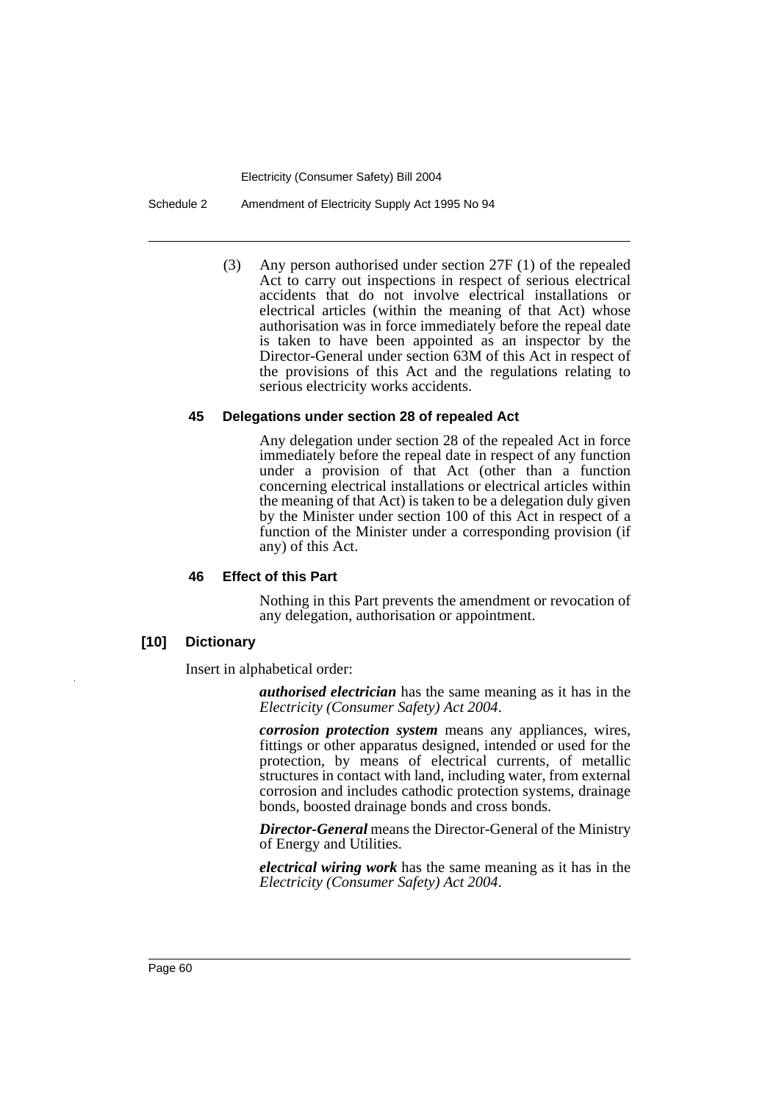Schedule 2 Amendment of Electricity Supply Act 1995 No 94

(3) Any person authorised under section 27F (1) of the repealed Act to carry out inspections in respect of serious electrical accidents that do not involve electrical installations or electrical articles (within the meaning of that Act) whose authorisation was in force immediately before the repeal date is taken to have been appointed as an inspector by the Director-General under section 63M of this Act in respect of the provisions of this Act and the regulations relating to serious electricity works accidents.

#### **45 Delegations under section 28 of repealed Act**

Any delegation under section 28 of the repealed Act in force immediately before the repeal date in respect of any function under a provision of that Act (other than a function concerning electrical installations or electrical articles within the meaning of that Act) is taken to be a delegation duly given by the Minister under section 100 of this Act in respect of a function of the Minister under a corresponding provision (if any) of this Act.

#### **46 Effect of this Part**

Nothing in this Part prevents the amendment or revocation of any delegation, authorisation or appointment.

## **[10] Dictionary**

Insert in alphabetical order:

*authorised electrician* has the same meaning as it has in the *Electricity (Consumer Safety) Act 2004*.

*corrosion protection system* means any appliances, wires, fittings or other apparatus designed, intended or used for the protection, by means of electrical currents, of metallic structures in contact with land, including water, from external corrosion and includes cathodic protection systems, drainage bonds, boosted drainage bonds and cross bonds.

*Director-General* means the Director-General of the Ministry of Energy and Utilities.

*electrical wiring work* has the same meaning as it has in the *Electricity (Consumer Safety) Act 2004*.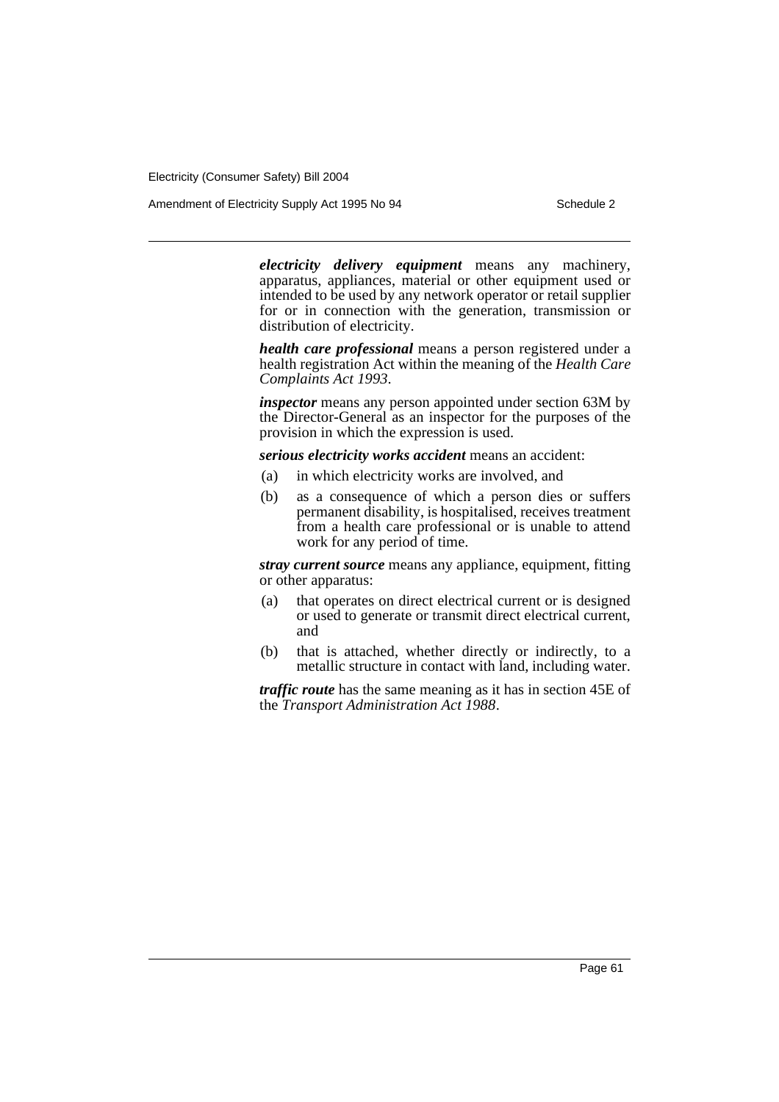Amendment of Electricity Supply Act 1995 No 94 Schedule 2

*electricity delivery equipment* means any machinery, apparatus, appliances, material or other equipment used or intended to be used by any network operator or retail supplier for or in connection with the generation, transmission or distribution of electricity.

*health care professional* means a person registered under a health registration Act within the meaning of the *Health Care Complaints Act 1993*.

*inspector* means any person appointed under section 63M by the Director-General as an inspector for the purposes of the provision in which the expression is used.

*serious electricity works accident* means an accident:

- (a) in which electricity works are involved, and
- (b) as a consequence of which a person dies or suffers permanent disability, is hospitalised, receives treatment from a health care professional or is unable to attend work for any period of time.

*stray current source* means any appliance, equipment, fitting or other apparatus:

- (a) that operates on direct electrical current or is designed or used to generate or transmit direct electrical current, and
- (b) that is attached, whether directly or indirectly, to a metallic structure in contact with land, including water.

*traffic route* has the same meaning as it has in section 45E of the *Transport Administration Act 1988*.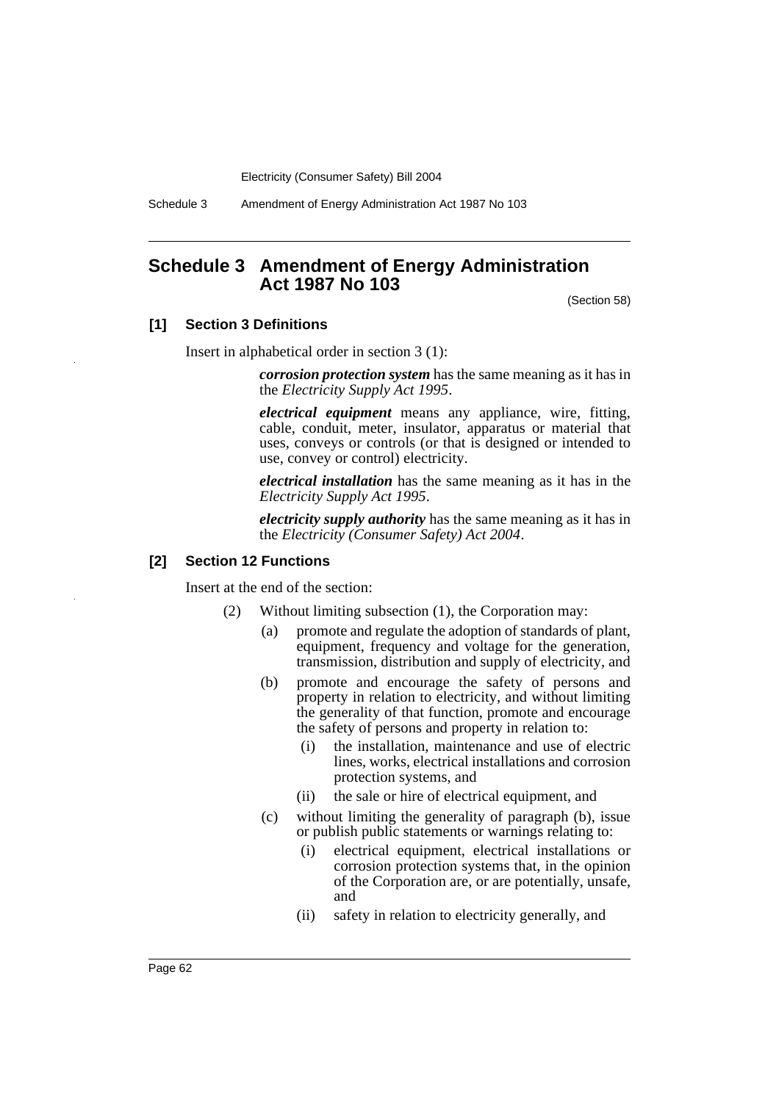Schedule 3 Amendment of Energy Administration Act 1987 No 103

## **Schedule 3 Amendment of Energy Administration Act 1987 No 103**

(Section 58)

#### **[1] Section 3 Definitions**

Insert in alphabetical order in section 3 (1):

*corrosion protection system* has the same meaning as it has in the *Electricity Supply Act 1995*.

*electrical equipment* means any appliance, wire, fitting, cable, conduit, meter, insulator, apparatus or material that uses, conveys or controls (or that is designed or intended to use, convey or control) electricity.

*electrical installation* has the same meaning as it has in the *Electricity Supply Act 1995*.

*electricity supply authority* has the same meaning as it has in the *Electricity (Consumer Safety) Act 2004*.

#### **[2] Section 12 Functions**

Insert at the end of the section:

- (2) Without limiting subsection (1), the Corporation may:
	- (a) promote and regulate the adoption of standards of plant, equipment, frequency and voltage for the generation, transmission, distribution and supply of electricity, and
	- (b) promote and encourage the safety of persons and property in relation to electricity, and without limiting the generality of that function, promote and encourage the safety of persons and property in relation to:
		- (i) the installation, maintenance and use of electric lines, works, electrical installations and corrosion protection systems, and
		- (ii) the sale or hire of electrical equipment, and
	- (c) without limiting the generality of paragraph (b), issue or publish public statements or warnings relating to:
		- (i) electrical equipment, electrical installations or corrosion protection systems that, in the opinion of the Corporation are, or are potentially, unsafe, and
		- (ii) safety in relation to electricity generally, and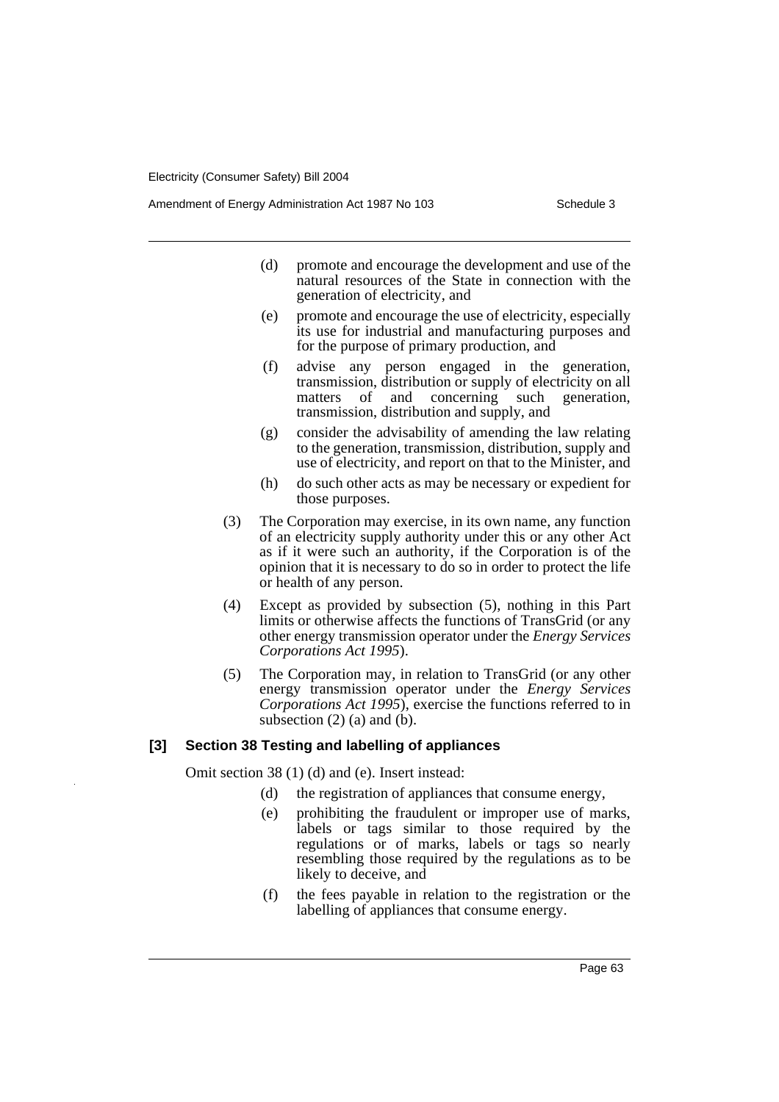Amendment of Energy Administration Act 1987 No 103 Schedule 3

- (d) promote and encourage the development and use of the natural resources of the State in connection with the generation of electricity, and
- (e) promote and encourage the use of electricity, especially its use for industrial and manufacturing purposes and for the purpose of primary production, and
- (f) advise any person engaged in the generation, transmission, distribution or supply of electricity on all matters of and concerning such generation, transmission, distribution and supply, and
- (g) consider the advisability of amending the law relating to the generation, transmission, distribution, supply and use of electricity, and report on that to the Minister, and
- (h) do such other acts as may be necessary or expedient for those purposes.
- (3) The Corporation may exercise, in its own name, any function of an electricity supply authority under this or any other Act as if it were such an authority, if the Corporation is of the opinion that it is necessary to do so in order to protect the life or health of any person.
- (4) Except as provided by subsection (5), nothing in this Part limits or otherwise affects the functions of TransGrid (or any other energy transmission operator under the *Energy Services Corporations Act 1995*).
- (5) The Corporation may, in relation to TransGrid (or any other energy transmission operator under the *Energy Services Corporations Act 1995*), exercise the functions referred to in subsection  $(2)$   $(a)$  and  $(b)$ .

## **[3] Section 38 Testing and labelling of appliances**

Omit section 38 (1) (d) and (e). Insert instead:

- (d) the registration of appliances that consume energy,
- (e) prohibiting the fraudulent or improper use of marks, labels or tags similar to those required by the regulations or of marks, labels or tags so nearly resembling those required by the regulations as to be likely to deceive, and
- (f) the fees payable in relation to the registration or the labelling of appliances that consume energy.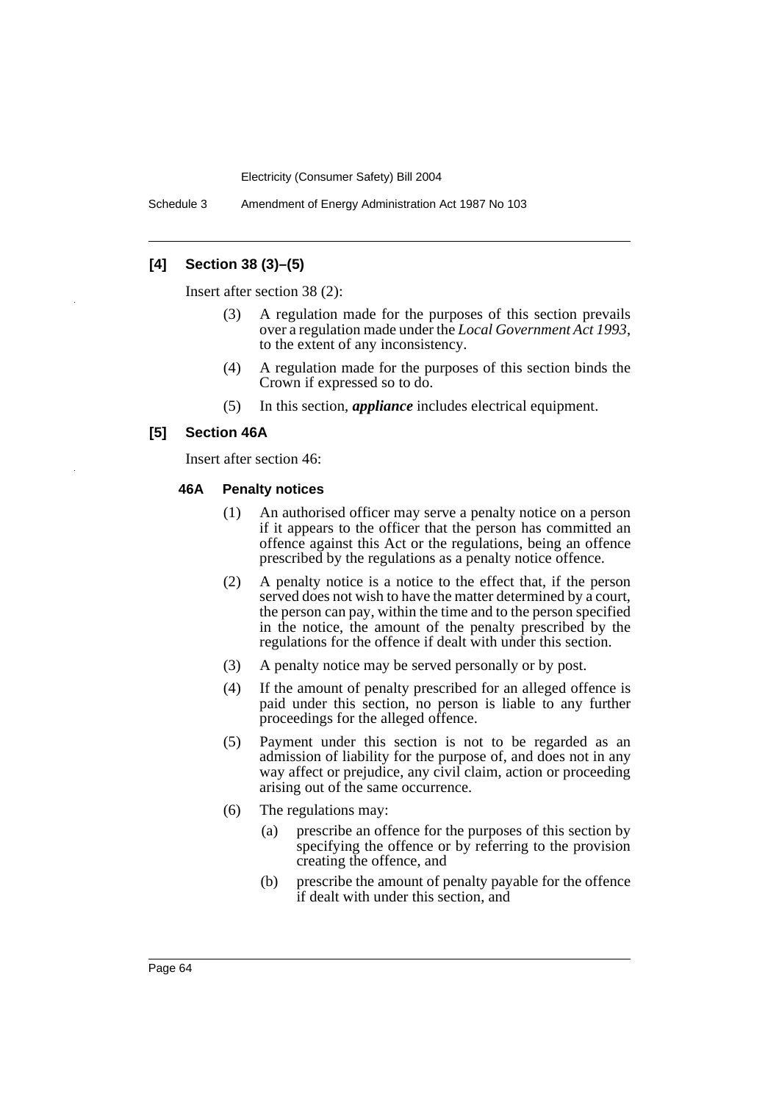Schedule 3 Amendment of Energy Administration Act 1987 No 103

## **[4] Section 38 (3)–(5)**

Insert after section 38 (2):

- (3) A regulation made for the purposes of this section prevails over a regulation made under the *Local Government Act 1993*, to the extent of any inconsistency.
- (4) A regulation made for the purposes of this section binds the Crown if expressed so to do.
- (5) In this section, *appliance* includes electrical equipment.

### **[5] Section 46A**

Insert after section 46:

#### **46A Penalty notices**

- (1) An authorised officer may serve a penalty notice on a person if it appears to the officer that the person has committed an offence against this Act or the regulations, being an offence prescribed by the regulations as a penalty notice offence.
- (2) A penalty notice is a notice to the effect that, if the person served does not wish to have the matter determined by a court, the person can pay, within the time and to the person specified in the notice, the amount of the penalty prescribed by the regulations for the offence if dealt with under this section.
- (3) A penalty notice may be served personally or by post.
- (4) If the amount of penalty prescribed for an alleged offence is paid under this section, no person is liable to any further proceedings for the alleged offence.
- (5) Payment under this section is not to be regarded as an admission of liability for the purpose of, and does not in any way affect or prejudice, any civil claim, action or proceeding arising out of the same occurrence.
- (6) The regulations may:
	- (a) prescribe an offence for the purposes of this section by specifying the offence or by referring to the provision creating the offence, and
	- (b) prescribe the amount of penalty payable for the offence if dealt with under this section, and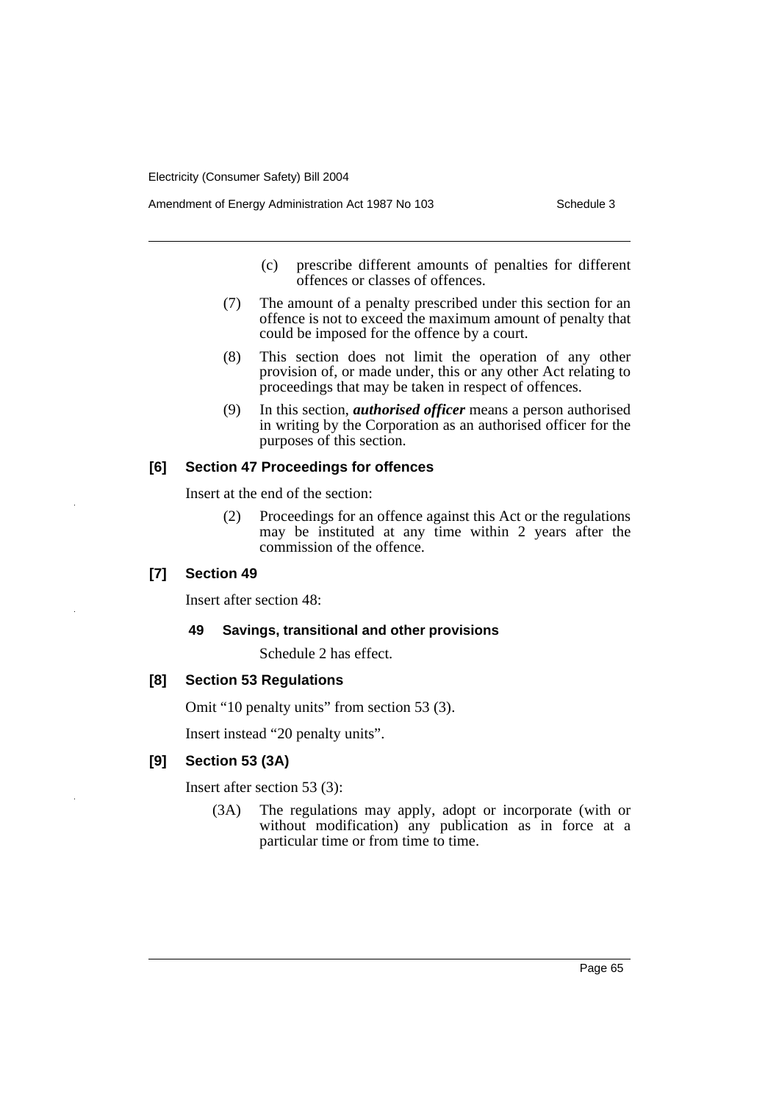Amendment of Energy Administration Act 1987 No 103 Schedule 3

- (c) prescribe different amounts of penalties for different offences or classes of offences.
- (7) The amount of a penalty prescribed under this section for an offence is not to exceed the maximum amount of penalty that could be imposed for the offence by a court.
- (8) This section does not limit the operation of any other provision of, or made under, this or any other Act relating to proceedings that may be taken in respect of offences.
- (9) In this section, *authorised officer* means a person authorised in writing by the Corporation as an authorised officer for the purposes of this section.

## **[6] Section 47 Proceedings for offences**

Insert at the end of the section:

(2) Proceedings for an offence against this Act or the regulations may be instituted at any time within 2 years after the commission of the offence.

## **[7] Section 49**

Insert after section 48:

#### **49 Savings, transitional and other provisions**

Schedule 2 has effect.

## **[8] Section 53 Regulations**

Omit "10 penalty units" from section 53 (3).

Insert instead "20 penalty units".

## **[9] Section 53 (3A)**

Insert after section 53 (3):

(3A) The regulations may apply, adopt or incorporate (with or without modification) any publication as in force at a particular time or from time to time.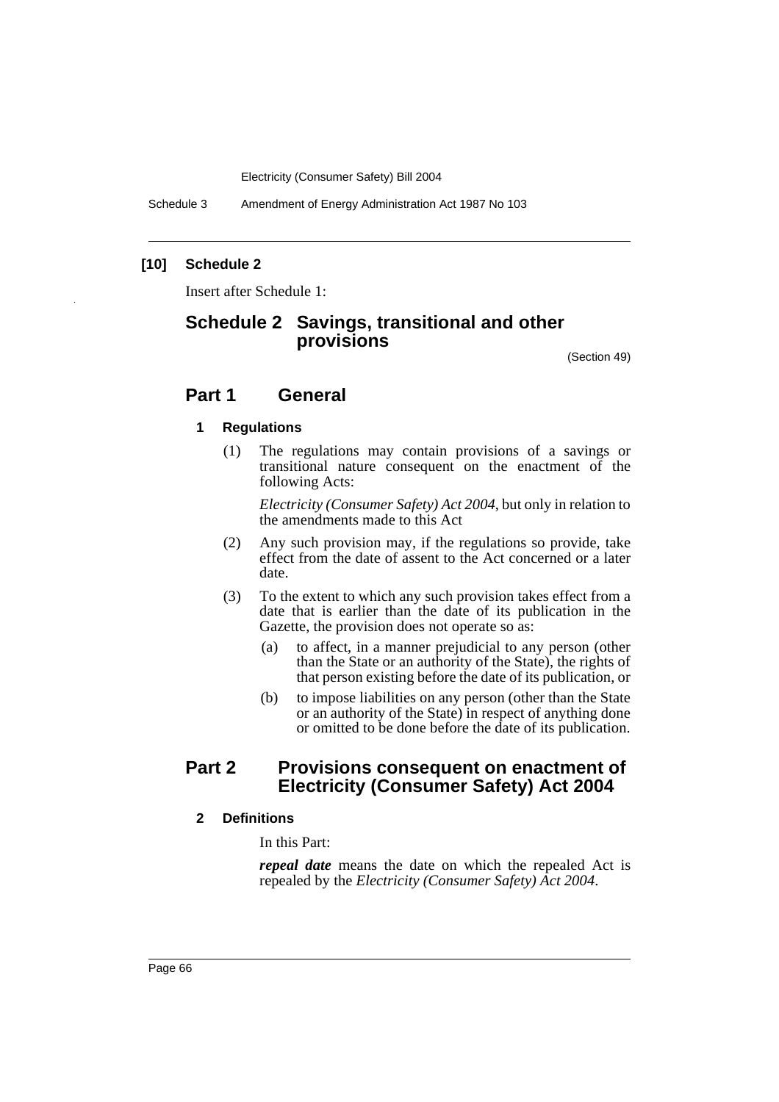Schedule 3 Amendment of Energy Administration Act 1987 No 103

## **[10] Schedule 2**

Insert after Schedule 1:

# **Schedule 2 Savings, transitional and other provisions**

(Section 49)

## **Part 1 General**

### **1 Regulations**

(1) The regulations may contain provisions of a savings or transitional nature consequent on the enactment of the following Acts:

*Electricity (Consumer Safety) Act 2004*, but only in relation to the amendments made to this Act

- (2) Any such provision may, if the regulations so provide, take effect from the date of assent to the Act concerned or a later date.
- (3) To the extent to which any such provision takes effect from a date that is earlier than the date of its publication in the Gazette, the provision does not operate so as:
	- (a) to affect, in a manner prejudicial to any person (other than the State or an authority of the State), the rights of that person existing before the date of its publication, or
	- (b) to impose liabilities on any person (other than the State or an authority of the State) in respect of anything done or omitted to be done before the date of its publication.

# **Part 2 Provisions consequent on enactment of Electricity (Consumer Safety) Act 2004**

## **2 Definitions**

In this Part:

*repeal date* means the date on which the repealed Act is repealed by the *Electricity (Consumer Safety) Act 2004*.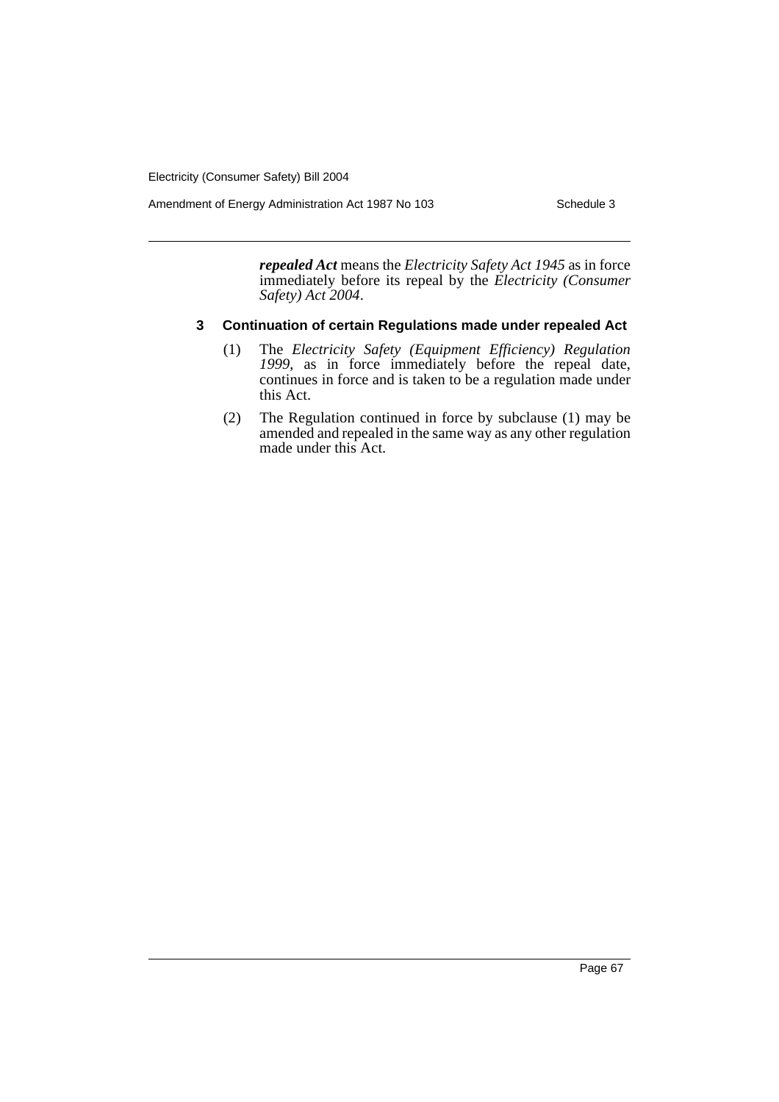Amendment of Energy Administration Act 1987 No 103 Schedule 3

*repealed Act* means the *Electricity Safety Act 1945* as in force immediately before its repeal by the *Electricity (Consumer Safety) Act 2004*.

## **3 Continuation of certain Regulations made under repealed Act**

- (1) The *Electricity Safety (Equipment Efficiency) Regulation 1999*, as in force immediately before the repeal date, continues in force and is taken to be a regulation made under this Act.
- (2) The Regulation continued in force by subclause (1) may be amended and repealed in the same way as any other regulation made under this Act.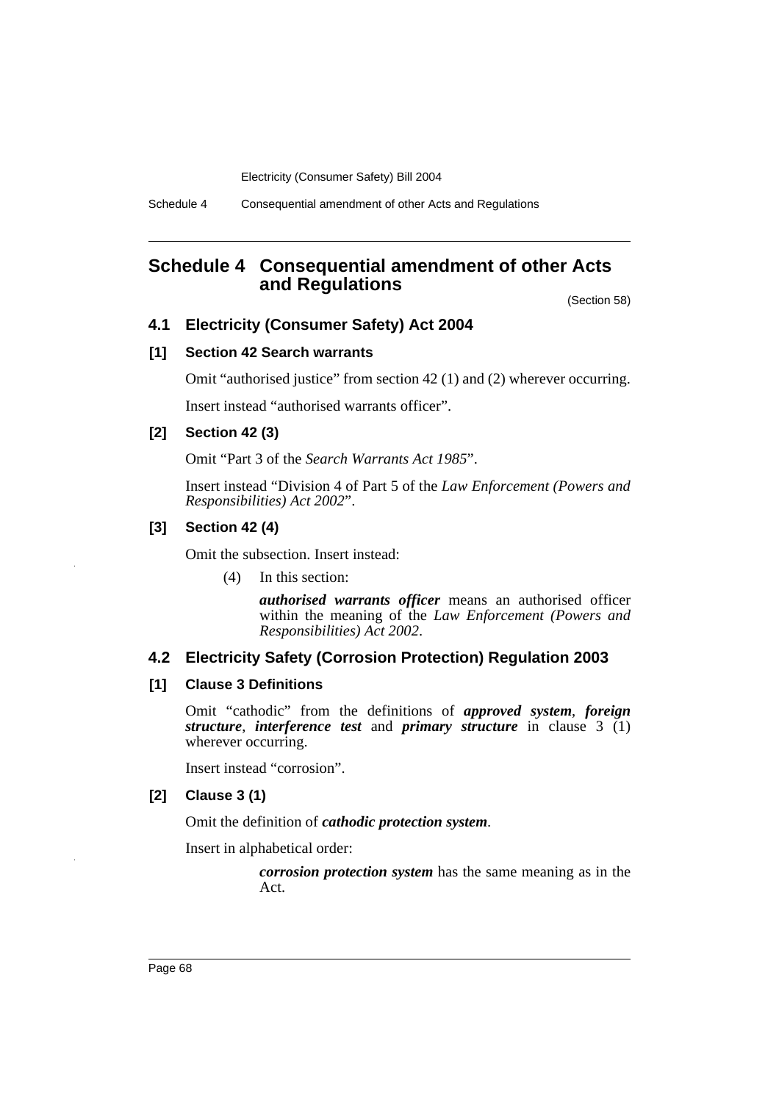Schedule 4 Consequential amendment of other Acts and Regulations

# **Schedule 4 Consequential amendment of other Acts and Regulations**

(Section 58)

## **4.1 Electricity (Consumer Safety) Act 2004**

## **[1] Section 42 Search warrants**

Omit "authorised justice" from section 42 (1) and (2) wherever occurring.

Insert instead "authorised warrants officer".

## **[2] Section 42 (3)**

Omit "Part 3 of the *Search Warrants Act 1985*".

Insert instead "Division 4 of Part 5 of the *Law Enforcement (Powers and Responsibilities) Act 2002*".

## **[3] Section 42 (4)**

Omit the subsection. Insert instead:

(4) In this section:

*authorised warrants officer* means an authorised officer within the meaning of the *Law Enforcement (Powers and Responsibilities) Act 2002*.

## **4.2 Electricity Safety (Corrosion Protection) Regulation 2003**

### **[1] Clause 3 Definitions**

Omit "cathodic" from the definitions of *approved system*, *foreign structure*, *interference test* and *primary structure* in clause 3 (1) wherever occurring.

Insert instead "corrosion".

#### **[2] Clause 3 (1)**

Omit the definition of *cathodic protection system*.

Insert in alphabetical order:

*corrosion protection system* has the same meaning as in the Act.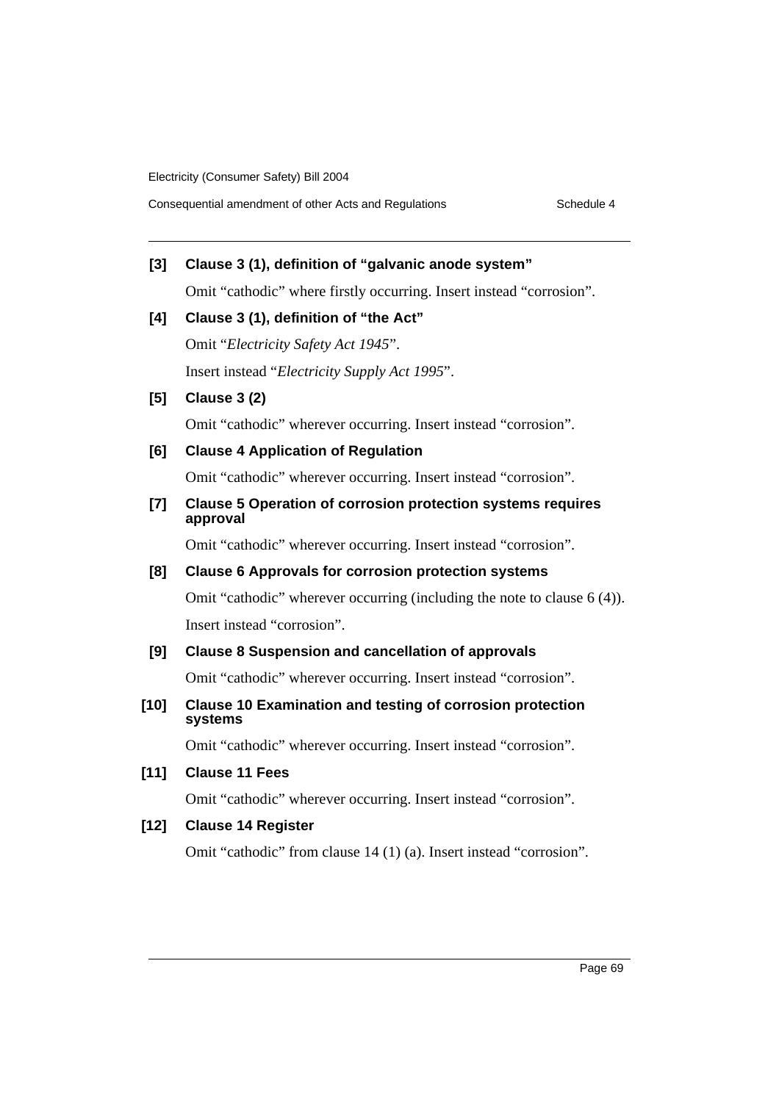## **[3] Clause 3 (1), definition of "galvanic anode system"**

Omit "cathodic" where firstly occurring. Insert instead "corrosion".

## **[4] Clause 3 (1), definition of "the Act"**

Omit "*Electricity Safety Act 1945*". Insert instead "*Electricity Supply Act 1995*".

## **[5] Clause 3 (2)**

Omit "cathodic" wherever occurring. Insert instead "corrosion".

## **[6] Clause 4 Application of Regulation**

Omit "cathodic" wherever occurring. Insert instead "corrosion".

## **[7] Clause 5 Operation of corrosion protection systems requires approval**

Omit "cathodic" wherever occurring. Insert instead "corrosion".

## **[8] Clause 6 Approvals for corrosion protection systems**

Omit "cathodic" wherever occurring (including the note to clause 6 (4)). Insert instead "corrosion".

## **[9] Clause 8 Suspension and cancellation of approvals**

Omit "cathodic" wherever occurring. Insert instead "corrosion".

## **[10] Clause 10 Examination and testing of corrosion protection systems**

Omit "cathodic" wherever occurring. Insert instead "corrosion".

## **[11] Clause 11 Fees**

Omit "cathodic" wherever occurring. Insert instead "corrosion".

## **[12] Clause 14 Register**

Omit "cathodic" from clause 14 (1) (a). Insert instead "corrosion".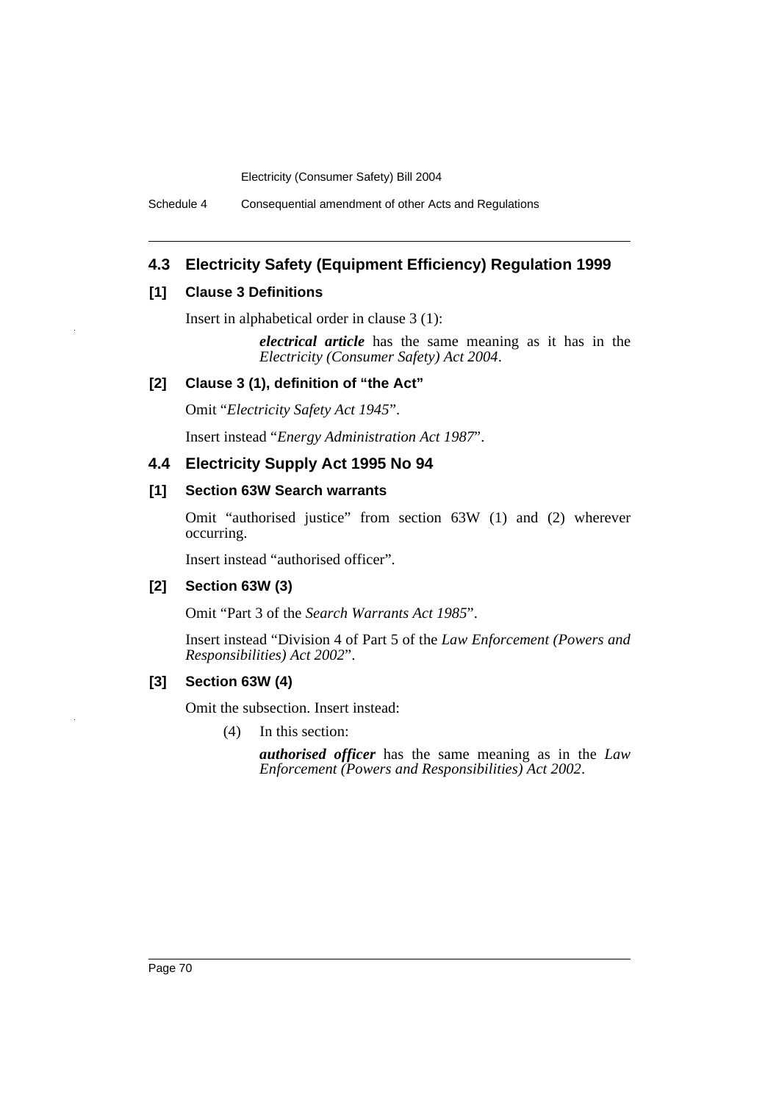Schedule 4 Consequential amendment of other Acts and Regulations

## **4.3 Electricity Safety (Equipment Efficiency) Regulation 1999**

### **[1] Clause 3 Definitions**

Insert in alphabetical order in clause 3 (1):

*electrical article* has the same meaning as it has in the *Electricity (Consumer Safety) Act 2004*.

### **[2] Clause 3 (1), definition of "the Act"**

Omit "*Electricity Safety Act 1945*".

Insert instead "*Energy Administration Act 1987*".

## **4.4 Electricity Supply Act 1995 No 94**

## **[1] Section 63W Search warrants**

Omit "authorised justice" from section 63W (1) and (2) wherever occurring.

Insert instead "authorised officer".

### **[2] Section 63W (3)**

Omit "Part 3 of the *Search Warrants Act 1985*".

Insert instead "Division 4 of Part 5 of the *Law Enforcement (Powers and Responsibilities) Act 2002*".

### **[3] Section 63W (4)**

Omit the subsection. Insert instead:

(4) In this section:

*authorised officer* has the same meaning as in the *Law Enforcement (Powers and Responsibilities) Act 2002*.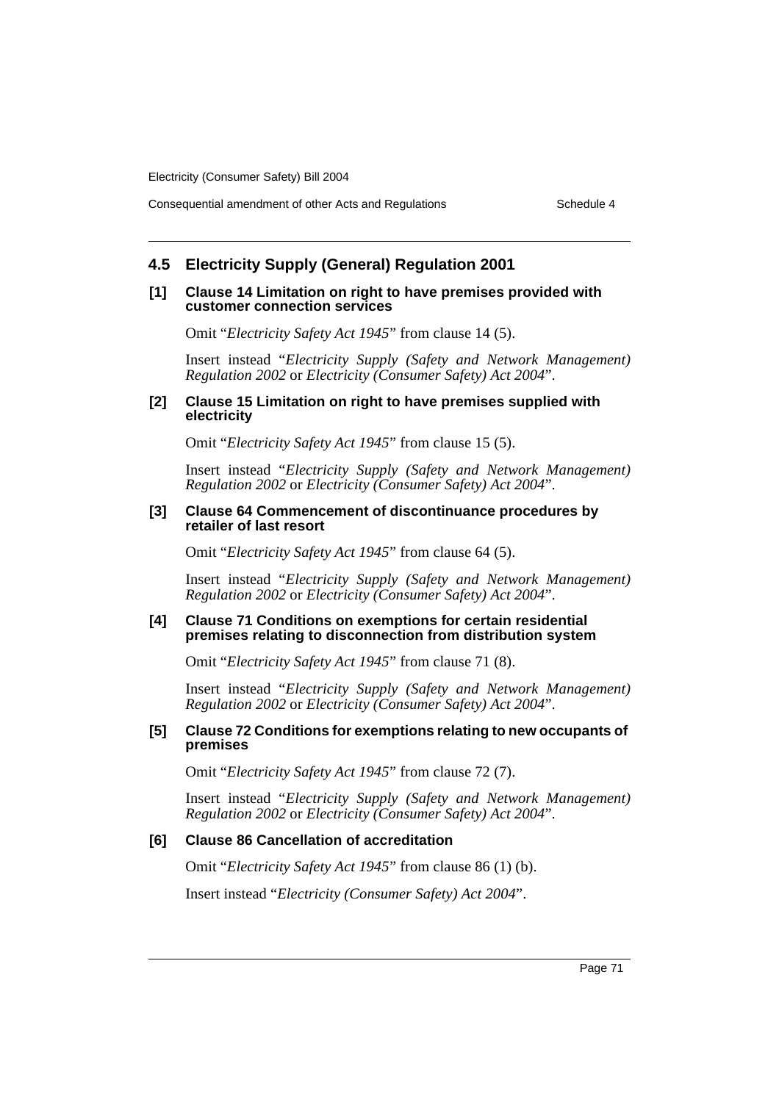Consequential amendment of other Acts and Regulations Schedule 4

## **4.5 Electricity Supply (General) Regulation 2001**

#### **[1] Clause 14 Limitation on right to have premises provided with customer connection services**

Omit "*Electricity Safety Act 1945*" from clause 14 (5).

Insert instead "*Electricity Supply (Safety and Network Management) Regulation 2002* or *Electricity (Consumer Safety) Act 2004*".

#### **[2] Clause 15 Limitation on right to have premises supplied with electricity**

Omit "*Electricity Safety Act 1945*" from clause 15 (5).

Insert instead "*Electricity Supply (Safety and Network Management) Regulation 2002* or *Electricity (Consumer Safety) Act 2004*".

#### **[3] Clause 64 Commencement of discontinuance procedures by retailer of last resort**

Omit "*Electricity Safety Act 1945*" from clause 64 (5).

Insert instead "*Electricity Supply (Safety and Network Management) Regulation 2002* or *Electricity (Consumer Safety) Act 2004*".

#### **[4] Clause 71 Conditions on exemptions for certain residential premises relating to disconnection from distribution system**

Omit "*Electricity Safety Act 1945*" from clause 71 (8).

Insert instead "*Electricity Supply (Safety and Network Management) Regulation 2002* or *Electricity (Consumer Safety) Act 2004*".

#### **[5] Clause 72 Conditions for exemptions relating to new occupants of premises**

Omit "*Electricity Safety Act 1945*" from clause 72 (7).

Insert instead "*Electricity Supply (Safety and Network Management) Regulation 2002* or *Electricity (Consumer Safety) Act 2004*".

## **[6] Clause 86 Cancellation of accreditation**

Omit "*Electricity Safety Act 1945*" from clause 86 (1) (b).

Insert instead "*Electricity (Consumer Safety) Act 2004*".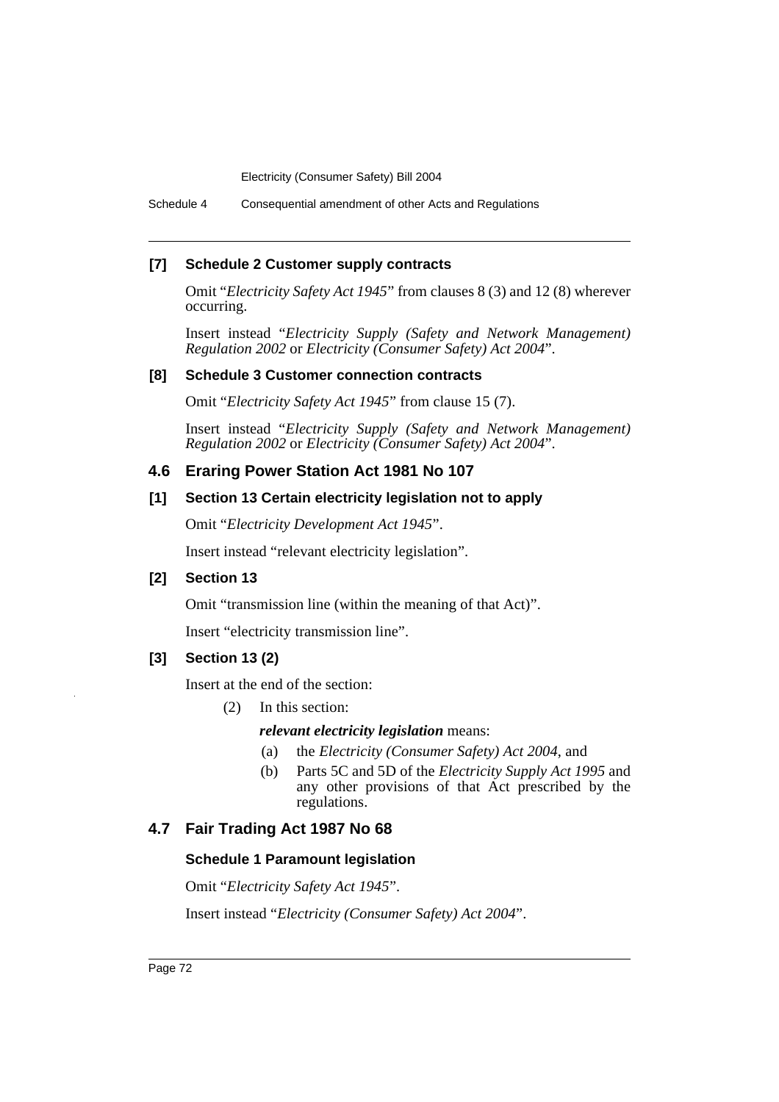Schedule 4 Consequential amendment of other Acts and Regulations

## **[7] Schedule 2 Customer supply contracts**

Omit "*Electricity Safety Act 1945*" from clauses 8 (3) and 12 (8) wherever occurring.

Insert instead "*Electricity Supply (Safety and Network Management) Regulation 2002* or *Electricity (Consumer Safety) Act 2004*".

#### **[8] Schedule 3 Customer connection contracts**

Omit "*Electricity Safety Act 1945*" from clause 15 (7).

Insert instead "*Electricity Supply (Safety and Network Management) Regulation 2002* or *Electricity (Consumer Safety) Act 2004*".

### **4.6 Eraring Power Station Act 1981 No 107**

### **[1] Section 13 Certain electricity legislation not to apply**

Omit "*Electricity Development Act 1945*".

Insert instead "relevant electricity legislation".

### **[2] Section 13**

Omit "transmission line (within the meaning of that Act)".

Insert "electricity transmission line".

### **[3] Section 13 (2)**

Insert at the end of the section:

(2) In this section:

*relevant electricity legislation* means:

- (a) the *Electricity (Consumer Safety) Act 2004*, and
- (b) Parts 5C and 5D of the *Electricity Supply Act 1995* and any other provisions of that Act prescribed by the regulations.

## **4.7 Fair Trading Act 1987 No 68**

### **Schedule 1 Paramount legislation**

Omit "*Electricity Safety Act 1945*".

Insert instead "*Electricity (Consumer Safety) Act 2004*".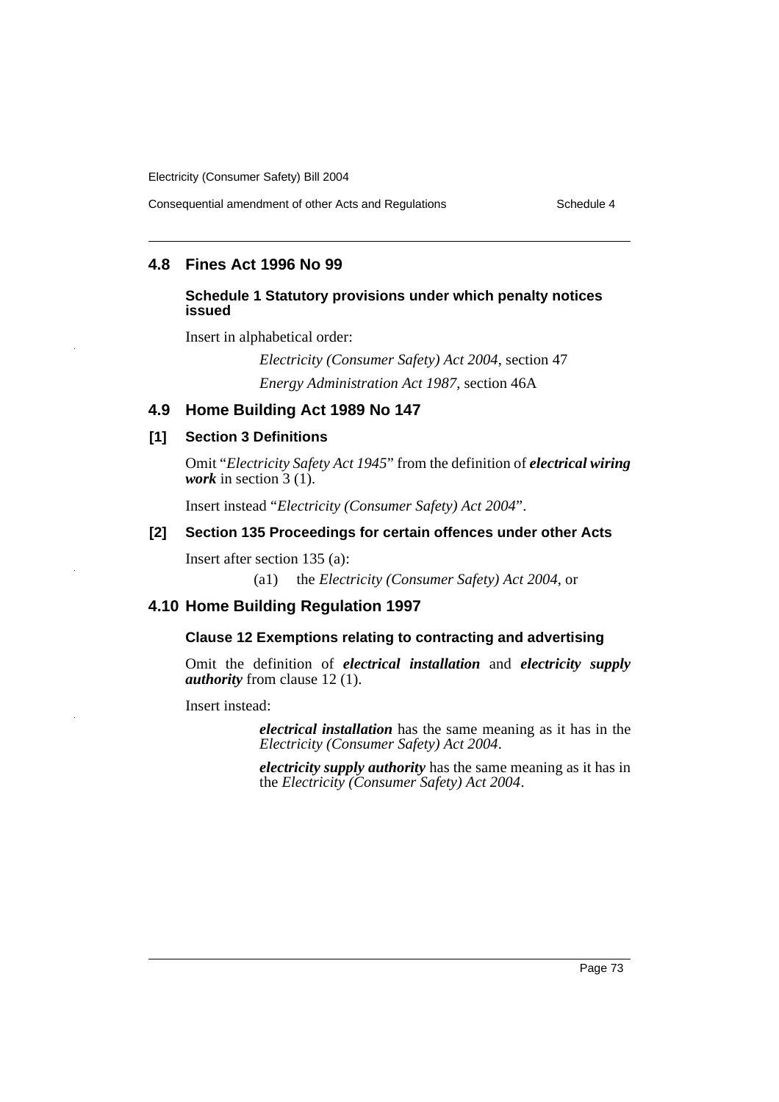Consequential amendment of other Acts and Regulations Schedule 4

## **4.8 Fines Act 1996 No 99**

### **Schedule 1 Statutory provisions under which penalty notices issued**

Insert in alphabetical order:

*Electricity (Consumer Safety) Act 2004*, section 47 *Energy Administration Act 1987*, section 46A

## **4.9 Home Building Act 1989 No 147**

### **[1] Section 3 Definitions**

Omit "*Electricity Safety Act 1945*" from the definition of *electrical wiring work* in section 3 (1).

Insert instead "*Electricity (Consumer Safety) Act 2004*".

## **[2] Section 135 Proceedings for certain offences under other Acts**

Insert after section 135 (a):

(a1) the *Electricity (Consumer Safety) Act 2004*, or

## **4.10 Home Building Regulation 1997**

### **Clause 12 Exemptions relating to contracting and advertising**

Omit the definition of *electrical installation* and *electricity supply authority* from clause 12 (1).

Insert instead:

*electrical installation* has the same meaning as it has in the *Electricity (Consumer Safety) Act 2004*.

*electricity supply authority* has the same meaning as it has in the *Electricity (Consumer Safety) Act 2004*.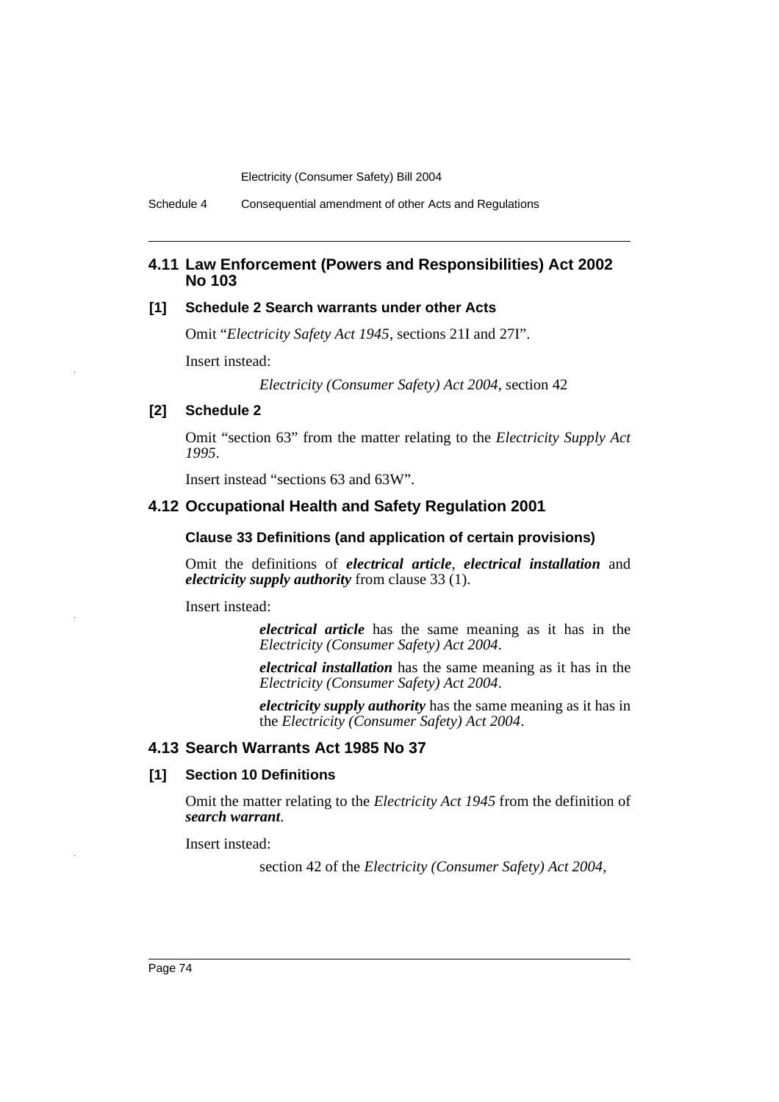Schedule 4 Consequential amendment of other Acts and Regulations

## **4.11 Law Enforcement (Powers and Responsibilities) Act 2002 No 103**

## **[1] Schedule 2 Search warrants under other Acts**

Omit "*Electricity Safety Act 1945*, sections 21I and 27I".

Insert instead:

*Electricity (Consumer Safety) Act 2004*, section 42

## **[2] Schedule 2**

Omit "section 63" from the matter relating to the *Electricity Supply Act 1995*.

Insert instead "sections 63 and 63W".

## **4.12 Occupational Health and Safety Regulation 2001**

#### **Clause 33 Definitions (and application of certain provisions)**

Omit the definitions of *electrical article*, *electrical installation* and *electricity supply authority* from clause 33 (1).

Insert instead:

*electrical article* has the same meaning as it has in the *Electricity (Consumer Safety) Act 2004*.

*electrical installation* has the same meaning as it has in the *Electricity (Consumer Safety) Act 2004*.

*electricity supply authority* has the same meaning as it has in the *Electricity (Consumer Safety) Act 2004*.

### **4.13 Search Warrants Act 1985 No 37**

#### **[1] Section 10 Definitions**

Omit the matter relating to the *Electricity Act 1945* from the definition of *search warrant*.

Insert instead:

section 42 of the *Electricity (Consumer Safety) Act 2004*,